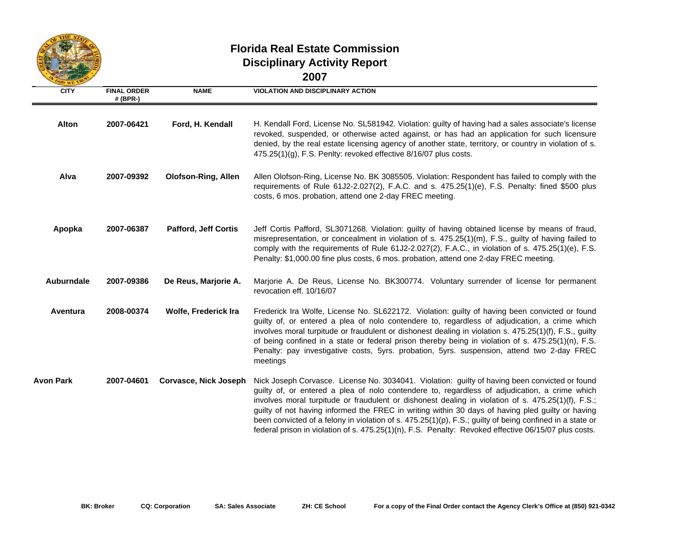

## **Florida Real Estate CommissionDisciplinary Activity Report 2007**

| OD WE T           |                                |                             |                                                                                                                                                                                                                                                                                                                                                                                                                                                                                                                                                                                                                               |
|-------------------|--------------------------------|-----------------------------|-------------------------------------------------------------------------------------------------------------------------------------------------------------------------------------------------------------------------------------------------------------------------------------------------------------------------------------------------------------------------------------------------------------------------------------------------------------------------------------------------------------------------------------------------------------------------------------------------------------------------------|
| <b>CITY</b>       | <b>FINAL ORDER</b><br># (BPR-) | <b>NAME</b>                 | <b>VIOLATION AND DISCIPLINARY ACTION</b>                                                                                                                                                                                                                                                                                                                                                                                                                                                                                                                                                                                      |
| Alton             | 2007-06421                     | Ford, H. Kendall            | H. Kendall Ford, License No. SL581942. Violation: guilty of having had a sales associate's license<br>revoked, suspended, or otherwise acted against, or has had an application for such licensure<br>denied, by the real estate licensing agency of another state, territory, or country in violation of s.<br>475.25(1)(g), F.S. Penlty: revoked effective 8/16/07 plus costs.                                                                                                                                                                                                                                              |
| Alva              | 2007-09392                     | <b>Olofson-Ring, Allen</b>  | Allen Olofson-Ring, License No. BK 3085505. Violation: Respondent has failed to comply with the<br>requirements of Rule 61J2-2.027(2), F.A.C. and s. 475.25(1)(e), F.S. Penalty: fined \$500 plus<br>costs, 6 mos. probation, attend one 2-day FREC meeting.                                                                                                                                                                                                                                                                                                                                                                  |
| Apopka            | 2007-06387                     | <b>Pafford, Jeff Cortis</b> | Jeff Cortis Pafford, SL3071268. Violation: guilty of having obtained license by means of fraud,<br>misrepresentation, or concealment in violation of s. 475.25(1)(m), F.S., guilty of having failed to<br>comply with the requirements of Rule 61J2-2.027(2), F.A.C., in violation of s. 475.25(1)(e), F.S.<br>Penalty: \$1,000.00 fine plus costs, 6 mos. probation, attend one 2-day FREC meeting.                                                                                                                                                                                                                          |
| <b>Auburndale</b> | 2007-09386                     | De Reus, Marjorie A.        | Marjorie A. De Reus, License No. BK300774. Voluntary surrender of license for permanent<br>revocation eff. 10/16/07                                                                                                                                                                                                                                                                                                                                                                                                                                                                                                           |
| Aventura          | 2008-00374                     | Wolfe, Frederick Ira        | Frederick Ira Wolfe, License No. SL622172. Violation: guilty of having been convicted or found<br>guilty of, or entered a plea of nolo contendere to, regardless of adjudication, a crime which<br>involves moral turpitude or fraudulent or dishonest dealing in violation s. 475.25(1)(f), F.S., guilty<br>of being confined in a state or federal prison thereby being in violation of s. 475.25(1)(n), F.S.<br>Penalty: pay investigative costs, 5yrs. probation, 5yrs. suspension, attend two 2-day FREC<br>meetings                                                                                                     |
| <b>Avon Park</b>  | 2007-04601                     | Corvasce, Nick Joseph       | Nick Joseph Corvasce. License No. 3034041. Violation: guilty of having been convicted or found<br>guilty of, or entered a plea of nolo contendere to, regardless of adjudication, a crime which<br>involves moral turpitude or fraudulent or dishonest dealing in violation of s. 475.25(1)(f), F.S.;<br>guilty of not having informed the FREC in writing within 30 days of having pled guilty or having<br>been convicted of a felony in violation of s. 475.25(1)(p), F.S.; guilty of being confined in a state or<br>federal prison in violation of s. 475.25(1)(n), F.S. Penalty: Revoked effective 06/15/07 plus costs. |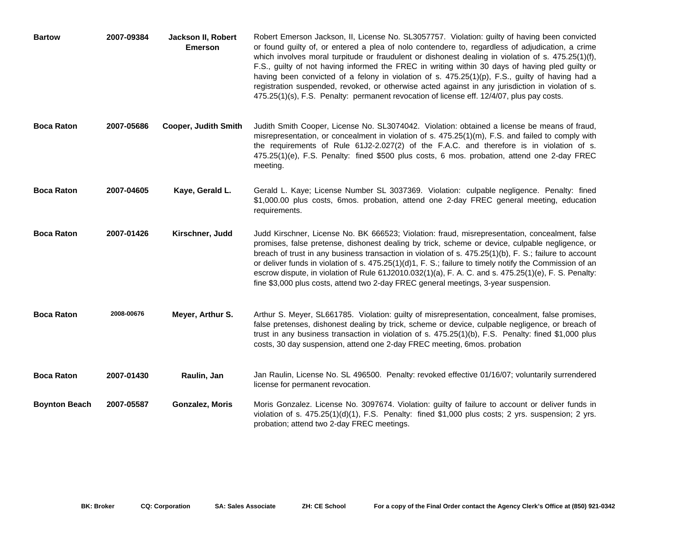| <b>Bartow</b>        | 2007-09384 | Jackson II, Robert<br><b>Emerson</b> | Robert Emerson Jackson, II, License No. SL3057757. Violation: guilty of having been convicted<br>or found guilty of, or entered a plea of nolo contendere to, regardless of adjudication, a crime<br>which involves moral turpitude or fraudulent or dishonest dealing in violation of s. 475.25(1)(f),<br>F.S., guilty of not having informed the FREC in writing within 30 days of having pled guilty or<br>having been convicted of a felony in violation of s. $475.25(1)(p)$ , F.S., guilty of having had a<br>registration suspended, revoked, or otherwise acted against in any jurisdiction in violation of s.<br>475.25(1)(s), F.S. Penalty: permanent revocation of license eff. 12/4/07, plus pay costs. |
|----------------------|------------|--------------------------------------|---------------------------------------------------------------------------------------------------------------------------------------------------------------------------------------------------------------------------------------------------------------------------------------------------------------------------------------------------------------------------------------------------------------------------------------------------------------------------------------------------------------------------------------------------------------------------------------------------------------------------------------------------------------------------------------------------------------------|
| <b>Boca Raton</b>    | 2007-05686 | <b>Cooper, Judith Smith</b>          | Judith Smith Cooper, License No. SL3074042. Violation: obtained a license be means of fraud,<br>misrepresentation, or concealment in violation of s. 475.25(1)(m), F.S. and failed to comply with<br>the requirements of Rule 61J2-2.027(2) of the F.A.C. and therefore is in violation of s.<br>475.25(1)(e), F.S. Penalty: fined \$500 plus costs, 6 mos. probation, attend one 2-day FREC<br>meeting.                                                                                                                                                                                                                                                                                                            |
| <b>Boca Raton</b>    | 2007-04605 | Kaye, Gerald L.                      | Gerald L. Kaye; License Number SL 3037369. Violation: culpable negligence. Penalty: fined<br>\$1,000.00 plus costs, 6mos. probation, attend one 2-day FREC general meeting, education<br>requirements.                                                                                                                                                                                                                                                                                                                                                                                                                                                                                                              |
| <b>Boca Raton</b>    | 2007-01426 | Kirschner, Judd                      | Judd Kirschner, License No. BK 666523; Violation: fraud, misrepresentation, concealment, false<br>promises, false pretense, dishonest dealing by trick, scheme or device, culpable negligence, or<br>breach of trust in any business transaction in violation of s. 475.25(1)(b), F. S.; failure to account<br>or deliver funds in violation of s. 475.25(1)(d)1, F. S.; failure to timely notify the Commission of an<br>escrow dispute, in violation of Rule 61J2010.032(1)(a), F. A. C. and s. 475.25(1)(e), F. S. Penalty:<br>fine \$3,000 plus costs, attend two 2-day FREC general meetings, 3-year suspension.                                                                                               |
| <b>Boca Raton</b>    | 2008-00676 | Meyer, Arthur S.                     | Arthur S. Meyer, SL661785. Violation: guilty of misrepresentation, concealment, false promises,<br>false pretenses, dishonest dealing by trick, scheme or device, culpable negligence, or breach of<br>trust in any business transaction in violation of s. 475.25(1)(b), F.S. Penalty: fined \$1,000 plus<br>costs, 30 day suspension, attend one 2-day FREC meeting, 6mos. probation                                                                                                                                                                                                                                                                                                                              |
| <b>Boca Raton</b>    | 2007-01430 | Raulin, Jan                          | Jan Raulin, License No. SL 496500. Penalty: revoked effective 01/16/07; voluntarily surrendered<br>license for permanent revocation.                                                                                                                                                                                                                                                                                                                                                                                                                                                                                                                                                                                |
| <b>Boynton Beach</b> | 2007-05587 | Gonzalez, Moris                      | Moris Gonzalez. License No. 3097674. Violation: guilty of failure to account or deliver funds in<br>violation of s. $475.25(1)(d)(1)$ , F.S. Penalty: fined \$1,000 plus costs; 2 yrs. suspension; 2 yrs.<br>probation; attend two 2-day FREC meetings.                                                                                                                                                                                                                                                                                                                                                                                                                                                             |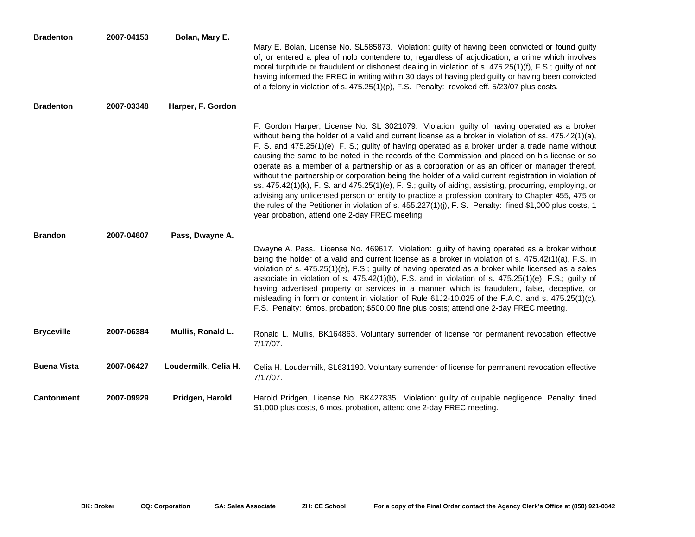| <b>Bradenton</b>   | 2007-04153 | Bolan, Mary E.       | Mary E. Bolan, License No. SL585873. Violation: guilty of having been convicted or found guilty<br>of, or entered a plea of nolo contendere to, regardless of adjudication, a crime which involves<br>moral turpitude or fraudulent or dishonest dealing in violation of s. 475.25(1)(f), F.S.; guilty of not<br>having informed the FREC in writing within 30 days of having pled guilty or having been convicted<br>of a felony in violation of s. 475.25(1)(p), F.S. Penalty: revoked eff. 5/23/07 plus costs.                                                                                                                                                                                                                                                                                                                                                                                                                                                                                       |
|--------------------|------------|----------------------|---------------------------------------------------------------------------------------------------------------------------------------------------------------------------------------------------------------------------------------------------------------------------------------------------------------------------------------------------------------------------------------------------------------------------------------------------------------------------------------------------------------------------------------------------------------------------------------------------------------------------------------------------------------------------------------------------------------------------------------------------------------------------------------------------------------------------------------------------------------------------------------------------------------------------------------------------------------------------------------------------------|
| <b>Bradenton</b>   | 2007-03348 | Harper, F. Gordon    |                                                                                                                                                                                                                                                                                                                                                                                                                                                                                                                                                                                                                                                                                                                                                                                                                                                                                                                                                                                                         |
|                    |            |                      | F. Gordon Harper, License No. SL 3021079. Violation: guilty of having operated as a broker<br>without being the holder of a valid and current license as a broker in violation of ss. 475.42(1)(a),<br>F. S. and 475.25(1)(e), F. S.; guilty of having operated as a broker under a trade name without<br>causing the same to be noted in the records of the Commission and placed on his license or so<br>operate as a member of a partnership or as a corporation or as an officer or manager thereof,<br>without the partnership or corporation being the holder of a valid current registration in violation of<br>ss. $475.42(1)(k)$ , F. S. and $475.25(1)(e)$ , F. S.; guilty of aiding, assisting, procurring, employing, or<br>advising any unlicensed person or entity to practice a profession contrary to Chapter 455, 475 or<br>the rules of the Petitioner in violation of s. 455.227(1)(j), F. S. Penalty: fined \$1,000 plus costs, 1<br>year probation, attend one 2-day FREC meeting. |
| <b>Brandon</b>     | 2007-04607 | Pass, Dwayne A.      |                                                                                                                                                                                                                                                                                                                                                                                                                                                                                                                                                                                                                                                                                                                                                                                                                                                                                                                                                                                                         |
|                    |            |                      | Dwayne A. Pass. License No. 469617. Violation: guilty of having operated as a broker without<br>being the holder of a valid and current license as a broker in violation of s. 475.42(1)(a), F.S. in<br>violation of s. 475.25(1)(e), F.S.; guilty of having operated as a broker while licensed as a sales<br>associate in violation of s. $475.42(1)(b)$ , F.S. and in violation of s. $475.25(1)(e)$ , F.S.; guilty of<br>having advertised property or services in a manner which is fraudulent, false, deceptive, or<br>misleading in form or content in violation of Rule 61J2-10.025 of the F.A.C. and s. 475.25(1)(c),<br>F.S. Penalty: 6mos. probation; \$500.00 fine plus costs; attend one 2-day FREC meeting.                                                                                                                                                                                                                                                                               |
| <b>Bryceville</b>  | 2007-06384 | Mullis, Ronald L.    | Ronald L. Mullis, BK164863. Voluntary surrender of license for permanent revocation effective<br>$7/17/07$ .                                                                                                                                                                                                                                                                                                                                                                                                                                                                                                                                                                                                                                                                                                                                                                                                                                                                                            |
| <b>Buena Vista</b> | 2007-06427 | Loudermilk, Celia H. | Celia H. Loudermilk, SL631190. Voluntary surrender of license for permanent revocation effective<br>7/17/07.                                                                                                                                                                                                                                                                                                                                                                                                                                                                                                                                                                                                                                                                                                                                                                                                                                                                                            |
| <b>Cantonment</b>  | 2007-09929 | Pridgen, Harold      | Harold Pridgen, License No. BK427835. Violation: guilty of culpable negligence. Penalty: fined<br>\$1,000 plus costs, 6 mos. probation, attend one 2-day FREC meeting.                                                                                                                                                                                                                                                                                                                                                                                                                                                                                                                                                                                                                                                                                                                                                                                                                                  |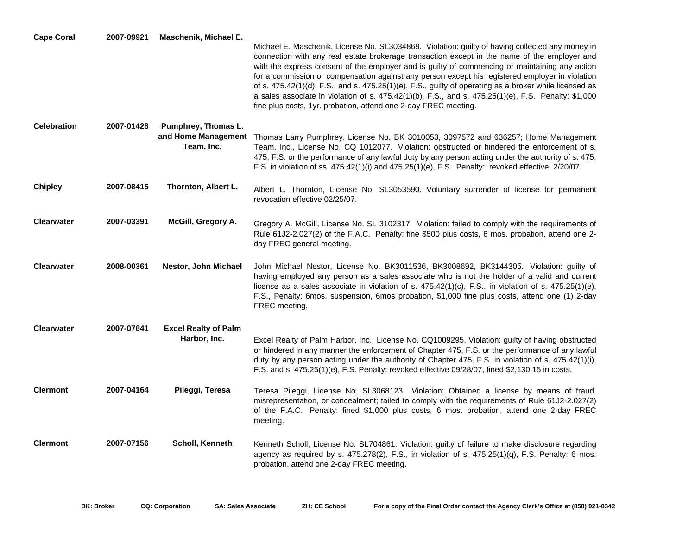| <b>Cape Coral</b>  | 2007-09921 | Maschenik, Michael E.                       | Michael E. Maschenik, License No. SL3034869. Violation: guilty of having collected any money in<br>connection with any real estate brokerage transaction except in the name of the employer and<br>with the express consent of the employer and is guilty of commencing or maintaining any action<br>for a commission or compensation against any person except his registered employer in violation<br>of s. $475.42(1)(d)$ , F.S., and s. $475.25(1)(e)$ , F.S., guilty of operating as a broker while licensed as<br>a sales associate in violation of s. $475.42(1)(b)$ , F.S., and s. $475.25(1)(e)$ , F.S. Penalty: \$1,000<br>fine plus costs, 1yr. probation, attend one 2-day FREC meeting. |
|--------------------|------------|---------------------------------------------|------------------------------------------------------------------------------------------------------------------------------------------------------------------------------------------------------------------------------------------------------------------------------------------------------------------------------------------------------------------------------------------------------------------------------------------------------------------------------------------------------------------------------------------------------------------------------------------------------------------------------------------------------------------------------------------------------|
| <b>Celebration</b> | 2007-01428 | Pumphrey, Thomas L.<br>Team, Inc.           | and Home Management Thomas Larry Pumphrey, License No. BK 3010053, 3097572 and 636257; Home Management<br>Team, Inc., License No. CQ 1012077. Violation: obstructed or hindered the enforcement of s.<br>475, F.S. or the performance of any lawful duty by any person acting under the authority of s. 475,<br>F.S. in violation of ss. 475.42(1)(i) and 475.25(1)(e), F.S. Penalty: revoked effective. 2/20/07.                                                                                                                                                                                                                                                                                    |
| <b>Chipley</b>     | 2007-08415 | Thornton, Albert L.                         | Albert L. Thornton, License No. SL3053590. Voluntary surrender of license for permanent<br>revocation effective 02/25/07.                                                                                                                                                                                                                                                                                                                                                                                                                                                                                                                                                                            |
| <b>Clearwater</b>  | 2007-03391 | McGill, Gregory A.                          | Gregory A. McGill, License No. SL 3102317. Violation: failed to comply with the requirements of<br>Rule 61J2-2.027(2) of the F.A.C. Penalty: fine \$500 plus costs, 6 mos. probation, attend one 2-<br>day FREC general meeting.                                                                                                                                                                                                                                                                                                                                                                                                                                                                     |
| <b>Clearwater</b>  | 2008-00361 | Nestor, John Michael                        | John Michael Nestor, License No. BK3011536, BK3008692, BK3144305. Violation: guilty of<br>having employed any person as a sales associate who is not the holder of a valid and current<br>license as a sales associate in violation of s. $475.42(1)(c)$ , F.S., in violation of s. $475.25(1)(e)$ ,<br>F.S., Penalty: 6mos. suspension, 6mos probation, \$1,000 fine plus costs, attend one (1) 2-day<br>FREC meeting.                                                                                                                                                                                                                                                                              |
| <b>Clearwater</b>  | 2007-07641 | <b>Excel Realty of Palm</b><br>Harbor, Inc. | Excel Realty of Palm Harbor, Inc., License No. CQ1009295. Violation: guilty of having obstructed<br>or hindered in any manner the enforcement of Chapter 475, F.S. or the performance of any lawful<br>duty by any person acting under the authority of Chapter 475, F.S. in violation of s. 475.42(1)(i),<br>F.S. and s. 475.25(1)(e), F.S. Penalty: revoked effective 09/28/07, fined \$2,130.15 in costs.                                                                                                                                                                                                                                                                                         |
| <b>Clermont</b>    | 2007-04164 | Pileggi, Teresa                             | Teresa Pileggi, License No. SL3068123. Violation: Obtained a license by means of fraud,<br>misrepresentation, or concealment; failed to comply with the requirements of Rule 61J2-2.027(2)<br>of the F.A.C. Penalty: fined \$1,000 plus costs, 6 mos. probation, attend one 2-day FREC<br>meeting.                                                                                                                                                                                                                                                                                                                                                                                                   |
| <b>Clermont</b>    | 2007-07156 | Scholl, Kenneth                             | Kenneth Scholl, License No. SL704861. Violation: guilty of failure to make disclosure regarding<br>agency as required by s. 475.278(2), F.S., in violation of s. 475.25(1)(q), F.S. Penalty: 6 mos.<br>probation, attend one 2-day FREC meeting.                                                                                                                                                                                                                                                                                                                                                                                                                                                     |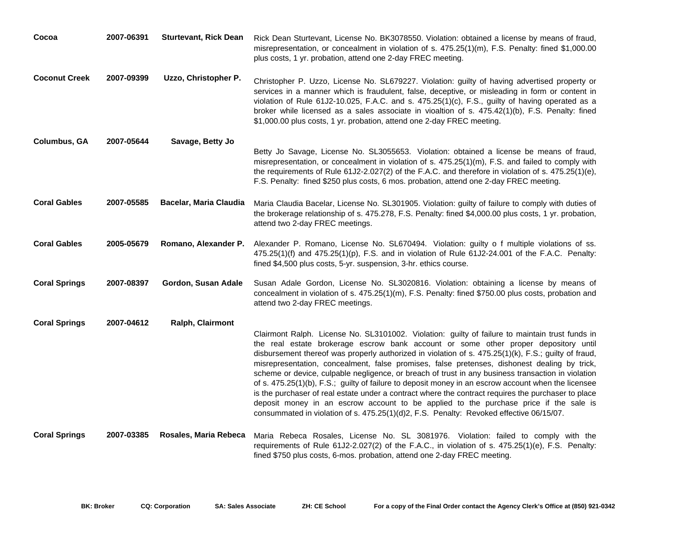| Cocoa                | 2007-06391 | <b>Sturtevant, Rick Dean</b> | Rick Dean Sturtevant, License No. BK3078550. Violation: obtained a license by means of fraud,<br>misrepresentation, or concealment in violation of s. 475.25(1)(m), F.S. Penalty: fined \$1,000.00<br>plus costs, 1 yr. probation, attend one 2-day FREC meeting.                                                                                                                                                                                                                                                                                                                                                                                                                                                                                                                                                                                                                                      |
|----------------------|------------|------------------------------|--------------------------------------------------------------------------------------------------------------------------------------------------------------------------------------------------------------------------------------------------------------------------------------------------------------------------------------------------------------------------------------------------------------------------------------------------------------------------------------------------------------------------------------------------------------------------------------------------------------------------------------------------------------------------------------------------------------------------------------------------------------------------------------------------------------------------------------------------------------------------------------------------------|
| <b>Coconut Creek</b> | 2007-09399 | Uzzo, Christopher P.         | Christopher P. Uzzo, License No. SL679227. Violation: guilty of having advertised property or<br>services in a manner which is fraudulent, false, deceptive, or misleading in form or content in<br>violation of Rule 61J2-10.025, F.A.C. and s. 475.25(1)(c), F.S., guilty of having operated as a<br>broker while licensed as a sales associate in vioaltion of s. 475.42(1)(b), F.S. Penalty: fined<br>\$1,000.00 plus costs, 1 yr. probation, attend one 2-day FREC meeting.                                                                                                                                                                                                                                                                                                                                                                                                                       |
| <b>Columbus, GA</b>  | 2007-05644 | Savage, Betty Jo             | Betty Jo Savage, License No. SL3055653. Violation: obtained a license be means of fraud,<br>misrepresentation, or concealment in violation of s. 475.25(1)(m), F.S. and failed to comply with<br>the requirements of Rule $61J2-2.027(2)$ of the F.A.C. and therefore in violation of s. $475.25(1)(e)$ ,<br>F.S. Penalty: fined \$250 plus costs, 6 mos. probation, attend one 2-day FREC meeting.                                                                                                                                                                                                                                                                                                                                                                                                                                                                                                    |
| <b>Coral Gables</b>  | 2007-05585 | Bacelar, Maria Claudia       | Maria Claudia Bacelar, License No. SL301905. Violation: guilty of failure to comply with duties of<br>the brokerage relationship of s. 475.278, F.S. Penalty: fined \$4,000.00 plus costs, 1 yr. probation,<br>attend two 2-day FREC meetings.                                                                                                                                                                                                                                                                                                                                                                                                                                                                                                                                                                                                                                                         |
| <b>Coral Gables</b>  | 2005-05679 | Romano, Alexander P.         | Alexander P. Romano, License No. SL670494. Violation: guilty o f multiple violations of ss.<br>475.25(1)(f) and 475.25(1)(p), F.S. and in violation of Rule 61J2-24.001 of the F.A.C. Penalty:<br>fined \$4,500 plus costs, 5-yr. suspension, 3-hr. ethics course.                                                                                                                                                                                                                                                                                                                                                                                                                                                                                                                                                                                                                                     |
| <b>Coral Springs</b> | 2007-08397 | Gordon, Susan Adale          | Susan Adale Gordon, License No. SL3020816. Violation: obtaining a license by means of<br>concealment in violation of s. 475.25(1)(m), F.S. Penalty: fined \$750.00 plus costs, probation and<br>attend two 2-day FREC meetings.                                                                                                                                                                                                                                                                                                                                                                                                                                                                                                                                                                                                                                                                        |
| <b>Coral Springs</b> | 2007-04612 | Ralph, Clairmont             |                                                                                                                                                                                                                                                                                                                                                                                                                                                                                                                                                                                                                                                                                                                                                                                                                                                                                                        |
|                      |            |                              | Clairmont Ralph. License No. SL3101002. Violation: guilty of failure to maintain trust funds in<br>the real estate brokerage escrow bank account or some other proper depository until<br>disbursement thereof was properly authorized in violation of s. 475.25(1)(k), F.S.; guilty of fraud,<br>misrepresentation, concealment, false promises, false pretenses, dishonest dealing by trick,<br>scheme or device, culpable negligence, or breach of trust in any business transaction in violation<br>of s. 475.25(1)(b), F.S.; guilty of failure to deposit money in an escrow account when the licensee<br>is the purchaser of real estate under a contract where the contract requires the purchaser to place<br>deposit money in an escrow account to be applied to the purchase price if the sale is<br>consummated in violation of s. 475.25(1)(d)2, F.S. Penalty: Revoked effective 06/15/07. |
| <b>Coral Springs</b> | 2007-03385 | Rosales, Maria Rebeca        | Maria Rebeca Rosales, License No. SL 3081976. Violation: failed to comply with the<br>requirements of Rule 61J2-2.027(2) of the F.A.C., in violation of s. 475.25(1)(e), F.S. Penalty:<br>fined \$750 plus costs, 6-mos. probation, attend one 2-day FREC meeting.                                                                                                                                                                                                                                                                                                                                                                                                                                                                                                                                                                                                                                     |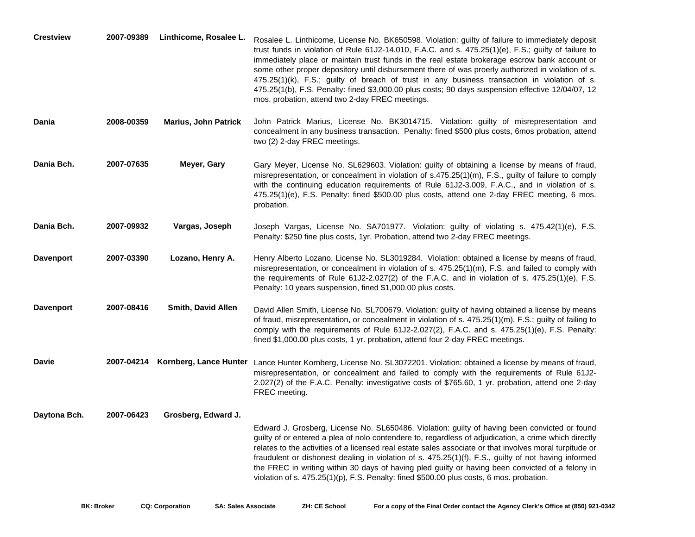| <b>Crestview</b> | 2007-09389 | Linthicome, Rosalee L.      | Rosalee L. Linthicome, License No. BK650598. Violation: guilty of failure to immediately deposit<br>trust funds in violation of Rule 61J2-14.010, F.A.C. and s. 475.25(1)(e), F.S.; guilty of failure to<br>immediately place or maintain trust funds in the real estate brokerage escrow bank account or<br>some other proper depository until disbursement there of was proerly authorized in violation of s.<br>475.25(1)(k), F.S.; guilty of breach of trust in any business transaction in violation of s.<br>475.25(1(b), F.S. Penalty: fined \$3,000.00 plus costs; 90 days suspension effective 12/04/07, 12<br>mos. probation, attend two 2-day FREC meetings. |
|------------------|------------|-----------------------------|-------------------------------------------------------------------------------------------------------------------------------------------------------------------------------------------------------------------------------------------------------------------------------------------------------------------------------------------------------------------------------------------------------------------------------------------------------------------------------------------------------------------------------------------------------------------------------------------------------------------------------------------------------------------------|
| Dania            | 2008-00359 | <b>Marius, John Patrick</b> | John Patrick Marius, License No. BK3014715. Violation: guilty of misrepresentation and<br>concealment in any business transaction. Penalty: fined \$500 plus costs, 6mos probation, attend<br>two (2) 2-day FREC meetings.                                                                                                                                                                                                                                                                                                                                                                                                                                              |
| Dania Bch.       | 2007-07635 | Meyer, Gary                 | Gary Meyer, License No. SL629603. Violation: guilty of obtaining a license by means of fraud,<br>misrepresentation, or concealment in violation of s.475.25(1)(m), F.S., guilty of failure to comply<br>with the continuing education requirements of Rule 61J2-3.009, F.A.C., and in violation of s.<br>475.25(1)(e), F.S. Penalty: fined \$500.00 plus costs, attend one 2-day FREC meeting, 6 mos.<br>probation.                                                                                                                                                                                                                                                     |
| Dania Bch.       | 2007-09932 | Vargas, Joseph              | Joseph Vargas, License No. SA701977. Violation: guilty of violating s. 475.42(1)(e), F.S.<br>Penalty: \$250 fine plus costs, 1yr. Probation, attend two 2-day FREC meetings.                                                                                                                                                                                                                                                                                                                                                                                                                                                                                            |
| <b>Davenport</b> | 2007-03390 | Lozano, Henry A.            | Henry Alberto Lozano, License No. SL3019284. Violation: obtained a license by means of fraud,<br>misrepresentation, or concealment in violation of s. 475.25(1)(m), F.S. and failed to comply with<br>the requirements of Rule 61J2-2.027(2) of the F.A.C. and in violation of s. $475.25(1)(e)$ , F.S.<br>Penalty: 10 years suspension, fined \$1,000.00 plus costs.                                                                                                                                                                                                                                                                                                   |
| <b>Davenport</b> | 2007-08416 | <b>Smith, David Allen</b>   | David Allen Smith, License No. SL700679. Violation: guilty of having obtained a license by means<br>of fraud, misrepresentation, or concealment in violation of s. 475.25(1)(m), F.S.; guilty of failing to<br>comply with the requirements of Rule 61J2-2.027(2), F.A.C. and s. 475.25(1)(e), F.S. Penalty:<br>fined \$1,000.00 plus costs, 1 yr. probation, attend four 2-day FREC meetings.                                                                                                                                                                                                                                                                          |
| <b>Davie</b>     | 2007-04214 |                             | Kornberg, Lance Hunter Lance Hunter Kornberg, License No. SL3072201. Violation: obtained a license by means of fraud,<br>misrepresentation, or concealment and failed to comply with the requirements of Rule 61J2-<br>2.027(2) of the F.A.C. Penalty: investigative costs of \$765.60, 1 yr. probation, attend one 2-day<br>FREC meeting.                                                                                                                                                                                                                                                                                                                              |
| Daytona Bch.     | 2007-06423 | Grosberg, Edward J.         | Edward J. Grosberg, License No. SL650486. Violation: guilty of having been convicted or found<br>guilty of or entered a plea of nolo contendere to, regardless of adjudication, a crime which directly<br>relates to the activities of a licensed real estate sales associate or that involves moral turpitude or<br>fraudulent or dishonest dealing in violation of s. 475.25(1)(f), F.S., guilty of not having informed<br>the FREC in writing within 30 days of having pled guilty or having been convicted of a felony in<br>violation of s. 475.25(1)(p), F.S. Penalty: fined \$500.00 plus costs, 6 mos. probation.                                               |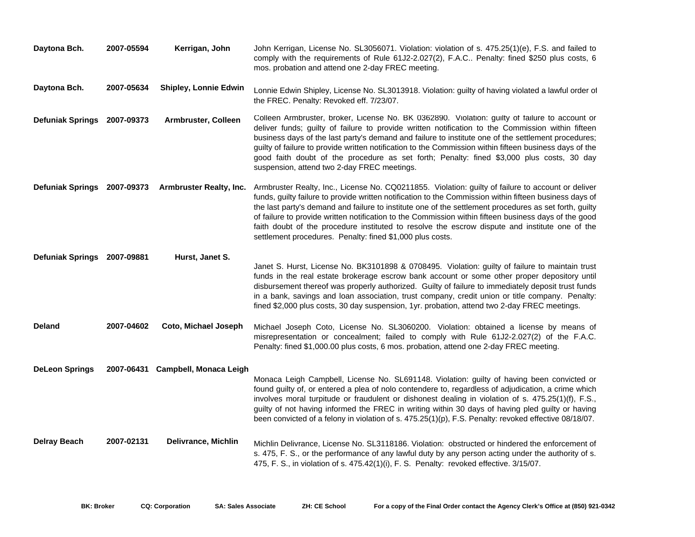| Daytona Bch.                | 2007-05594 | Kerrigan, John               | John Kerrigan, License No. SL3056071. Violation: violation of s. 475.25(1)(e), F.S. and failed to<br>comply with the requirements of Rule 61J2-2.027(2), F.A.C Penalty: fined \$250 plus costs, 6<br>mos. probation and attend one 2-day FREC meeting.                                                                                                                                                                                                                                                                                                                                          |
|-----------------------------|------------|------------------------------|-------------------------------------------------------------------------------------------------------------------------------------------------------------------------------------------------------------------------------------------------------------------------------------------------------------------------------------------------------------------------------------------------------------------------------------------------------------------------------------------------------------------------------------------------------------------------------------------------|
| Daytona Bch.                | 2007-05634 | <b>Shipley, Lonnie Edwin</b> | Lonnie Edwin Shipley, License No. SL3013918. Violation: guilty of having violated a lawful order of<br>the FREC. Penalty: Revoked eff. 7/23/07.                                                                                                                                                                                                                                                                                                                                                                                                                                                 |
| Defuniak Springs 2007-09373 |            | Armbruster, Colleen          | Colleen Armbruster, broker, License No. BK 0362890. Violation: guilty of failure to account or<br>deliver funds; guilty of failure to provide written notification to the Commission within fifteen<br>business days of the last party's demand and failure to institute one of the settlement procedures;<br>guilty of failure to provide written notification to the Commission within fifteen business days of the<br>good faith doubt of the procedure as set forth; Penalty: fined \$3,000 plus costs, 30 day<br>suspension, attend two 2-day FREC meetings.                               |
| Defuniak Springs 2007-09373 |            | Armbruster Realty, Inc.      | Armbruster Realty, Inc., License No. CQ0211855. Violation: guilty of failure to account or deliver<br>funds, guilty failure to provide written notification to the Commission within fifteen business days of<br>the last party's demand and failure to institute one of the settlement procedures as set forth, guilty<br>of failure to provide written notification to the Commission within fifteen business days of the good<br>faith doubt of the procedure instituted to resolve the escrow dispute and institute one of the<br>settlement procedures. Penalty: fined \$1,000 plus costs. |
| Defuniak Springs 2007-09881 |            | Hurst, Janet S.              |                                                                                                                                                                                                                                                                                                                                                                                                                                                                                                                                                                                                 |
|                             |            |                              | Janet S. Hurst, License No. BK3101898 & 0708495. Violation: guilty of failure to maintain trust<br>funds in the real estate brokerage escrow bank account or some other proper depository until<br>disbursement thereof was properly authorized. Guilty of failure to immediately deposit trust funds<br>in a bank, savings and loan association, trust company, credit union or title company. Penalty:<br>fined \$2,000 plus costs, 30 day suspension, 1yr. probation, attend two 2-day FREC meetings.                                                                                        |
| <b>Deland</b>               | 2007-04602 | Coto, Michael Joseph         | Michael Joseph Coto, License No. SL3060200. Violation: obtained a license by means of<br>misrepresentation or concealment; failed to comply with Rule 61J2-2.027(2) of the F.A.C.<br>Penalty: fined \$1,000.00 plus costs, 6 mos. probation, attend one 2-day FREC meeting.                                                                                                                                                                                                                                                                                                                     |
| <b>DeLeon Springs</b>       | 2007-06431 | Campbell, Monaca Leigh       | Monaca Leigh Campbell, License No. SL691148. Violation: guilty of having been convicted or<br>found guilty of, or entered a plea of nolo contendere to, regardless of adjudication, a crime which<br>involves moral turpitude or fraudulent or dishonest dealing in violation of s. 475.25(1)(f), F.S.,<br>guilty of not having informed the FREC in writing within 30 days of having pled guilty or having<br>been convicted of a felony in violation of s. 475.25(1)(p), F.S. Penalty: revoked effective 08/18/07.                                                                            |
| <b>Delray Beach</b>         | 2007-02131 | <b>Delivrance, Michlin</b>   | Michlin Delivrance, License No. SL3118186. Violation: obstructed or hindered the enforcement of<br>s. 475, F. S., or the performance of any lawful duty by any person acting under the authority of s.<br>475, F. S., in violation of s. 475.42(1)(i), F. S. Penalty: revoked effective. 3/15/07.                                                                                                                                                                                                                                                                                               |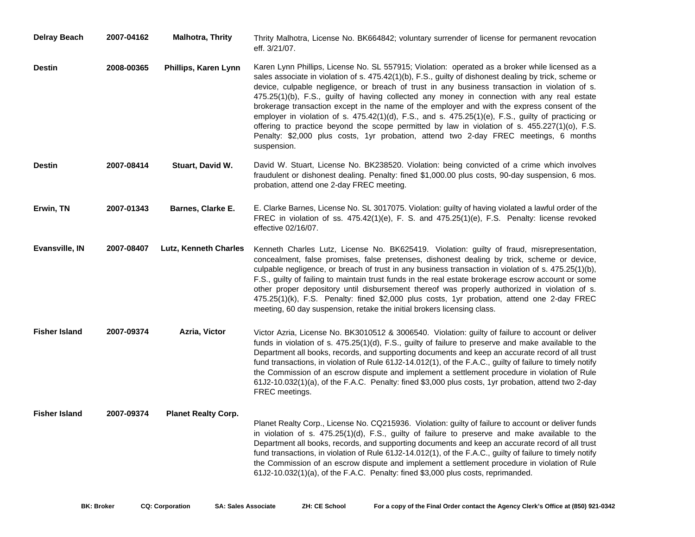| <b>Delray Beach</b>  | 2007-04162 | <b>Malhotra, Thrity</b>      | Thrity Malhotra, License No. BK664842; voluntary surrender of license for permanent revocation<br>eff. 3/21/07.                                                                                                                                                                                                                                                                                                                                                                                                                                                                                                                                                                                                                                                                                                                |
|----------------------|------------|------------------------------|--------------------------------------------------------------------------------------------------------------------------------------------------------------------------------------------------------------------------------------------------------------------------------------------------------------------------------------------------------------------------------------------------------------------------------------------------------------------------------------------------------------------------------------------------------------------------------------------------------------------------------------------------------------------------------------------------------------------------------------------------------------------------------------------------------------------------------|
| <b>Destin</b>        | 2008-00365 | Phillips, Karen Lynn         | Karen Lynn Phillips, License No. SL 557915; Violation: operated as a broker while licensed as a<br>sales associate in violation of s. 475.42(1)(b), F.S., guilty of dishonest dealing by trick, scheme or<br>device, culpable negligence, or breach of trust in any business transaction in violation of s.<br>475.25(1)(b), F.S., guilty of having collected any money in connection with any real estate<br>brokerage transaction except in the name of the employer and with the express consent of the<br>employer in violation of s. $475.42(1)(d)$ , F.S., and s. $475.25(1)(e)$ , F.S., guilty of practicing or<br>offering to practice beyond the scope permitted by law in violation of s. 455.227(1)(o), F.S.<br>Penalty: \$2,000 plus costs, 1yr probation, attend two 2-day FREC meetings, 6 months<br>suspension. |
| <b>Destin</b>        | 2007-08414 | Stuart, David W.             | David W. Stuart, License No. BK238520. Violation: being convicted of a crime which involves<br>fraudulent or dishonest dealing. Penalty: fined \$1,000.00 plus costs, 90-day suspension, 6 mos.<br>probation, attend one 2-day FREC meeting.                                                                                                                                                                                                                                                                                                                                                                                                                                                                                                                                                                                   |
| Erwin, TN            | 2007-01343 | Barnes, Clarke E.            | E. Clarke Barnes, License No. SL 3017075. Violation: guilty of having violated a lawful order of the<br>FREC in violation of ss. 475.42(1)(e), F. S. and 475.25(1)(e), F.S. Penalty: license revoked<br>effective 02/16/07.                                                                                                                                                                                                                                                                                                                                                                                                                                                                                                                                                                                                    |
| Evansville, IN       | 2007-08407 | <b>Lutz, Kenneth Charles</b> | Kenneth Charles Lutz, License No. BK625419. Violation: guilty of fraud, misrepresentation,<br>concealment, false promises, false pretenses, dishonest dealing by trick, scheme or device,<br>culpable negligence, or breach of trust in any business transaction in violation of s. $475.25(1)(b)$ ,<br>F.S., guilty of failing to maintain trust funds in the real estate brokerage escrow account or some<br>other proper depository until disbursement thereof was properly authorized in violation of s.<br>475.25(1)(k), F.S. Penalty: fined \$2,000 plus costs, 1yr probation, attend one 2-day FREC<br>meeting, 60 day suspension, retake the initial brokers licensing class.                                                                                                                                          |
| <b>Fisher Island</b> | 2007-09374 | Azria, Victor                | Victor Azria, License No. BK3010512 & 3006540. Violation: guilty of failure to account or deliver<br>funds in violation of s. $475.25(1)(d)$ , F.S., guilty of failure to preserve and make available to the<br>Department all books, records, and supporting documents and keep an accurate record of all trust<br>fund transactions, in violation of Rule 61J2-14.012(1), of the F.A.C., guilty of failure to timely notify<br>the Commission of an escrow dispute and implement a settlement procedure in violation of Rule<br>61J2-10.032(1)(a), of the F.A.C. Penalty: fined \$3,000 plus costs, 1yr probation, attend two 2-day<br>FREC meetings.                                                                                                                                                                        |
| <b>Fisher Island</b> | 2007-09374 | <b>Planet Realty Corp.</b>   | Planet Realty Corp., License No. CQ215936. Violation: guilty of failure to account or deliver funds<br>in violation of s. $475.25(1)(d)$ , F.S., guilty of failure to preserve and make available to the<br>Department all books, records, and supporting documents and keep an accurate record of all trust<br>fund transactions, in violation of Rule 61J2-14.012(1), of the F.A.C., guilty of failure to timely notify<br>the Commission of an escrow dispute and implement a settlement procedure in violation of Rule<br>61J2-10.032(1)(a), of the F.A.C. Penalty: fined \$3,000 plus costs, reprimanded.                                                                                                                                                                                                                 |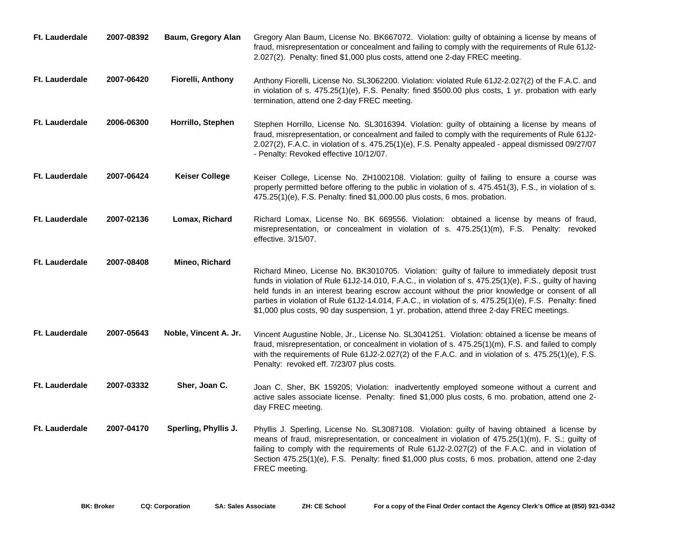| <b>Ft. Lauderdale</b> | 2007-08392 | Baum, Gregory Alan       | Gregory Alan Baum, License No. BK667072. Violation: guilty of obtaining a license by means of<br>fraud, misrepresentation or concealment and failing to comply with the requirements of Rule 61J2-<br>2.027(2). Penalty: fined \$1,000 plus costs, attend one 2-day FREC meeting.                                                                                                                                                                                                                                   |
|-----------------------|------------|--------------------------|---------------------------------------------------------------------------------------------------------------------------------------------------------------------------------------------------------------------------------------------------------------------------------------------------------------------------------------------------------------------------------------------------------------------------------------------------------------------------------------------------------------------|
| <b>Ft. Lauderdale</b> | 2007-06420 | <b>Fiorelli, Anthony</b> | Anthony Fiorelli, License No. SL3062200. Violation: violated Rule 61J2-2.027(2) of the F.A.C. and<br>in violation of s. 475.25(1)(e), F.S. Penalty: fined \$500.00 plus costs, 1 yr. probation with early<br>termination, attend one 2-day FREC meeting.                                                                                                                                                                                                                                                            |
| <b>Ft. Lauderdale</b> | 2006-06300 | Horrillo, Stephen        | Stephen Horrillo, License No. SL3016394. Violation: guilty of obtaining a license by means of<br>fraud, misrepresentation, or concealment and failed to comply with the requirements of Rule 61J2-<br>2.027(2), F.A.C. in violation of s. 475.25(1)(e), F.S. Penalty appealed - appeal dismissed 09/27/07<br>- Penalty: Revoked effective 10/12/07.                                                                                                                                                                 |
| Ft. Lauderdale        | 2007-06424 | <b>Keiser College</b>    | Keiser College, License No. ZH1002108. Violation: guilty of failing to ensure a course was<br>properly permitted before offering to the public in violation of s. 475.451(3), F.S., in violation of s.<br>475.25(1)(e), F.S. Penalty: fined \$1,000.00 plus costs, 6 mos. probation.                                                                                                                                                                                                                                |
| <b>Ft. Lauderdale</b> | 2007-02136 | Lomax, Richard           | Richard Lomax, License No. BK 669556. Violation: obtained a license by means of fraud,<br>misrepresentation, or concealment in violation of s. 475.25(1)(m), F.S. Penalty: revoked<br>effective. 3/15/07.                                                                                                                                                                                                                                                                                                           |
| <b>Ft. Lauderdale</b> | 2007-08408 | Mineo, Richard           | Richard Mineo, License No. BK3010705. Violation: guilty of failure to immediately deposit trust<br>funds in violation of Rule 61J2-14.010, F.A.C., in violation of s. 475.25(1)(e), F.S., guilty of having<br>held funds in an interest bearing escrow account without the prior knowledge or consent of all<br>parties in violation of Rule 61J2-14.014, F.A.C., in violation of s. 475.25(1)(e), F.S. Penalty: fined<br>\$1,000 plus costs, 90 day suspension, 1 yr. probation, attend three 2-day FREC meetings. |
| <b>Ft. Lauderdale</b> | 2007-05643 | Noble, Vincent A. Jr.    | Vincent Augustine Noble, Jr., License No. SL3041251. Violation: obtained a license be means of<br>fraud, misrepresentation, or concealment in violation of s. 475.25(1)(m), F.S. and failed to comply<br>with the requirements of Rule $61J2-2.027(2)$ of the F.A.C. and in violation of s. $475.25(1)(e)$ , F.S.<br>Penalty: revoked eff. 7/23/07 plus costs.                                                                                                                                                      |
| <b>Ft. Lauderdale</b> | 2007-03332 | Sher, Joan C.            | Joan C. Sher, BK 159205; Violation: inadvertently employed someone without a current and<br>active sales associate license. Penalty: fined \$1,000 plus costs, 6 mo. probation, attend one 2-<br>day FREC meeting.                                                                                                                                                                                                                                                                                                  |
| Ft. Lauderdale        | 2007-04170 | Sperling, Phyllis J.     | Phyllis J. Sperling, License No. SL3087108. Violation: guilty of having obtained a license by<br>means of fraud, misrepresentation, or concealment in violation of 475.25(1)(m), F. S.; guilty of<br>failing to comply with the requirements of Rule 61J2-2.027(2) of the F.A.C. and in violation of<br>Section 475.25(1)(e), F.S. Penalty: fined \$1,000 plus costs, 6 mos. probation, attend one 2-day<br>FREC meeting.                                                                                           |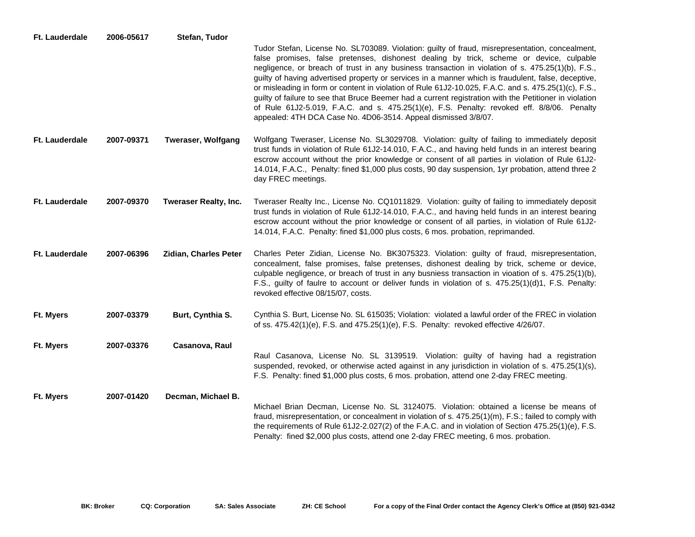| Ft. Lauderdale        | 2006-05617 | Stefan, Tudor                |                                                                                                                                                                                                                                                                                                                                                                                                                                                                                                                                                                                                                                                                                                                                                                                          |
|-----------------------|------------|------------------------------|------------------------------------------------------------------------------------------------------------------------------------------------------------------------------------------------------------------------------------------------------------------------------------------------------------------------------------------------------------------------------------------------------------------------------------------------------------------------------------------------------------------------------------------------------------------------------------------------------------------------------------------------------------------------------------------------------------------------------------------------------------------------------------------|
|                       |            |                              | Tudor Stefan, License No. SL703089. Violation: guilty of fraud, misrepresentation, concealment,<br>false promises, false pretenses, dishonest dealing by trick, scheme or device, culpable<br>negligence, or breach of trust in any business transaction in violation of s. 475.25(1)(b), F.S.,<br>guilty of having advertised property or services in a manner which is fraudulent, false, deceptive,<br>or misleading in form or content in violation of Rule 61J2-10.025, F.A.C. and s. 475.25(1)(c), F.S.,<br>guilty of failure to see that Bruce Beemer had a current registration with the Petitioner in violation<br>of Rule 61J2-5.019, F.A.C. and s. 475.25(1)(e), F.S. Penalty: revoked eff. 8/8/06. Penalty<br>appealed: 4TH DCA Case No. 4D06-3514. Appeal dismissed 3/8/07. |
| <b>Ft. Lauderdale</b> | 2007-09371 | <b>Tweraser, Wolfgang</b>    | Wolfgang Tweraser, License No. SL3029708. Violation: guilty of failing to immediately deposit<br>trust funds in violation of Rule 61J2-14.010, F.A.C., and having held funds in an interest bearing<br>escrow account without the prior knowledge or consent of all parties in violation of Rule 61J2-<br>14.014, F.A.C., Penalty: fined \$1,000 plus costs, 90 day suspension, 1yr probation, attend three 2<br>day FREC meetings.                                                                                                                                                                                                                                                                                                                                                      |
| <b>Ft. Lauderdale</b> | 2007-09370 | <b>Tweraser Realty, Inc.</b> | Tweraser Realty Inc., License No. CQ1011829. Violation: guilty of failing to immediately deposit<br>trust funds in violation of Rule 61J2-14.010, F.A.C., and having held funds in an interest bearing<br>escrow account without the prior knowledge or consent of all parties, in violation of Rule 61J2-<br>14.014, F.A.C. Penalty: fined \$1,000 plus costs, 6 mos. probation, reprimanded.                                                                                                                                                                                                                                                                                                                                                                                           |
| <b>Ft. Lauderdale</b> | 2007-06396 | Zidian, Charles Peter        | Charles Peter Zidian, License No. BK3075323. Violation: guilty of fraud, misrepresentation,<br>concealment, false promises, false pretenses, dishonest dealing by trick, scheme or device,<br>culpable negligence, or breach of trust in any busniess transaction in vioation of s. 475.25(1)(b),<br>F.S., guilty of faulre to account or deliver funds in violation of s. 475.25(1)(d)1, F.S. Penalty:<br>revoked effective 08/15/07, costs.                                                                                                                                                                                                                                                                                                                                            |
| Ft. Myers             | 2007-03379 | Burt, Cynthia S.             | Cynthia S. Burt, License No. SL 615035; Violation: violated a lawful order of the FREC in violation<br>of ss. 475.42(1)(e), F.S. and 475.25(1)(e), F.S. Penalty: revoked effective 4/26/07.                                                                                                                                                                                                                                                                                                                                                                                                                                                                                                                                                                                              |
| Ft. Myers             | 2007-03376 | Casanova, Raul               | Raul Casanova, License No. SL 3139519. Violation: guilty of having had a registration<br>suspended, revoked, or otherwise acted against in any jurisdiction in violation of s. 475.25(1)(s),<br>F.S. Penalty: fined \$1,000 plus costs, 6 mos. probation, attend one 2-day FREC meeting.                                                                                                                                                                                                                                                                                                                                                                                                                                                                                                 |
| Ft. Myers             | 2007-01420 | Decman, Michael B.           | Michael Brian Decman, License No. SL 3124075. Violation: obtained a license be means of<br>fraud, misrepresentation, or concealment in violation of s. 475.25(1)(m), F.S.; failed to comply with<br>the requirements of Rule 61J2-2.027(2) of the F.A.C. and in violation of Section 475.25(1)(e), F.S.<br>Penalty: fined \$2,000 plus costs, attend one 2-day FREC meeting, 6 mos. probation.                                                                                                                                                                                                                                                                                                                                                                                           |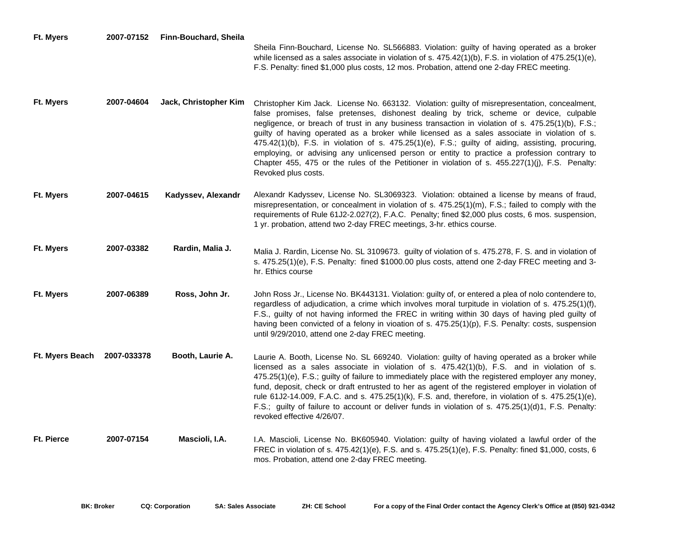| <b>Ft. Myers</b>  | 2007-07152  | Finn-Bouchard, Sheila | Sheila Finn-Bouchard, License No. SL566883. Violation: guilty of having operated as a broker<br>while licensed as a sales associate in violation of s. $475.42(1)(b)$ , F.S. in violation of $475.25(1)(e)$ ,<br>F.S. Penalty: fined \$1,000 plus costs, 12 mos. Probation, attend one 2-day FREC meeting.                                                                                                                                                                                                                                                                                                                                                                                                                   |
|-------------------|-------------|-----------------------|------------------------------------------------------------------------------------------------------------------------------------------------------------------------------------------------------------------------------------------------------------------------------------------------------------------------------------------------------------------------------------------------------------------------------------------------------------------------------------------------------------------------------------------------------------------------------------------------------------------------------------------------------------------------------------------------------------------------------|
| Ft. Myers         | 2007-04604  | Jack, Christopher Kim | Christopher Kim Jack. License No. 663132. Violation: guilty of misrepresentation, concealment,<br>false promises, false pretenses, dishonest dealing by trick, scheme or device, culpable<br>negligence, or breach of trust in any business transaction in violation of s. 475.25(1)(b), F.S.;<br>guilty of having operated as a broker while licensed as a sales associate in violation of s.<br>475.42(1)(b), F.S. in violation of s. 475.25(1)(e), F.S.; guilty of aiding, assisting, procuring,<br>employing, or advising any unlicensed person or entity to practice a profession contrary to<br>Chapter 455, 475 or the rules of the Petitioner in violation of s. 455.227(1)(j), F.S. Penalty:<br>Revoked plus costs. |
| Ft. Myers         | 2007-04615  | Kadyssev, Alexandr    | Alexandr Kadyssev, License No. SL3069323. Violation: obtained a license by means of fraud,<br>misrepresentation, or concealment in violation of s. 475.25(1)(m), F.S.; failed to comply with the<br>requirements of Rule 61J2-2.027(2), F.A.C. Penalty; fined \$2,000 plus costs, 6 mos. suspension,<br>1 yr. probation, attend two 2-day FREC meetings, 3-hr. ethics course.                                                                                                                                                                                                                                                                                                                                                |
| Ft. Myers         | 2007-03382  | Rardin, Malia J.      | Malia J. Rardin, License No. SL 3109673. guilty of violation of s. 475.278, F. S. and in violation of<br>s. 475.25(1)(e), F.S. Penalty: fined \$1000.00 plus costs, attend one 2-day FREC meeting and 3-<br>hr. Ethics course                                                                                                                                                                                                                                                                                                                                                                                                                                                                                                |
| Ft. Myers         | 2007-06389  | Ross, John Jr.        | John Ross Jr., License No. BK443131. Violation: guilty of, or entered a plea of nolo contendere to,<br>regardless of adjudication, a crime which involves moral turpitude in violation of s. 475.25(1)(f),<br>F.S., guilty of not having informed the FREC in writing within 30 days of having pled guilty of<br>having been convicted of a felony in vioation of s. 475.25(1)(p), F.S. Penalty: costs, suspension<br>until 9/29/2010, attend one 2-day FREC meeting.                                                                                                                                                                                                                                                        |
| Ft. Myers Beach   | 2007-033378 | Booth, Laurie A.      | Laurie A. Booth, License No. SL 669240. Violation: guilty of having operated as a broker while<br>licensed as a sales associate in violation of s. 475.42(1)(b), F.S. and in violation of s.<br>475.25(1)(e), F.S.; guilty of failure to immediately place with the registered employer any money,<br>fund, deposit, check or draft entrusted to her as agent of the registered employer in violation of<br>rule 61J2-14.009, F.A.C. and s. 475.25(1)(k), F.S. and, therefore, in violation of s. 475.25(1)(e),<br>F.S.; guilty of failure to account or deliver funds in violation of s. 475.25(1)(d)1, F.S. Penalty:<br>revoked effective 4/26/07.                                                                         |
| <b>Ft. Pierce</b> | 2007-07154  | Mascioli, I.A.        | I.A. Mascioli, License No. BK605940. Violation: guilty of having violated a lawful order of the<br>FREC in violation of s. 475.42(1)(e), F.S. and s. 475.25(1)(e), F.S. Penalty: fined \$1,000, costs, 6<br>mos. Probation, attend one 2-day FREC meeting.                                                                                                                                                                                                                                                                                                                                                                                                                                                                   |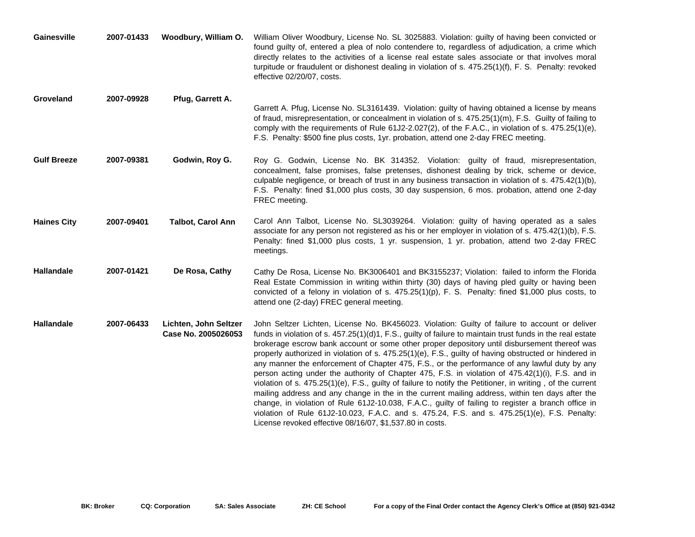| Gainesville        | 2007-01433 | Woodbury, William O.                         | William Oliver Woodbury, License No. SL 3025883. Violation: guilty of having been convicted or<br>found guilty of, entered a plea of nolo contendere to, regardless of adjudication, a crime which<br>directly relates to the activities of a license real estate sales associate or that involves moral<br>turpitude or fraudulent or dishonest dealing in violation of s. 475.25(1)(f), F. S. Penalty: revoked<br>effective 02/20/07, costs.                                                                                                                                                                                                                                                                                                                                                                                                                                                                                                                                                                                                                                                                   |
|--------------------|------------|----------------------------------------------|------------------------------------------------------------------------------------------------------------------------------------------------------------------------------------------------------------------------------------------------------------------------------------------------------------------------------------------------------------------------------------------------------------------------------------------------------------------------------------------------------------------------------------------------------------------------------------------------------------------------------------------------------------------------------------------------------------------------------------------------------------------------------------------------------------------------------------------------------------------------------------------------------------------------------------------------------------------------------------------------------------------------------------------------------------------------------------------------------------------|
| Groveland          | 2007-09928 | Pfug, Garrett A.                             | Garrett A. Pfug, License No. SL3161439. Violation: guilty of having obtained a license by means<br>of fraud, misrepresentation, or concealment in violation of s. 475.25(1)(m), F.S. Guilty of failing to<br>comply with the requirements of Rule 61J2-2.027(2), of the F.A.C., in violation of s. 475.25(1)(e),<br>F.S. Penalty: \$500 fine plus costs, 1yr. probation, attend one 2-day FREC meeting.                                                                                                                                                                                                                                                                                                                                                                                                                                                                                                                                                                                                                                                                                                          |
| <b>Gulf Breeze</b> | 2007-09381 | Godwin, Roy G.                               | Roy G. Godwin, License No. BK 314352. Violation: guilty of fraud, misrepresentation,<br>concealment, false promises, false pretenses, dishonest dealing by trick, scheme or device,<br>culpable negligence, or breach of trust in any business transaction in violation of s. 475.42(1)(b),<br>F.S. Penalty: fined \$1,000 plus costs, 30 day suspension, 6 mos. probation, attend one 2-day<br>FREC meeting.                                                                                                                                                                                                                                                                                                                                                                                                                                                                                                                                                                                                                                                                                                    |
| <b>Haines City</b> | 2007-09401 | <b>Talbot, Carol Ann</b>                     | Carol Ann Talbot, License No. SL3039264. Violation: guilty of having operated as a sales<br>associate for any person not registered as his or her employer in violation of s. 475.42(1)(b), F.S.<br>Penalty: fined \$1,000 plus costs, 1 yr. suspension, 1 yr. probation, attend two 2-day FREC<br>meetings.                                                                                                                                                                                                                                                                                                                                                                                                                                                                                                                                                                                                                                                                                                                                                                                                     |
| <b>Hallandale</b>  | 2007-01421 | De Rosa, Cathy                               | Cathy De Rosa, License No. BK3006401 and BK3155237; Violation: failed to inform the Florida<br>Real Estate Commission in writing within thirty (30) days of having pled guilty or having been<br>convicted of a felony in violation of s. 475.25(1)(p), F. S. Penalty: fined \$1,000 plus costs, to<br>attend one (2-day) FREC general meeting.                                                                                                                                                                                                                                                                                                                                                                                                                                                                                                                                                                                                                                                                                                                                                                  |
| <b>Hallandale</b>  | 2007-06433 | Lichten, John Seltzer<br>Case No. 2005026053 | John Seltzer Lichten, License No. BK456023. Violation: Guilty of failure to account or deliver<br>funds in violation of s. $457.25(1)(d)1$ , F.S., guilty of failure to maintain trust funds in the real estate<br>brokerage escrow bank account or some other proper depository until disbursement thereof was<br>properly authorized in violation of s. 475.25(1)(e), F.S., guilty of having obstructed or hindered in<br>any manner the enforcement of Chapter 475, F.S., or the performance of any lawful duty by any<br>person acting under the authority of Chapter 475, F.S. in violation of 475.42(1)(i), F.S. and in<br>violation of s. 475.25(1)(e), F.S., guilty of failure to notify the Petitioner, in writing, of the current<br>mailing address and any change in the in the current mailing address, within ten days after the<br>change, in violation of Rule 61J2-10.038, F.A.C., guilty of failing to register a branch office in<br>violation of Rule 61J2-10.023, F.A.C. and s. 475.24, F.S. and s. 475.25(1)(e), F.S. Penalty:<br>License revoked effective 08/16/07, \$1,537.80 in costs. |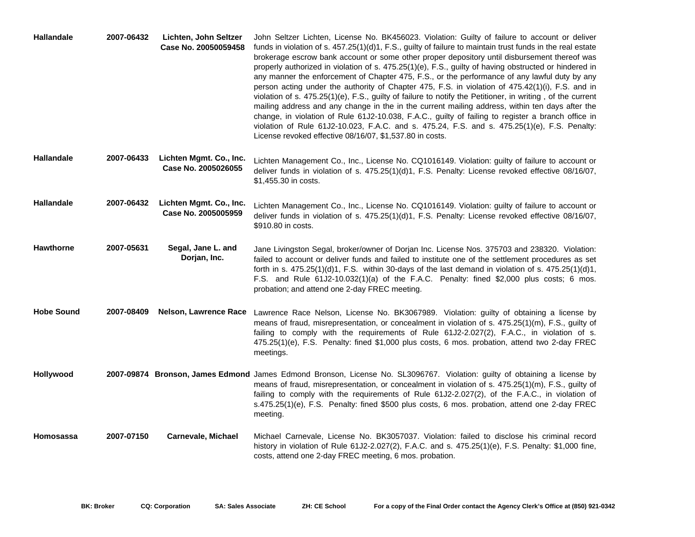| Hallandale        | 2007-06432 | Lichten, John Seltzer<br>Case No. 20050059458  | John Seltzer Lichten, License No. BK456023. Violation: Guilty of failure to account or deliver<br>funds in violation of s. $457.25(1)(d)1$ , F.S., guilty of failure to maintain trust funds in the real estate<br>brokerage escrow bank account or some other proper depository until disbursement thereof was<br>properly authorized in violation of s. 475.25(1)(e), F.S., guilty of having obstructed or hindered in<br>any manner the enforcement of Chapter 475, F.S., or the performance of any lawful duty by any<br>person acting under the authority of Chapter 475, F.S. in violation of 475.42(1)(i), F.S. and in<br>violation of s. 475.25(1)(e), F.S., guilty of failure to notify the Petitioner, in writing, of the current<br>mailing address and any change in the in the current mailing address, within ten days after the<br>change, in violation of Rule 61J2-10.038, F.A.C., guilty of failing to register a branch office in<br>violation of Rule 61J2-10.023, F.A.C. and s. 475.24, F.S. and s. 475.25(1)(e), F.S. Penalty:<br>License revoked effective 08/16/07, \$1,537.80 in costs. |
|-------------------|------------|------------------------------------------------|------------------------------------------------------------------------------------------------------------------------------------------------------------------------------------------------------------------------------------------------------------------------------------------------------------------------------------------------------------------------------------------------------------------------------------------------------------------------------------------------------------------------------------------------------------------------------------------------------------------------------------------------------------------------------------------------------------------------------------------------------------------------------------------------------------------------------------------------------------------------------------------------------------------------------------------------------------------------------------------------------------------------------------------------------------------------------------------------------------------|
| <b>Hallandale</b> | 2007-06433 | Lichten Mgmt. Co., Inc.<br>Case No. 2005026055 | Lichten Management Co., Inc., License No. CQ1016149. Violation: guilty of failure to account or<br>deliver funds in violation of s. 475.25(1)(d)1, F.S. Penalty: License revoked effective 08/16/07,<br>\$1,455.30 in costs.                                                                                                                                                                                                                                                                                                                                                                                                                                                                                                                                                                                                                                                                                                                                                                                                                                                                                     |
| <b>Hallandale</b> | 2007-06432 | Lichten Mgmt. Co., Inc.<br>Case No. 2005005959 | Lichten Management Co., Inc., License No. CQ1016149. Violation: guilty of failure to account or<br>deliver funds in violation of s. 475.25(1)(d)1, F.S. Penalty: License revoked effective 08/16/07,<br>\$910.80 in costs.                                                                                                                                                                                                                                                                                                                                                                                                                                                                                                                                                                                                                                                                                                                                                                                                                                                                                       |
| <b>Hawthorne</b>  | 2007-05631 | Segal, Jane L. and<br>Dorjan, Inc.             | Jane Livingston Segal, broker/owner of Dorjan Inc. License Nos. 375703 and 238320. Violation:<br>failed to account or deliver funds and failed to institute one of the settlement procedures as set<br>forth in s. $475.25(1)(d)1$ , F.S. within 30-days of the last demand in violation of s. $475.25(1)(d)1$ ,<br>F.S. and Rule 61J2-10.032(1)(a) of the F.A.C. Penalty: fined \$2,000 plus costs; 6 mos.<br>probation; and attend one 2-day FREC meeting.                                                                                                                                                                                                                                                                                                                                                                                                                                                                                                                                                                                                                                                     |
| <b>Hobe Sound</b> | 2007-08409 | Nelson, Lawrence Race                          | Lawrence Race Nelson, License No. BK3067989. Violation: guilty of obtaining a license by<br>means of fraud, misrepresentation, or concealment in violation of s. 475.25(1)(m), F.S., guilty of<br>failing to comply with the requirements of Rule 61J2-2.027(2), F.A.C., in violation of s.<br>475.25(1)(e), F.S. Penalty: fined \$1,000 plus costs, 6 mos. probation, attend two 2-day FREC<br>meetings.                                                                                                                                                                                                                                                                                                                                                                                                                                                                                                                                                                                                                                                                                                        |
| Hollywood         |            |                                                | 2007-09874 Bronson, James Edmond James Edmond Bronson, License No. SL3096767. Violation: guilty of obtaining a license by<br>means of fraud, misrepresentation, or concealment in violation of s. 475.25(1)(m), F.S., guilty of<br>failing to comply with the requirements of Rule 61J2-2.027(2), of the F.A.C., in violation of<br>s.475.25(1)(e), F.S. Penalty: fined \$500 plus costs, 6 mos. probation, attend one 2-day FREC<br>meeting.                                                                                                                                                                                                                                                                                                                                                                                                                                                                                                                                                                                                                                                                    |
| Homosassa         | 2007-07150 | <b>Carnevale, Michael</b>                      | Michael Carnevale, License No. BK3057037. Violation: failed to disclose his criminal record<br>history in violation of Rule 61J2-2.027(2), F.A.C. and s. 475.25(1)(e), F.S. Penalty: \$1,000 fine,<br>costs, attend one 2-day FREC meeting, 6 mos. probation.                                                                                                                                                                                                                                                                                                                                                                                                                                                                                                                                                                                                                                                                                                                                                                                                                                                    |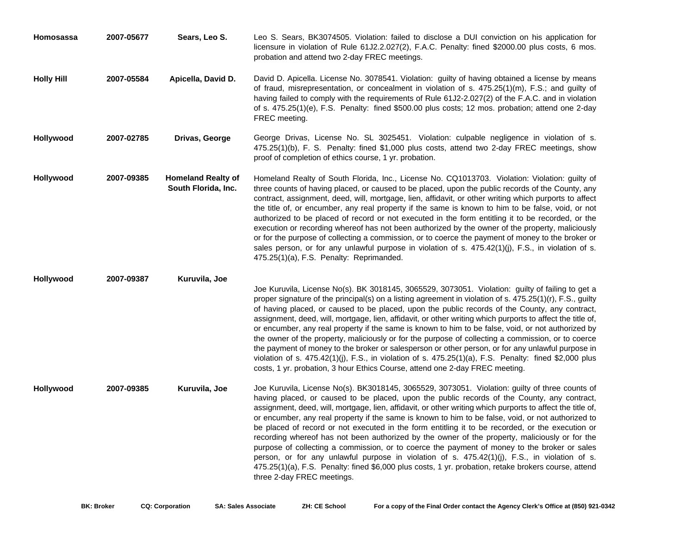| <b>Homosassa</b>  | 2007-05677 | Sears, Leo S.                                    | Leo S. Sears, BK3074505. Violation: failed to disclose a DUI conviction on his application for<br>licensure in violation of Rule 61J2.2.027(2), F.A.C. Penalty: fined \$2000.00 plus costs, 6 mos.<br>probation and attend two 2-day FREC meetings.                                                                                                                                                                                                                                                                                                                                                                                                                                                                                                                                                                                                                                                                                                               |
|-------------------|------------|--------------------------------------------------|-------------------------------------------------------------------------------------------------------------------------------------------------------------------------------------------------------------------------------------------------------------------------------------------------------------------------------------------------------------------------------------------------------------------------------------------------------------------------------------------------------------------------------------------------------------------------------------------------------------------------------------------------------------------------------------------------------------------------------------------------------------------------------------------------------------------------------------------------------------------------------------------------------------------------------------------------------------------|
| <b>Holly Hill</b> | 2007-05584 | Apicella, David D.                               | David D. Apicella. License No. 3078541. Violation: guilty of having obtained a license by means<br>of fraud, misrepresentation, or concealment in violation of s. 475.25(1)(m), F.S.; and guilty of<br>having failed to comply with the requirements of Rule 61J2-2.027(2) of the F.A.C. and in violation<br>of s. 475.25(1)(e), F.S. Penalty: fined \$500.00 plus costs; 12 mos. probation; attend one 2-day<br>FREC meeting.                                                                                                                                                                                                                                                                                                                                                                                                                                                                                                                                    |
| Hollywood         | 2007-02785 | Drivas, George                                   | George Drivas, License No. SL 3025451. Violation: culpable negligence in violation of s.<br>475.25(1)(b), F. S. Penalty: fined \$1,000 plus costs, attend two 2-day FREC meetings, show<br>proof of completion of ethics course, 1 yr. probation.                                                                                                                                                                                                                                                                                                                                                                                                                                                                                                                                                                                                                                                                                                                 |
| Hollywood         | 2007-09385 | <b>Homeland Realty of</b><br>South Florida, Inc. | Homeland Realty of South Florida, Inc., License No. CQ1013703. Violation: Violation: guilty of<br>three counts of having placed, or caused to be placed, upon the public records of the County, any<br>contract, assignment, deed, will, mortgage, lien, affidavit, or other writing which purports to affect<br>the title of, or encumber, any real property if the same is known to him to be false, void, or not<br>authorized to be placed of record or not executed in the form entitling it to be recorded, or the<br>execution or recording whereof has not been authorized by the owner of the property, maliciously<br>or for the purpose of collecting a commission, or to coerce the payment of money to the broker or<br>sales person, or for any unlawful purpose in violation of s. $475.42(1)(j)$ , F.S., in violation of s.<br>475.25(1)(a), F.S. Penalty: Reprimanded.                                                                           |
| Hollywood         | 2007-09387 | Kuruvila, Joe                                    | Joe Kuruvila, License No(s). BK 3018145, 3065529, 3073051. Violation: guilty of failing to get a<br>proper signature of the principal(s) on a listing agreement in violation of s. 475.25(1)(r), F.S., guilty<br>of having placed, or caused to be placed, upon the public records of the County, any contract,<br>assignment, deed, will, mortgage, lien, affidavit, or other writing which purports to affect the title of,<br>or encumber, any real property if the same is known to him to be false, void, or not authorized by<br>the owner of the property, maliciously or for the purpose of collecting a commission, or to coerce<br>the payment of money to the broker or salesperson or other person, or for any unlawful purpose in<br>violation of s. $475.42(1)(j)$ , F.S., in violation of s. $475.25(1)(a)$ , F.S. Penalty: fined \$2,000 plus<br>costs, 1 yr. probation, 3 hour Ethics Course, attend one 2-day FREC meeting.                     |
| Hollywood         | 2007-09385 | Kuruvila, Joe                                    | Joe Kuruvila, License No(s). BK3018145, 3065529, 3073051. Violation: guilty of three counts of<br>having placed, or caused to be placed, upon the public records of the County, any contract,<br>assignment, deed, will, mortgage, lien, affidavit, or other writing which purports to affect the title of,<br>or encumber, any real property if the same is known to him to be false, void, or not authorized to<br>be placed of record or not executed in the form entitling it to be recorded, or the execution or<br>recording whereof has not been authorized by the owner of the property, maliciously or for the<br>purpose of collecting a commission, or to coerce the payment of money to the broker or sales<br>person, or for any unlawful purpose in violation of s. $475.42(1)(i)$ , F.S., in violation of s.<br>475.25(1)(a), F.S. Penalty: fined \$6,000 plus costs, 1 yr. probation, retake brokers course, attend<br>three 2-day FREC meetings. |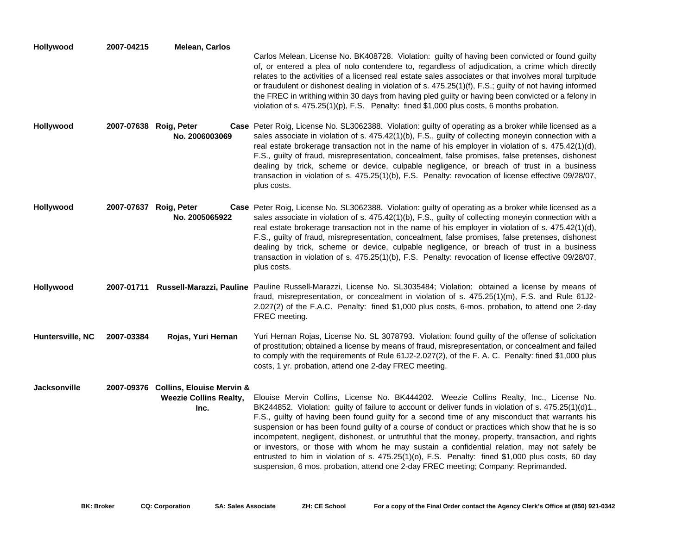| Hollywood           | 2007-04215 | <b>Melean, Carlos</b>                                                  | Carlos Melean, License No. BK408728. Violation: guilty of having been convicted or found guilty<br>of, or entered a plea of nolo contendere to, regardless of adjudication, a crime which directly<br>relates to the activities of a licensed real estate sales associates or that involves moral turpitude<br>or fraudulent or dishonest dealing in violation of s. 475.25(1)(f), F.S.; guilty of not having informed<br>the FREC in writhing within 30 days from having pled guilty or having been convicted or a felony in<br>violation of s. $475.25(1)(p)$ , F.S. Penalty: fined \$1,000 plus costs, 6 months probation.                                                                                                                                                                       |
|---------------------|------------|------------------------------------------------------------------------|-----------------------------------------------------------------------------------------------------------------------------------------------------------------------------------------------------------------------------------------------------------------------------------------------------------------------------------------------------------------------------------------------------------------------------------------------------------------------------------------------------------------------------------------------------------------------------------------------------------------------------------------------------------------------------------------------------------------------------------------------------------------------------------------------------|
| Hollywood           |            | 2007-07638 Roig, Peter<br>No. 2006003069                               | Case Peter Roig, License No. SL3062388. Violation: guilty of operating as a broker while licensed as a<br>sales associate in violation of s. 475.42(1)(b), F.S., guilty of collecting moneyin connection with a<br>real estate brokerage transaction not in the name of his employer in violation of s. $475.42(1)(d)$ ,<br>F.S., guilty of fraud, misrepresentation, concealment, false promises, false pretenses, dishonest<br>dealing by trick, scheme or device, culpable negligence, or breach of trust in a business<br>transaction in violation of s. 475.25(1)(b), F.S. Penalty: revocation of license effective 09/28/07,<br>plus costs.                                                                                                                                                   |
| Hollywood           |            | 2007-07637 Roig, Peter<br>No. 2005065922                               | Case Peter Roig, License No. SL3062388. Violation: guilty of operating as a broker while licensed as a<br>sales associate in violation of s. 475.42(1)(b), F.S., guilty of collecting moneyin connection with a<br>real estate brokerage transaction not in the name of his employer in violation of s. 475.42(1)(d),<br>F.S., guilty of fraud, misrepresentation, concealment, false promises, false pretenses, dishonest<br>dealing by trick, scheme or device, culpable negligence, or breach of trust in a business<br>transaction in violation of s. 475.25(1)(b), F.S. Penalty: revocation of license effective 09/28/07,<br>plus costs.                                                                                                                                                      |
| Hollywood           |            |                                                                        | 2007-01711 Russell-Marazzi, Pauline Pauline Russell-Marazzi, License No. SL3035484; Violation: obtained a license by means of<br>fraud, misrepresentation, or concealment in violation of s. 475.25(1)(m), F.S. and Rule 61J2-<br>2.027(2) of the F.A.C. Penalty: fined \$1,000 plus costs, 6-mos. probation, to attend one 2-day<br>FREC meeting.                                                                                                                                                                                                                                                                                                                                                                                                                                                  |
| Huntersville, NC    | 2007-03384 | Rojas, Yuri Hernan                                                     | Yuri Hernan Rojas, License No. SL 3078793. Violation: found guilty of the offense of solicitation<br>of prostitution; obtained a license by means of fraud, misrepresentation, or concealment and failed<br>to comply with the requirements of Rule 61J2-2.027(2), of the F. A. C. Penalty: fined \$1,000 plus<br>costs, 1 yr. probation, attend one 2-day FREC meeting.                                                                                                                                                                                                                                                                                                                                                                                                                            |
| <b>Jacksonville</b> |            | 2007-09376 Collins, Elouise Mervin &<br>Weezie Collins Realty,<br>Inc. | Elouise Mervin Collins, License No. BK444202. Weezie Collins Realty, Inc., License No.<br>BK244852. Violation: guilty of failure to account or deliver funds in violation of s. 475.25(1)(d)1.,<br>F.S., guilty of having been found guilty for a second time of any misconduct that warrants his<br>suspension or has been found guilty of a course of conduct or practices which show that he is so<br>incompetent, negligent, dishonest, or untruthful that the money, property, transaction, and rights<br>or investors, or those with whom he may sustain a confidential relation, may not safely be<br>entrusted to him in violation of s. 475.25(1)(o), F.S. Penalty: fined \$1,000 plus costs, 60 day<br>suspension, 6 mos. probation, attend one 2-day FREC meeting; Company: Reprimanded. |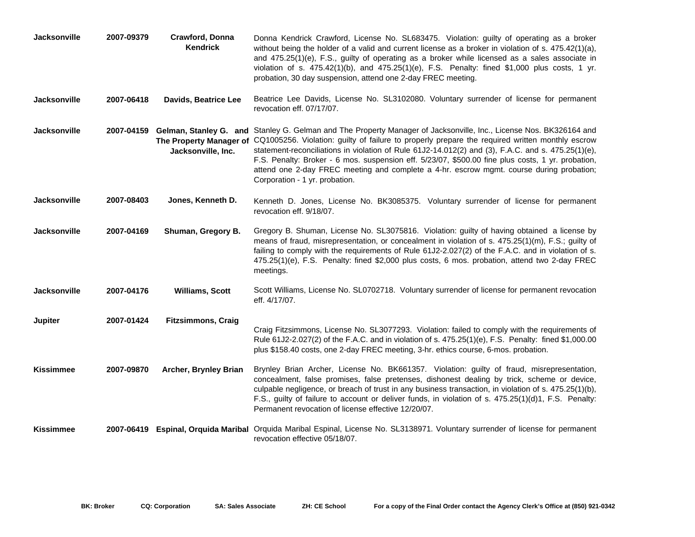| Jacksonville        | 2007-09379 | Crawford, Donna<br><b>Kendrick</b> | Donna Kendrick Crawford, License No. SL683475. Violation: guilty of operating as a broker<br>without being the holder of a valid and current license as a broker in violation of s. 475.42(1)(a),<br>and $475.25(1)(e)$ , F.S., guilty of operating as a broker while licensed as a sales associate in<br>violation of s. $475.42(1)(b)$ , and $475.25(1)(e)$ , F.S. Penalty: fined \$1,000 plus costs, 1 yr.<br>probation, 30 day suspension, attend one 2-day FREC meeting.                                                                                                                     |
|---------------------|------------|------------------------------------|---------------------------------------------------------------------------------------------------------------------------------------------------------------------------------------------------------------------------------------------------------------------------------------------------------------------------------------------------------------------------------------------------------------------------------------------------------------------------------------------------------------------------------------------------------------------------------------------------|
| <b>Jacksonville</b> | 2007-06418 | Davids, Beatrice Lee               | Beatrice Lee Davids, License No. SL3102080. Voluntary surrender of license for permanent<br>revocation eff. 07/17/07.                                                                                                                                                                                                                                                                                                                                                                                                                                                                             |
| <b>Jacksonville</b> |            | Jacksonville, Inc.                 | 2007-04159 Gelman, Stanley G. and Stanley G. Gelman and The Property Manager of Jacksonville, Inc., License Nos. BK326164 and<br>The Property Manager of CQ1005256. Violation: guilty of failure to properly prepare the required written monthly escrow<br>statement-reconciliations in violation of Rule 61J2-14.012(2) and (3), F.A.C. and s. 475.25(1)(e),<br>F.S. Penalty: Broker - 6 mos. suspension eff. 5/23/07, \$500.00 fine plus costs, 1 yr. probation,<br>attend one 2-day FREC meeting and complete a 4-hr. escrow mgmt. course during probation;<br>Corporation - 1 yr. probation. |
| Jacksonville        | 2007-08403 | Jones, Kenneth D.                  | Kenneth D. Jones, License No. BK3085375. Voluntary surrender of license for permanent<br>revocation eff. 9/18/07.                                                                                                                                                                                                                                                                                                                                                                                                                                                                                 |
| <b>Jacksonville</b> | 2007-04169 | Shuman, Gregory B.                 | Gregory B. Shuman, License No. SL3075816. Violation: guilty of having obtained a license by<br>means of fraud, misrepresentation, or concealment in violation of s. 475.25(1)(m), F.S.; guilty of<br>failing to comply with the requirements of Rule 61J2-2.027(2) of the F.A.C. and in violation of s.<br>475.25(1)(e), F.S. Penalty: fined \$2,000 plus costs, 6 mos. probation, attend two 2-day FREC<br>meetings.                                                                                                                                                                             |
| Jacksonville        | 2007-04176 | <b>Williams, Scott</b>             | Scott Williams, License No. SL0702718. Voluntary surrender of license for permanent revocation<br>eff. 4/17/07.                                                                                                                                                                                                                                                                                                                                                                                                                                                                                   |
| <b>Jupiter</b>      | 2007-01424 | <b>Fitzsimmons, Craig</b>          | Craig Fitzsimmons, License No. SL3077293. Violation: failed to comply with the requirements of<br>Rule 61J2-2.027(2) of the F.A.C. and in violation of s. 475.25(1)(e), F.S. Penalty: fined \$1,000.00<br>plus \$158.40 costs, one 2-day FREC meeting, 3-hr. ethics course, 6-mos. probation.                                                                                                                                                                                                                                                                                                     |
| <b>Kissimmee</b>    | 2007-09870 | Archer, Brynley Brian              | Brynley Brian Archer, License No. BK661357. Violation: guilty of fraud, misrepresentation,<br>concealment, false promises, false pretenses, dishonest dealing by trick, scheme or device,<br>culpable negligence, or breach of trust in any business transaction, in violation of s. 475.25(1)(b),<br>F.S., guilty of failure to account or deliver funds, in violation of s. 475.25(1)(d)1, F.S. Penalty:<br>Permanent revocation of license effective 12/20/07.                                                                                                                                 |
| Kissimmee           |            |                                    | 2007-06419 Espinal, Orquida Maribal Orquida Maribal Espinal, License No. SL3138971. Voluntary surrender of license for permanent<br>revocation effective 05/18/07.                                                                                                                                                                                                                                                                                                                                                                                                                                |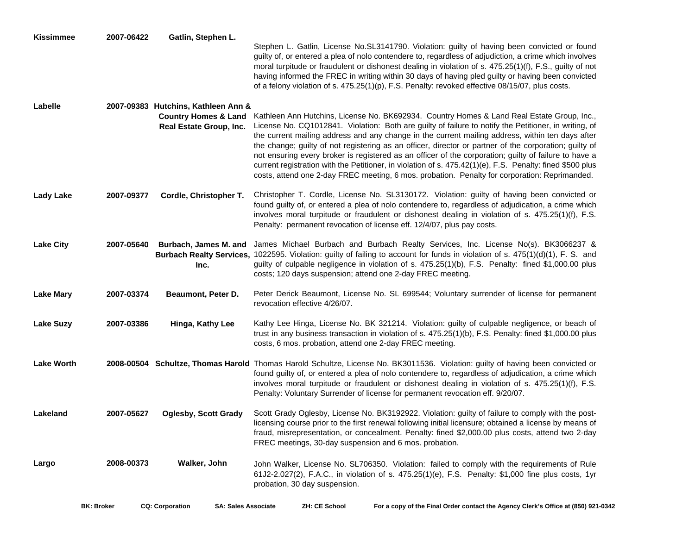| <b>Kissimmee</b>  | 2007-06422 | Gatlin, Stephen L.                                                                                | Stephen L. Gatlin, License No.SL3141790. Violation: guilty of having been convicted or found<br>guilty of, or entered a plea of nolo contendere to, regardless of adjudiction, a crime which involves<br>moral turpitude or fraudulent or dishonest dealing in violation of s. 475.25(1)(f), F.S., guilty of not<br>having informed the FREC in writing within 30 days of having pled guilty or having been convicted<br>of a felony violation of s. 475.25(1)(p), F.S. Penalty: revoked effective 08/15/07, plus costs.                                                                                                                                                                                                                 |
|-------------------|------------|---------------------------------------------------------------------------------------------------|------------------------------------------------------------------------------------------------------------------------------------------------------------------------------------------------------------------------------------------------------------------------------------------------------------------------------------------------------------------------------------------------------------------------------------------------------------------------------------------------------------------------------------------------------------------------------------------------------------------------------------------------------------------------------------------------------------------------------------------|
| Labelle           |            | 2007-09383 Hutchins, Kathleen Ann &<br><b>Country Homes &amp; Land</b><br>Real Estate Group, Inc. | Kathleen Ann Hutchins, License No. BK692934. Country Homes & Land Real Estate Group, Inc.,<br>License No. CQ1012841. Violation: Both are guilty of failure to notify the Petitioner, in writing, of<br>the current mailing address and any change in the current mailing address, within ten days after<br>the change; guilty of not registering as an officer, director or partner of the corporation; guilty of<br>not ensuring every broker is registered as an officer of the corporation; guilty of failure to have a<br>current registration with the Petitioner, in violation of s. 475.42(1)(e), F.S. Penalty: fined \$500 plus<br>costs, attend one 2-day FREC meeting, 6 mos. probation. Penalty for corporation: Reprimanded. |
| <b>Lady Lake</b>  | 2007-09377 | Cordle, Christopher T.                                                                            | Christopher T. Cordle, License No. SL3130172. Violation: guilty of having been convicted or<br>found guilty of, or entered a plea of nolo contendere to, regardless of adjudication, a crime which<br>involves moral turpitude or fraudulent or dishonest dealing in violation of s. 475.25(1)(f), F.S.<br>Penalty: permanent revocation of license eff. 12/4/07, plus pay costs.                                                                                                                                                                                                                                                                                                                                                        |
| <b>Lake City</b>  | 2007-05640 | Burbach, James M. and<br>Inc.                                                                     | James Michael Burbach and Burbach Realty Services, Inc. License No(s). BK3066237 &<br>Burbach Realty Services, 1022595. Violation: guilty of failing to account for funds in violation of s. 475(1)(d)(1), F. S. and<br>guilty of culpable negligence in violation of s. 475.25(1)(b), F.S. Penalty: fined \$1,000.00 plus<br>costs; 120 days suspension; attend one 2-day FREC meeting.                                                                                                                                                                                                                                                                                                                                                 |
| <b>Lake Mary</b>  | 2007-03374 | Beaumont, Peter D.                                                                                | Peter Derick Beaumont, License No. SL 699544; Voluntary surrender of license for permanent<br>revocation effective 4/26/07.                                                                                                                                                                                                                                                                                                                                                                                                                                                                                                                                                                                                              |
| <b>Lake Suzy</b>  | 2007-03386 | Hinga, Kathy Lee                                                                                  | Kathy Lee Hinga, License No. BK 321214. Violation: guilty of culpable negligence, or beach of<br>trust in any business transaction in violation of s. 475.25(1)(b), F.S. Penalty: fined \$1,000.00 plus<br>costs, 6 mos. probation, attend one 2-day FREC meeting.                                                                                                                                                                                                                                                                                                                                                                                                                                                                       |
| <b>Lake Worth</b> |            |                                                                                                   | 2008-00504 Schultze, Thomas Harold Thomas Harold Schultze, License No. BK3011536. Violation: guilty of having been convicted or<br>found guilty of, or entered a plea of nolo contendere to, regardless of adjudication, a crime which<br>involves moral turpitude or fraudulent or dishonest dealing in violation of s. 475.25(1)(f), F.S.<br>Penalty: Voluntary Surrender of license for permanent revocation eff. 9/20/07.                                                                                                                                                                                                                                                                                                            |
| Lakeland          | 2007-05627 | <b>Oglesby, Scott Grady</b>                                                                       | Scott Grady Oglesby, License No. BK3192922. Violation: guilty of failure to comply with the post-<br>licensing course prior to the first renewal following initial licensure; obtained a license by means of<br>fraud, misrepresentation, or concealment. Penalty: fined \$2,000.00 plus costs, attend two 2-day<br>FREC meetings, 30-day suspension and 6 mos. probation.                                                                                                                                                                                                                                                                                                                                                               |
| Largo             | 2008-00373 | Walker, John                                                                                      | John Walker, License No. SL706350. Violation: failed to comply with the requirements of Rule<br>61J2-2.027(2), F.A.C., in violation of s. 475.25(1)(e), F.S. Penalty: \$1,000 fine plus costs, 1yr<br>probation, 30 day suspension.                                                                                                                                                                                                                                                                                                                                                                                                                                                                                                      |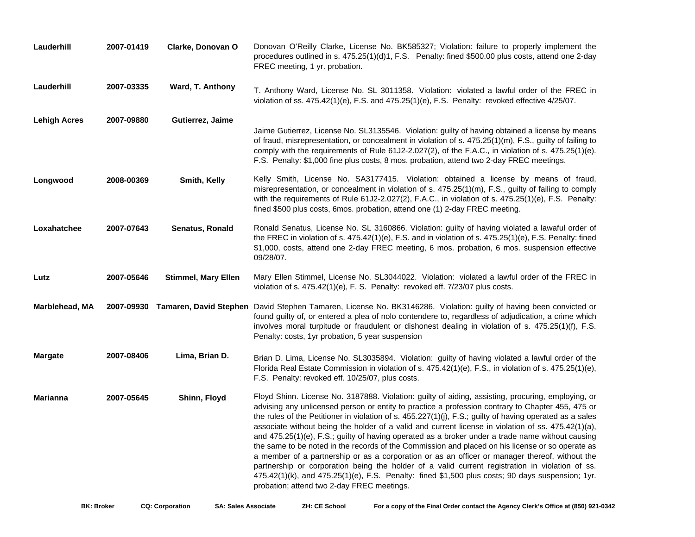| Lauderhill          | 2007-01419 | Clarke, Donovan O          | Donovan O'Reilly Clarke, License No. BK585327; Violation: failure to properly implement the<br>procedures outlined in s. 475.25(1)(d)1, F.S. Penalty: fined \$500.00 plus costs, attend one 2-day<br>FREC meeting, 1 yr. probation.                                                                                                                                                                                                                                                                                                                                                                                                                                                                                                                                                                                                                                                                                                                                                             |
|---------------------|------------|----------------------------|-------------------------------------------------------------------------------------------------------------------------------------------------------------------------------------------------------------------------------------------------------------------------------------------------------------------------------------------------------------------------------------------------------------------------------------------------------------------------------------------------------------------------------------------------------------------------------------------------------------------------------------------------------------------------------------------------------------------------------------------------------------------------------------------------------------------------------------------------------------------------------------------------------------------------------------------------------------------------------------------------|
| Lauderhill          | 2007-03335 | Ward, T. Anthony           | T. Anthony Ward, License No. SL 3011358. Violation: violated a lawful order of the FREC in<br>violation of ss. $475.42(1)(e)$ , F.S. and $475.25(1)(e)$ , F.S. Penalty: revoked effective $4/25/07$ .                                                                                                                                                                                                                                                                                                                                                                                                                                                                                                                                                                                                                                                                                                                                                                                           |
| <b>Lehigh Acres</b> | 2007-09880 | Gutierrez, Jaime           | Jaime Gutierrez, License No. SL3135546. Violation: guilty of having obtained a license by means<br>of fraud, misrepresentation, or concealment in violation of s. 475.25(1)(m), F.S., guilty of failing to<br>comply with the requirements of Rule 61J2-2.027(2), of the F.A.C., in violation of s. 475.25(1)(e).<br>F.S. Penalty: \$1,000 fine plus costs, 8 mos. probation, attend two 2-day FREC meetings.                                                                                                                                                                                                                                                                                                                                                                                                                                                                                                                                                                                   |
| Longwood            | 2008-00369 | Smith, Kelly               | Kelly Smith, License No. SA3177415. Violation: obtained a license by means of fraud,<br>misrepresentation, or concealment in violation of s. 475.25(1)(m), F.S., guilty of failing to comply<br>with the requirements of Rule 61J2-2.027(2), F.A.C., in violation of s. 475.25(1)(e), F.S. Penalty:<br>fined \$500 plus costs, 6mos. probation, attend one (1) 2-day FREC meeting.                                                                                                                                                                                                                                                                                                                                                                                                                                                                                                                                                                                                              |
| Loxahatchee         | 2007-07643 | Senatus, Ronald            | Ronald Senatus, License No. SL 3160866. Violation: guilty of having violated a lawaful order of<br>the FREC in violation of s. 475.42(1)(e), F.S. and in violation of s. 475.25(1)(e), F.S. Penalty: fined<br>\$1,000, costs, attend one 2-day FREC meeting, 6 mos. probation, 6 mos. suspension effective<br>09/28/07.                                                                                                                                                                                                                                                                                                                                                                                                                                                                                                                                                                                                                                                                         |
| Lutz                | 2007-05646 | <b>Stimmel, Mary Ellen</b> | Mary Ellen Stimmel, License No. SL3044022. Violation: violated a lawful order of the FREC in<br>violation of s. 475.42(1)(e), F. S. Penalty: revoked eff. 7/23/07 plus costs.                                                                                                                                                                                                                                                                                                                                                                                                                                                                                                                                                                                                                                                                                                                                                                                                                   |
| Marblehead, MA      |            |                            | 2007-09930 Tamaren, David Stephen David Stephen Tamaren, License No. BK3146286. Violation: guilty of having been convicted or<br>found guilty of, or entered a plea of nolo contendere to, regardless of adjudication, a crime which<br>involves moral turpitude or fraudulent or dishonest dealing in violation of s. 475.25(1)(f), F.S.<br>Penalty: costs, 1yr probation, 5 year suspension                                                                                                                                                                                                                                                                                                                                                                                                                                                                                                                                                                                                   |
| <b>Margate</b>      | 2007-08406 | Lima, Brian D.             | Brian D. Lima, License No. SL3035894. Violation: guilty of having violated a lawful order of the<br>Florida Real Estate Commission in violation of s. 475.42(1)(e), F.S., in violation of s. 475.25(1)(e),<br>F.S. Penalty: revoked eff. 10/25/07, plus costs.                                                                                                                                                                                                                                                                                                                                                                                                                                                                                                                                                                                                                                                                                                                                  |
| <b>Marianna</b>     | 2007-05645 | Shinn, Floyd               | Floyd Shinn. License No. 3187888. Violation: guilty of aiding, assisting, procuring, employing, or<br>advising any unlicensed person or entity to practice a profession contrary to Chapter 455, 475 or<br>the rules of the Petitioner in violation of s. 455.227(1)(j), F.S.; guilty of having operated as a sales<br>associate without being the holder of a valid and current license in violation of ss. 475.42(1)(a),<br>and 475.25(1)(e), F.S.; guilty of having operated as a broker under a trade name without causing<br>the same to be noted in the records of the Commission and placed on his license or so operate as<br>a member of a partnership or as a corporation or as an officer or manager thereof, without the<br>partnership or corporation being the holder of a valid current registration in violation of ss.<br>$475.42(1)$ (k), and $475.25(1)$ (e), F.S. Penalty: fined \$1,500 plus costs; 90 days suspension; 1yr.<br>probation; attend two 2-day FREC meetings. |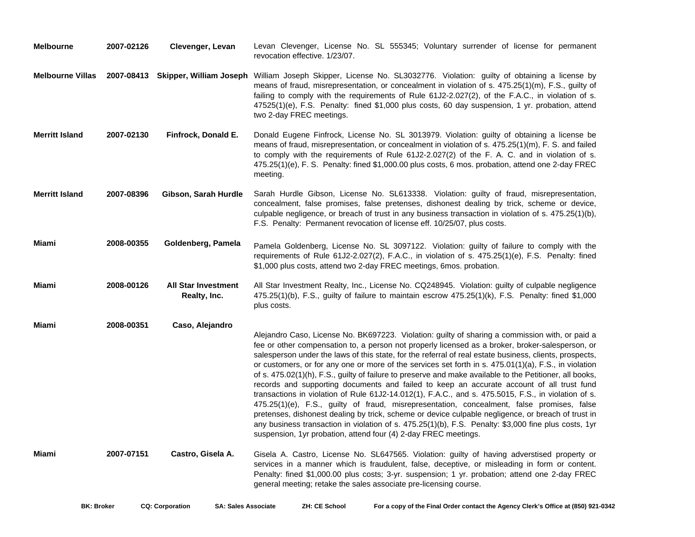| <b>Melbourne</b>        | 2007-02126 | Clevenger, Levan                           | Levan Clevenger, License No. SL 555345; Voluntary surrender of license for permanent<br>revocation effective. 1/23/07.                                                                                                                                                                                                                                                                                                                                                                                                                                                                                                                                                                                                                                                                                                                                                                                                                                                                                                                                                                                                    |
|-------------------------|------------|--------------------------------------------|---------------------------------------------------------------------------------------------------------------------------------------------------------------------------------------------------------------------------------------------------------------------------------------------------------------------------------------------------------------------------------------------------------------------------------------------------------------------------------------------------------------------------------------------------------------------------------------------------------------------------------------------------------------------------------------------------------------------------------------------------------------------------------------------------------------------------------------------------------------------------------------------------------------------------------------------------------------------------------------------------------------------------------------------------------------------------------------------------------------------------|
| <b>Melbourne Villas</b> |            |                                            | 2007-08413 Skipper, William Joseph William Joseph Skipper, License No. SL3032776. Violation: guilty of obtaining a license by<br>means of fraud, misrepresentation, or concealment in violation of s. 475.25(1)(m), F.S., guilty of<br>failing to comply with the requirements of Rule 61J2-2.027(2), of the F.A.C., in violation of s.<br>47525(1)(e), F.S. Penalty: fined \$1,000 plus costs, 60 day suspension, 1 yr. probation, attend<br>two 2-day FREC meetings.                                                                                                                                                                                                                                                                                                                                                                                                                                                                                                                                                                                                                                                    |
| <b>Merritt Island</b>   | 2007-02130 | Finfrock, Donald E.                        | Donald Eugene Finfrock, License No. SL 3013979. Violation: guilty of obtaining a license be<br>means of fraud, misrepresentation, or concealment in violation of s. 475.25(1)(m), F. S. and failed<br>to comply with the requirements of Rule 61J2-2.027(2) of the F. A. C. and in violation of s.<br>475.25(1)(e), F. S. Penalty: fined \$1,000.00 plus costs, 6 mos. probation, attend one 2-day FREC<br>meeting.                                                                                                                                                                                                                                                                                                                                                                                                                                                                                                                                                                                                                                                                                                       |
| <b>Merritt Island</b>   | 2007-08396 | Gibson, Sarah Hurdle                       | Sarah Hurdle Gibson, License No. SL613338. Violation: guilty of fraud, misrepresentation,<br>concealment, false promises, false pretenses, dishonest dealing by trick, scheme or device,<br>culpable negligence, or breach of trust in any business transaction in violation of s. 475.25(1)(b),<br>F.S. Penalty: Permanent revocation of license eff. 10/25/07, plus costs.                                                                                                                                                                                                                                                                                                                                                                                                                                                                                                                                                                                                                                                                                                                                              |
| Miami                   | 2008-00355 | Goldenberg, Pamela                         | Pamela Goldenberg, License No. SL 3097122. Violation: guilty of failure to comply with the<br>requirements of Rule 61J2-2.027(2), F.A.C., in violation of s. 475.25(1)(e), F.S. Penalty: fined<br>\$1,000 plus costs, attend two 2-day FREC meetings, 6mos. probation.                                                                                                                                                                                                                                                                                                                                                                                                                                                                                                                                                                                                                                                                                                                                                                                                                                                    |
| Miami                   | 2008-00126 | <b>All Star Investment</b><br>Realty, Inc. | All Star Investment Realty, Inc., License No. CQ248945. Violation: guilty of culpable negligence<br>475.25(1)(b), F.S., guilty of failure to maintain escrow 475.25(1)(k), F.S. Penalty: fined \$1,000<br>plus costs.                                                                                                                                                                                                                                                                                                                                                                                                                                                                                                                                                                                                                                                                                                                                                                                                                                                                                                     |
| <b>Miami</b>            | 2008-00351 | Caso, Alejandro                            | Alejandro Caso, License No. BK697223. Violation: guilty of sharing a commission with, or paid a<br>fee or other compensation to, a person not properly licensed as a broker, broker-salesperson, or<br>salesperson under the laws of this state, for the referral of real estate business, clients, prospects,<br>or customers, or for any one or more of the services set forth in s. $475.01(1)(a)$ , F.S., in violation<br>of s. 475.02(1)(h), F.S., guilty of failure to preserve and make available to the Petitioner, all books,<br>records and supporting documents and failed to keep an accurate account of all trust fund<br>transactions in violation of Rule 61J2-14.012(1), F.A.C., and s. 475.5015, F.S., in violation of s.<br>475.25(1)(e), F.S., guilty of fraud, misrepresentation, concealment, false promises, false<br>pretenses, dishonest dealing by trick, scheme or device culpable negligence, or breach of trust in<br>any business transaction in violation of s. 475.25(1)(b), F.S. Penalty: \$3,000 fine plus costs, 1yr<br>suspension, 1yr probation, attend four (4) 2-day FREC meetings. |
| Miami                   | 2007-07151 | Castro, Gisela A.                          | Gisela A. Castro, License No. SL647565. Violation: guilty of having adverstised property or<br>services in a manner which is fraudulent, false, deceptive, or misleading in form or content.<br>Penalty: fined \$1,000.00 plus costs; 3-yr. suspension; 1 yr. probation; attend one 2-day FREC<br>general meeting; retake the sales associate pre-licensing course.                                                                                                                                                                                                                                                                                                                                                                                                                                                                                                                                                                                                                                                                                                                                                       |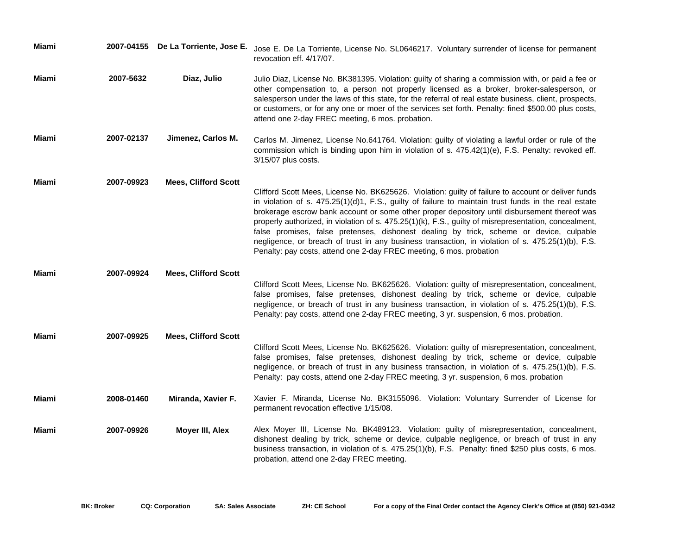| Miami |            | 2007-04155 De La Torriente, Jose E. | Jose E. De La Torriente, License No. SL0646217. Voluntary surrender of license for permanent<br>revocation eff. 4/17/07.                                                                                                                                                                                                                                                                                                                                                                                                                                                                                                                                                                    |
|-------|------------|-------------------------------------|---------------------------------------------------------------------------------------------------------------------------------------------------------------------------------------------------------------------------------------------------------------------------------------------------------------------------------------------------------------------------------------------------------------------------------------------------------------------------------------------------------------------------------------------------------------------------------------------------------------------------------------------------------------------------------------------|
| Miami | 2007-5632  | Diaz, Julio                         | Julio Diaz, License No. BK381395. Violation: guilty of sharing a commission with, or paid a fee or<br>other compensation to, a person not properly licensed as a broker, broker-salesperson, or<br>salesperson under the laws of this state, for the referral of real estate business, client, prospects,<br>or customers, or for any one or moer of the services set forth. Penalty: fined \$500.00 plus costs,<br>attend one 2-day FREC meeting, 6 mos. probation.                                                                                                                                                                                                                        |
| Miami | 2007-02137 | Jimenez, Carlos M.                  | Carlos M. Jimenez, License No.641764. Violation: guilty of violating a lawful order or rule of the<br>commission which is binding upon him in violation of s. 475.42(1)(e), F.S. Penalty: revoked eff.<br>$3/15/07$ plus costs.                                                                                                                                                                                                                                                                                                                                                                                                                                                             |
| Miami | 2007-09923 | <b>Mees, Clifford Scott</b>         | Clifford Scott Mees, License No. BK625626. Violation: guilty of failure to account or deliver funds<br>in violation of s. 475.25(1)(d)1, F.S., guilty of failure to maintain trust funds in the real estate<br>brokerage escrow bank account or some other proper depository until disbursement thereof was<br>properly authorized, in violation of s. 475.25(1)(k), F.S., guilty of misrepresentation, concealment,<br>false promises, false pretenses, dishonest dealing by trick, scheme or device, culpable<br>negligence, or breach of trust in any business transaction, in violation of s. 475.25(1)(b), F.S.<br>Penalty: pay costs, attend one 2-day FREC meeting, 6 mos. probation |
| Miami | 2007-09924 | <b>Mees, Clifford Scott</b>         | Clifford Scott Mees, License No. BK625626. Violation: guilty of misrepresentation, concealment,<br>false promises, false pretenses, dishonest dealing by trick, scheme or device, culpable<br>negligence, or breach of trust in any business transaction, in violation of s. 475.25(1)(b), F.S.<br>Penalty: pay costs, attend one 2-day FREC meeting, 3 yr. suspension, 6 mos. probation.                                                                                                                                                                                                                                                                                                   |
| Miami | 2007-09925 | <b>Mees, Clifford Scott</b>         | Clifford Scott Mees, License No. BK625626. Violation: guilty of misrepresentation, concealment,<br>false promises, false pretenses, dishonest dealing by trick, scheme or device, culpable<br>negligence, or breach of trust in any business transaction, in violation of s. 475.25(1)(b), F.S.<br>Penalty: pay costs, attend one 2-day FREC meeting, 3 yr. suspension, 6 mos. probation                                                                                                                                                                                                                                                                                                    |
| Miami | 2008-01460 | Miranda, Xavier F.                  | Xavier F. Miranda, License No. BK3155096. Violation: Voluntary Surrender of License for<br>permanent revocation effective 1/15/08.                                                                                                                                                                                                                                                                                                                                                                                                                                                                                                                                                          |
| Miami | 2007-09926 | Moyer III, Alex                     | Alex Moyer III, License No. BK489123. Violation: guilty of misrepresentation, concealment,<br>dishonest dealing by trick, scheme or device, culpable negligence, or breach of trust in any<br>business transaction, in violation of s. 475.25(1)(b), F.S. Penalty: fined \$250 plus costs, 6 mos.<br>probation, attend one 2-day FREC meeting.                                                                                                                                                                                                                                                                                                                                              |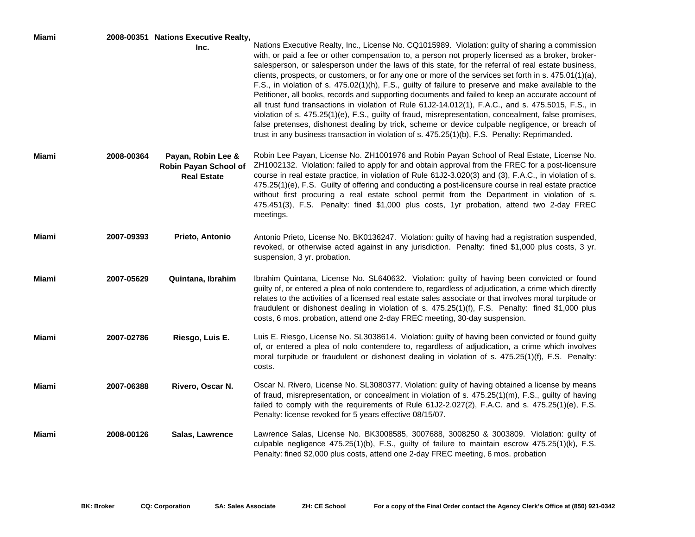| Miami |            | 2008-00351 Nations Executive Realty,                              | Nations Executive Realty, Inc., License No. CQ1015989. Violation: guilty of sharing a commission                                                                                                                                                                                                                                                                                                                                                                                                                                                                                                                                                                                                                                                                                                                                                                                                                                                     |
|-------|------------|-------------------------------------------------------------------|------------------------------------------------------------------------------------------------------------------------------------------------------------------------------------------------------------------------------------------------------------------------------------------------------------------------------------------------------------------------------------------------------------------------------------------------------------------------------------------------------------------------------------------------------------------------------------------------------------------------------------------------------------------------------------------------------------------------------------------------------------------------------------------------------------------------------------------------------------------------------------------------------------------------------------------------------|
|       |            | Inc.                                                              | with, or paid a fee or other compensation to, a person not properly licensed as a broker, broker-<br>salesperson, or salesperson under the laws of this state, for the referral of real estate business,<br>clients, prospects, or customers, or for any one or more of the services set forth in s. $475.01(1)(a)$ ,<br>F.S., in violation of s. 475.02(1)(h), F.S., guilty of failure to preserve and make available to the<br>Petitioner, all books, records and supporting documents and failed to keep an accurate account of<br>all trust fund transactions in violation of Rule 61J2-14.012(1), F.A.C., and s. 475.5015, F.S., in<br>violation of s. 475.25(1)(e), F.S., guilty of fraud, misrepresentation, concealment, false promises,<br>false pretenses, dishonest dealing by trick, scheme or device culpable negligence, or breach of<br>trust in any business transaction in violation of s. 475.25(1)(b), F.S. Penalty: Reprimanded. |
| Miami | 2008-00364 | Payan, Robin Lee &<br>Robin Payan School of<br><b>Real Estate</b> | Robin Lee Payan, License No. ZH1001976 and Robin Payan School of Real Estate, License No.<br>ZH1002132. Violation: failed to apply for and obtain approval from the FREC for a post-licensure<br>course in real estate practice, in violation of Rule 61J2-3.020(3) and (3), F.A.C., in violation of s.<br>475.25(1)(e), F.S. Guilty of offering and conducting a post-licensure course in real estate practice<br>without first procuring a real estate school permit from the Department in violation of s.<br>475.451(3), F.S. Penalty: fined \$1,000 plus costs, 1yr probation, attend two 2-day FREC<br>meetings.                                                                                                                                                                                                                                                                                                                               |
| Miami | 2007-09393 | Prieto, Antonio                                                   | Antonio Prieto, License No. BK0136247. Violation: guilty of having had a registration suspended,<br>revoked, or otherwise acted against in any jurisdiction. Penalty: fined \$1,000 plus costs, 3 yr.<br>suspension, 3 yr. probation.                                                                                                                                                                                                                                                                                                                                                                                                                                                                                                                                                                                                                                                                                                                |
| Miami | 2007-05629 | Quintana, Ibrahim                                                 | Ibrahim Quintana, License No. SL640632. Violation: guilty of having been convicted or found<br>guilty of, or entered a plea of nolo contendere to, regardless of adjudication, a crime which directly<br>relates to the activities of a licensed real estate sales associate or that involves moral turpitude or<br>fraudulent or dishonest dealing in violation of s. 475.25(1)(f), F.S. Penalty: fined \$1,000 plus<br>costs, 6 mos. probation, attend one 2-day FREC meeting, 30-day suspension.                                                                                                                                                                                                                                                                                                                                                                                                                                                  |
| Miami | 2007-02786 | Riesgo, Luis E.                                                   | Luis E. Riesgo, License No. SL3038614. Violation: guilty of having been convicted or found guilty<br>of, or entered a plea of nolo contendere to, regardless of adjudication, a crime which involves<br>moral turpitude or fraudulent or dishonest dealing in violation of s. 475.25(1)(f), F.S. Penalty:<br>costs.                                                                                                                                                                                                                                                                                                                                                                                                                                                                                                                                                                                                                                  |
| Miami | 2007-06388 | Rivero, Oscar N.                                                  | Oscar N. Rivero, License No. SL3080377. Violation: guilty of having obtained a license by means<br>of fraud, misrepresentation, or concealment in violation of s. 475.25(1)(m), F.S., guilty of having<br>failed to comply with the requirements of Rule 61J2-2.027(2), F.A.C. and s. 475.25(1)(e), F.S.<br>Penalty: license revoked for 5 years effective 08/15/07.                                                                                                                                                                                                                                                                                                                                                                                                                                                                                                                                                                                 |
| Miami | 2008-00126 | Salas, Lawrence                                                   | Lawrence Salas, License No. BK3008585, 3007688, 3008250 & 3003809. Violation: guilty of<br>culpable negligence 475.25(1)(b), F.S., guilty of failure to maintain escrow 475.25(1)(k), F.S.<br>Penalty: fined \$2,000 plus costs, attend one 2-day FREC meeting, 6 mos. probation                                                                                                                                                                                                                                                                                                                                                                                                                                                                                                                                                                                                                                                                     |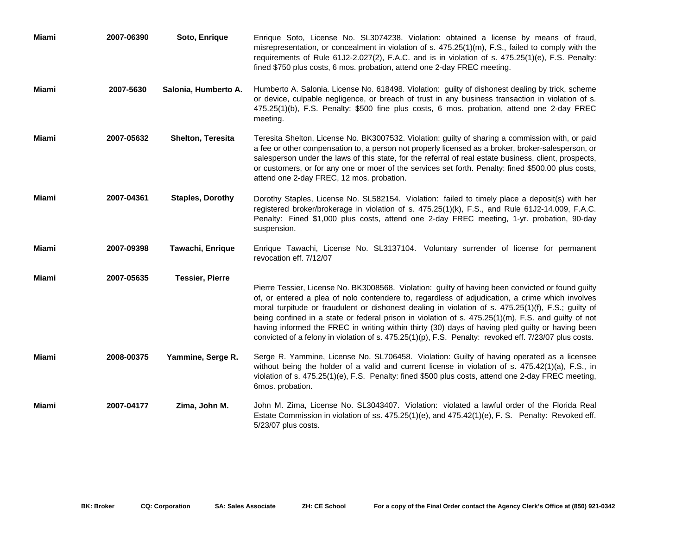| Miami | 2007-06390 | Soto, Enrique            | Enrique Soto, License No. SL3074238. Violation: obtained a license by means of fraud,<br>misrepresentation, or concealment in violation of s. 475.25(1)(m), F.S., failed to comply with the<br>requirements of Rule 61J2-2.027(2), F.A.C. and is in violation of s. 475.25(1)(e), F.S. Penalty:<br>fined \$750 plus costs, 6 mos. probation, attend one 2-day FREC meeting.                                                                                                                                                                                                                                                     |
|-------|------------|--------------------------|---------------------------------------------------------------------------------------------------------------------------------------------------------------------------------------------------------------------------------------------------------------------------------------------------------------------------------------------------------------------------------------------------------------------------------------------------------------------------------------------------------------------------------------------------------------------------------------------------------------------------------|
| Miami | 2007-5630  | Salonia, Humberto A.     | Humberto A. Salonia. License No. 618498. Violation: guilty of dishonest dealing by trick, scheme<br>or device, culpable negligence, or breach of trust in any business transaction in violation of s.<br>475.25(1)(b), F.S. Penalty: \$500 fine plus costs, 6 mos. probation, attend one 2-day FREC<br>meeting.                                                                                                                                                                                                                                                                                                                 |
| Miami | 2007-05632 | <b>Shelton, Teresita</b> | Teresita Shelton, License No. BK3007532. Violation: guilty of sharing a commission with, or paid<br>a fee or other compensation to, a person not properly licensed as a broker, broker-salesperson, or<br>salesperson under the laws of this state, for the referral of real estate business, client, prospects,<br>or customers, or for any one or moer of the services set forth. Penalty: fined \$500.00 plus costs,<br>attend one 2-day FREC, 12 mos. probation.                                                                                                                                                            |
| Miami | 2007-04361 | <b>Staples, Dorothy</b>  | Dorothy Staples, License No. SL582154. Violation: failed to timely place a deposit(s) with her<br>registered broker/brokerage in violation of s. 475.25(1)(k), F.S., and Rule 61J2-14.009, F.A.C.<br>Penalty: Fined \$1,000 plus costs, attend one 2-day FREC meeting, 1-yr. probation, 90-day<br>suspension.                                                                                                                                                                                                                                                                                                                   |
| Miami | 2007-09398 | Tawachi, Enrique         | Enrique Tawachi, License No. SL3137104. Voluntary surrender of license for permanent<br>revocation eff. 7/12/07                                                                                                                                                                                                                                                                                                                                                                                                                                                                                                                 |
| Miami | 2007-05635 | <b>Tessier, Pierre</b>   | Pierre Tessier, License No. BK3008568. Violation: guilty of having been convicted or found guilty<br>of, or entered a plea of nolo contendere to, regardless of adjudication, a crime which involves<br>moral turpitude or fraudulent or dishonest dealing in violation of s. 475.25(1)(f), F.S.; guilty of<br>being confined in a state or federal prison in violation of s. 475.25(1)(m), F.S. and guilty of not<br>having informed the FREC in writing within thirty (30) days of having pled guilty or having been<br>convicted of a felony in violation of s. 475.25(1)(p), F.S. Penalty: revoked eff. 7/23/07 plus costs. |
| Miami | 2008-00375 | Yammine, Serge R.        | Serge R. Yammine, License No. SL706458. Violation: Guilty of having operated as a licensee<br>without being the holder of a valid and current license in violation of s. 475.42(1)(a), F.S., in<br>violation of s. 475.25(1)(e), F.S. Penalty: fined \$500 plus costs, attend one 2-day FREC meeting,<br>6mos. probation.                                                                                                                                                                                                                                                                                                       |
| Miami | 2007-04177 | Zima, John M.            | John M. Zima, License No. SL3043407. Violation: violated a lawful order of the Florida Real<br>Estate Commission in violation of ss. 475.25(1)(e), and 475.42(1)(e), F. S. Penalty: Revoked eff.<br>5/23/07 plus costs.                                                                                                                                                                                                                                                                                                                                                                                                         |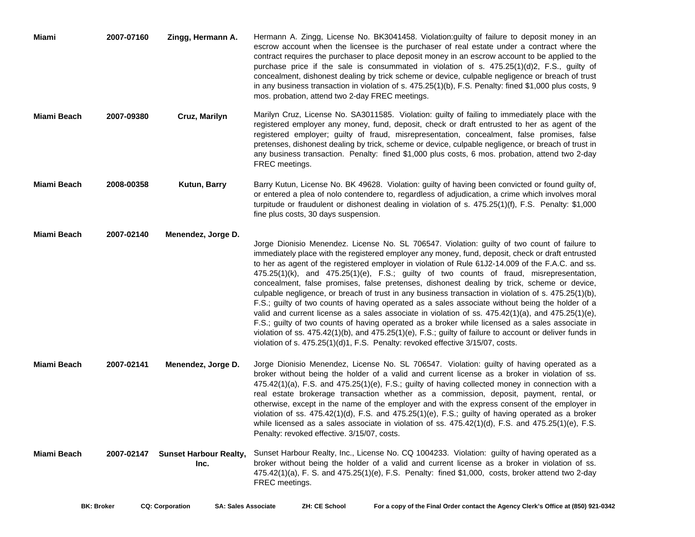| Miami       | 2007-07160 | Zingg, Hermann A.                     | Hermann A. Zingg, License No. BK3041458. Violation: guilty of failure to deposit money in an<br>escrow account when the licensee is the purchaser of real estate under a contract where the<br>contract requires the purchaser to place deposit money in an escrow account to be applied to the<br>purchase price if the sale is consummated in violation of s. $475.25(1)(d)2$ , F.S., guilty of<br>concealment, dishonest dealing by trick scheme or device, culpable negligence or breach of trust<br>in any business transaction in violation of s. 475.25(1)(b), F.S. Penalty: fined \$1,000 plus costs, 9<br>mos. probation, attend two 2-day FREC meetings.                                                                                                                                                                                                                                                                                                                                                                                                                                                              |
|-------------|------------|---------------------------------------|---------------------------------------------------------------------------------------------------------------------------------------------------------------------------------------------------------------------------------------------------------------------------------------------------------------------------------------------------------------------------------------------------------------------------------------------------------------------------------------------------------------------------------------------------------------------------------------------------------------------------------------------------------------------------------------------------------------------------------------------------------------------------------------------------------------------------------------------------------------------------------------------------------------------------------------------------------------------------------------------------------------------------------------------------------------------------------------------------------------------------------|
| Miami Beach | 2007-09380 | Cruz, Marilyn                         | Marilyn Cruz, License No. SA3011585. Violation: guilty of failing to immediately place with the<br>registered employer any money, fund, deposit, check or draft entrusted to her as agent of the<br>registered employer; guilty of fraud, misrepresentation, concealment, false promises, false<br>pretenses, dishonest dealing by trick, scheme or device, culpable negligence, or breach of trust in<br>any business transaction. Penalty: fined \$1,000 plus costs, 6 mos. probation, attend two 2-day<br>FREC meetings.                                                                                                                                                                                                                                                                                                                                                                                                                                                                                                                                                                                                     |
| Miami Beach | 2008-00358 | Kutun, Barry                          | Barry Kutun, License No. BK 49628. Violation: guilty of having been convicted or found guilty of,<br>or entered a plea of nolo contendere to, regardless of adjudication, a crime which involves moral<br>turpitude or fraudulent or dishonest dealing in violation of s. 475.25(1)(f), F.S. Penalty: \$1,000<br>fine plus costs, 30 days suspension.                                                                                                                                                                                                                                                                                                                                                                                                                                                                                                                                                                                                                                                                                                                                                                           |
| Miami Beach | 2007-02140 | Menendez, Jorge D.                    | Jorge Dionisio Menendez. License No. SL 706547. Violation: guilty of two count of failure to<br>immediately place with the registered employer any money, fund, deposit, check or draft entrusted<br>to her as agent of the registered employer in violation of Rule 61J2-14.009 of the F.A.C. and ss.<br>475.25(1)(k), and 475.25(1)(e), F.S.; guilty of two counts of fraud, misrepresentation,<br>concealment, false promises, false pretenses, dishonest dealing by trick, scheme or device,<br>culpable negligence, or breach of trust in any business transaction in violation of s. 475.25(1)(b),<br>F.S.; guilty of two counts of having operated as a sales associate without being the holder of a<br>valid and current license as a sales associate in violation of ss. $475.42(1)(a)$ , and $475.25(1)(e)$ ,<br>F.S.; guilty of two counts of having operated as a broker while licensed as a sales associate in<br>violation of ss. $475.42(1)(b)$ , and $475.25(1)(e)$ , F.S.; guilty of failure to account or deliver funds in<br>violation of s. 475.25(1)(d)1, F.S. Penalty: revoked effective 3/15/07, costs. |
| Miami Beach | 2007-02141 | Menendez, Jorge D.                    | Jorge Dionisio Menendez, License No. SL 706547. Violation: guilty of having operated as a<br>broker without being the holder of a valid and current license as a broker in violation of ss.<br>475.42(1)(a), F.S. and 475.25(1)(e), F.S.; guilty of having collected money in connection with a<br>real estate brokerage transaction whether as a commission, deposit, payment, rental, or<br>otherwise, except in the name of the employer and with the express consent of the employer in<br>violation of ss. $475.42(1)(d)$ , F.S. and $475.25(1)(e)$ , F.S.; guilty of having operated as a broker<br>while licensed as a sales associate in violation of ss. 475.42(1)(d), F.S. and 475.25(1)(e), F.S.<br>Penalty: revoked effective. 3/15/07, costs.                                                                                                                                                                                                                                                                                                                                                                      |
| Miami Beach | 2007-02147 | <b>Sunset Harbour Realty,</b><br>Inc. | Sunset Harbour Realty, Inc., License No. CQ 1004233. Violation: guilty of having operated as a<br>broker without being the holder of a valid and current license as a broker in violation of ss.<br>475.42(1)(a), F. S. and 475.25(1)(e), F.S. Penalty: fined \$1,000, costs, broker attend two 2-day<br>FREC meetings.                                                                                                                                                                                                                                                                                                                                                                                                                                                                                                                                                                                                                                                                                                                                                                                                         |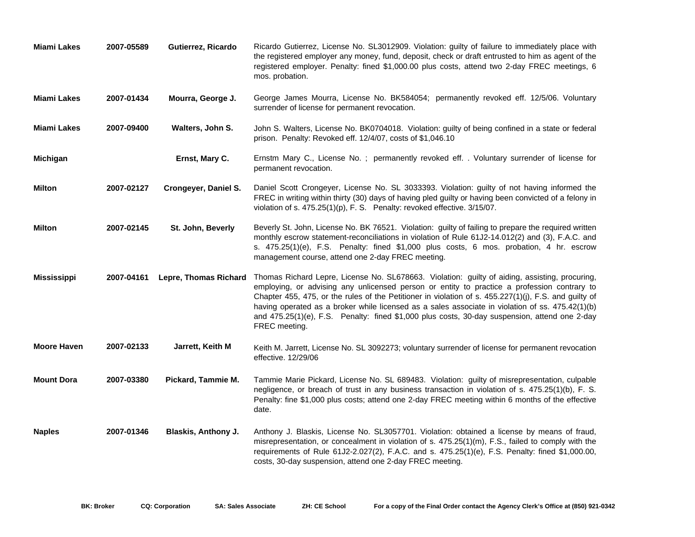| <b>Miami Lakes</b> | 2007-05589 | Gutierrez, Ricardo         | Ricardo Gutierrez, License No. SL3012909. Violation: guilty of failure to immediately place with<br>the registered employer any money, fund, deposit, check or draft entrusted to him as agent of the<br>registered employer. Penalty: fined \$1,000.00 plus costs, attend two 2-day FREC meetings, 6<br>mos. probation.                                                                                                                                                                                                                           |
|--------------------|------------|----------------------------|----------------------------------------------------------------------------------------------------------------------------------------------------------------------------------------------------------------------------------------------------------------------------------------------------------------------------------------------------------------------------------------------------------------------------------------------------------------------------------------------------------------------------------------------------|
| <b>Miami Lakes</b> | 2007-01434 | Mourra, George J.          | George James Mourra, License No. BK584054; permanently revoked eff. 12/5/06. Voluntary<br>surrender of license for permanent revocation.                                                                                                                                                                                                                                                                                                                                                                                                           |
| Miami Lakes        | 2007-09400 | Walters, John S.           | John S. Walters, License No. BK0704018. Violation: guilty of being confined in a state or federal<br>prison. Penalty: Revoked eff. 12/4/07, costs of \$1,046.10                                                                                                                                                                                                                                                                                                                                                                                    |
| Michigan           |            | Ernst, Mary C.             | Ernstm Mary C., License No. ; permanently revoked eff. . Voluntary surrender of license for<br>permanent revocation.                                                                                                                                                                                                                                                                                                                                                                                                                               |
| <b>Milton</b>      | 2007-02127 | Crongeyer, Daniel S.       | Daniel Scott Crongeyer, License No. SL 3033393. Violation: guilty of not having informed the<br>FREC in writing within thirty (30) days of having pled guilty or having been convicted of a felony in<br>violation of s. 475.25(1)(p), F. S. Penalty: revoked effective. 3/15/07.                                                                                                                                                                                                                                                                  |
| <b>Milton</b>      | 2007-02145 | St. John, Beverly          | Beverly St. John, License No. BK 76521. Violation: guilty of failing to prepare the required written<br>monthly escrow statement-reconciliations in violation of Rule 61J2-14.012(2) and (3), F.A.C. and<br>s. 475.25(1)(e), F.S. Penalty: fined \$1,000 plus costs, 6 mos. probation, 4 hr. escrow<br>management course, attend one 2-day FREC meeting.                                                                                                                                                                                           |
| <b>Mississippi</b> | 2007-04161 |                            | Lepre, Thomas Richard Thomas Richard Lepre, License No. SL678663. Violation: guilty of aiding, assisting, procuring,<br>employing, or advising any unlicensed person or entity to practice a profession contrary to<br>Chapter 455, 475, or the rules of the Petitioner in violation of s. 455.227(1)(j), F.S. and guilty of<br>having operated as a broker while licensed as a sales associate in violation of ss. 475.42(1)(b)<br>and 475.25(1)(e), F.S. Penalty: fined \$1,000 plus costs, 30-day suspension, attend one 2-day<br>FREC meeting. |
| <b>Moore Haven</b> | 2007-02133 | Jarrett, Keith M           | Keith M. Jarrett, License No. SL 3092273; voluntary surrender of license for permanent revocation<br>effective. 12/29/06                                                                                                                                                                                                                                                                                                                                                                                                                           |
| <b>Mount Dora</b>  | 2007-03380 | Pickard, Tammie M.         | Tammie Marie Pickard, License No. SL 689483. Violation: guilty of misrepresentation, culpable<br>negligence, or breach of trust in any business transaction in violation of s. 475.25(1)(b), F. S.<br>Penalty: fine \$1,000 plus costs; attend one 2-day FREC meeting within 6 months of the effective<br>date.                                                                                                                                                                                                                                    |
| <b>Naples</b>      | 2007-01346 | <b>Blaskis, Anthony J.</b> | Anthony J. Blaskis, License No. SL3057701. Violation: obtained a license by means of fraud,<br>misrepresentation, or concealment in violation of s. 475.25(1)(m), F.S., failed to comply with the<br>requirements of Rule 61J2-2.027(2), F.A.C. and s. 475.25(1)(e), F.S. Penalty: fined \$1,000.00,<br>costs, 30-day suspension, attend one 2-day FREC meeting.                                                                                                                                                                                   |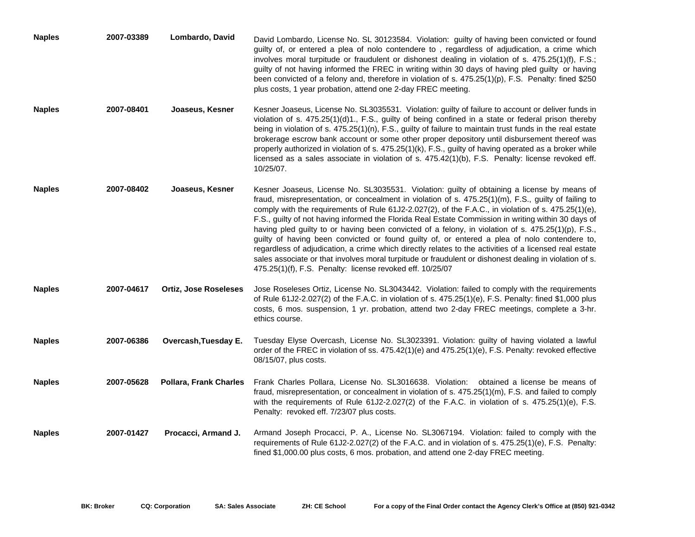| <b>Naples</b> | 2007-03389 | Lombardo, David               | David Lombardo, License No. SL 30123584. Violation: guilty of having been convicted or found<br>guilty of, or entered a plea of nolo contendere to, regardless of adjudication, a crime which<br>involves moral turpitude or fraudulent or dishonest dealing in violation of s. 475.25(1)(f), F.S.;<br>guilty of not having informed the FREC in writing within 30 days of having pled guilty or having<br>been convicted of a felony and, therefore in violation of s. 475.25(1)(p), F.S. Penalty: fined \$250<br>plus costs, 1 year probation, attend one 2-day FREC meeting.                                                                                                                                                                                                                                                                                                                          |
|---------------|------------|-------------------------------|----------------------------------------------------------------------------------------------------------------------------------------------------------------------------------------------------------------------------------------------------------------------------------------------------------------------------------------------------------------------------------------------------------------------------------------------------------------------------------------------------------------------------------------------------------------------------------------------------------------------------------------------------------------------------------------------------------------------------------------------------------------------------------------------------------------------------------------------------------------------------------------------------------|
| <b>Naples</b> | 2007-08401 | Joaseus, Kesner               | Kesner Joaseus, License No. SL3035531. Violation: guilty of failure to account or deliver funds in<br>violation of s. $475.25(1)(d)1$ ., F.S., guilty of being confined in a state or federal prison thereby<br>being in violation of s. $475.25(1)(n)$ , F.S., guilty of failure to maintain trust funds in the real estate<br>brokerage escrow bank account or some other proper depository until disbursement thereof was<br>properly authorized in violation of s. 475.25(1)(k), F.S., guilty of having operated as a broker while<br>licensed as a sales associate in violation of s. 475.42(1)(b), F.S. Penalty: license revoked eff.<br>10/25/07.                                                                                                                                                                                                                                                 |
| <b>Naples</b> | 2007-08402 | Joaseus, Kesner               | Kesner Joaseus, License No. SL3035531. Violation: guilty of obtaining a license by means of<br>fraud, misrepresentation, or concealment in violation of s. 475.25(1)(m), F.S., guilty of failing to<br>comply with the requirements of Rule 61J2-2.027(2), of the F.A.C., in violation of s. 475.25(1)(e),<br>F.S., guilty of not having informed the Florida Real Estate Commission in writing within 30 days of<br>having pled guilty to or having been convicted of a felony, in violation of s. 475.25(1)(p), F.S.,<br>guilty of having been convicted or found guilty of, or entered a plea of nolo contendere to,<br>regardless of adjudication, a crime which directly relates to the activities of a licensed real estate<br>sales associate or that involves moral turpitude or fraudulent or dishonest dealing in violation of s.<br>475.25(1)(f), F.S. Penalty: license revoked eff. 10/25/07 |
| <b>Naples</b> | 2007-04617 | <b>Ortiz, Jose Roseleses</b>  | Jose Roseleses Ortiz, License No. SL3043442. Violation: failed to comply with the requirements<br>of Rule 61J2-2.027(2) of the F.A.C. in violation of s. 475.25(1)(e), F.S. Penalty: fined \$1,000 plus<br>costs, 6 mos. suspension, 1 yr. probation, attend two 2-day FREC meetings, complete a 3-hr.<br>ethics course.                                                                                                                                                                                                                                                                                                                                                                                                                                                                                                                                                                                 |
| <b>Naples</b> | 2007-06386 | Overcash, Tuesday E.          | Tuesday Elyse Overcash, License No. SL3023391. Violation: guilty of having violated a lawful<br>order of the FREC in violation of ss. 475.42(1)(e) and 475.25(1)(e), F.S. Penalty: revoked effective<br>08/15/07, plus costs.                                                                                                                                                                                                                                                                                                                                                                                                                                                                                                                                                                                                                                                                            |
| <b>Naples</b> | 2007-05628 | <b>Pollara, Frank Charles</b> | Frank Charles Pollara, License No. SL3016638. Violation: obtained a license be means of<br>fraud, misrepresentation, or concealment in violation of s. 475.25(1)(m), F.S. and failed to comply<br>with the requirements of Rule $61J2-2.027(2)$ of the F.A.C. in violation of s. $475.25(1)(e)$ , F.S.<br>Penalty: revoked eff. 7/23/07 plus costs.                                                                                                                                                                                                                                                                                                                                                                                                                                                                                                                                                      |
| <b>Naples</b> | 2007-01427 | Procacci, Armand J.           | Armand Joseph Procacci, P. A., License No. SL3067194. Violation: failed to comply with the<br>requirements of Rule 61J2-2.027(2) of the F.A.C. and in violation of s. 475.25(1)(e), F.S. Penalty:<br>fined \$1,000.00 plus costs, 6 mos. probation, and attend one 2-day FREC meeting.                                                                                                                                                                                                                                                                                                                                                                                                                                                                                                                                                                                                                   |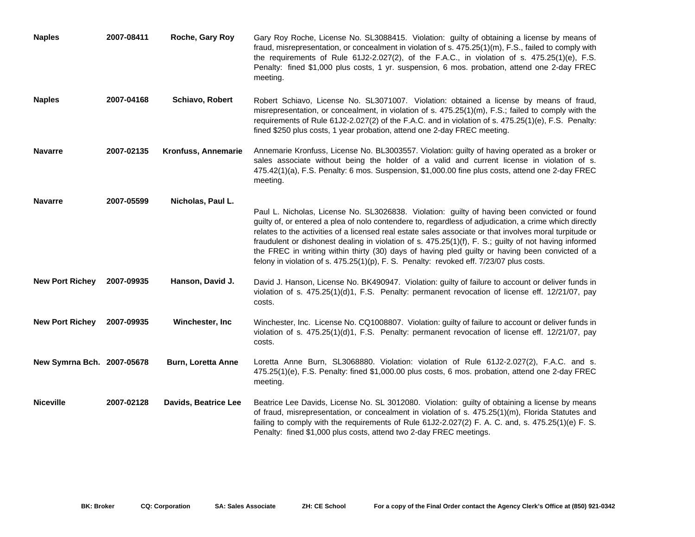| <b>Naples</b>              | 2007-08411 | Roche, Gary Roy           | Gary Roy Roche, License No. SL3088415. Violation: guilty of obtaining a license by means of<br>fraud, misrepresentation, or concealment in violation of s. $475.25(1)(m)$ , F.S., failed to comply with<br>the requirements of Rule $61J2-2.027(2)$ , of the F.A.C., in violation of s. $475.25(1)(e)$ , F.S.<br>Penalty: fined \$1,000 plus costs, 1 yr. suspension, 6 mos. probation, attend one 2-day FREC<br>meeting.                                                                                                                                                                                                     |
|----------------------------|------------|---------------------------|-------------------------------------------------------------------------------------------------------------------------------------------------------------------------------------------------------------------------------------------------------------------------------------------------------------------------------------------------------------------------------------------------------------------------------------------------------------------------------------------------------------------------------------------------------------------------------------------------------------------------------|
| <b>Naples</b>              | 2007-04168 | <b>Schiavo, Robert</b>    | Robert Schiavo, License No. SL3071007. Violation: obtained a license by means of fraud,<br>misrepresentation, or concealment, in violation of s. $475.25(1)(m)$ , F.S.; failed to comply with the<br>requirements of Rule 61J2-2.027(2) of the F.A.C. and in violation of s. 475.25(1)(e), F.S. Penalty:<br>fined \$250 plus costs, 1 year probation, attend one 2-day FREC meeting.                                                                                                                                                                                                                                          |
| <b>Navarre</b>             | 2007-02135 | Kronfuss, Annemarie       | Annemarie Kronfuss, License No. BL3003557. Violation: guilty of having operated as a broker or<br>sales associate without being the holder of a valid and current license in violation of s.<br>475.42(1)(a), F.S. Penalty: 6 mos. Suspension, \$1,000.00 fine plus costs, attend one 2-day FREC<br>meeting.                                                                                                                                                                                                                                                                                                                  |
| <b>Navarre</b>             | 2007-05599 | Nicholas, Paul L.         | Paul L. Nicholas, License No. SL3026838. Violation: guilty of having been convicted or found<br>guilty of, or entered a plea of nolo contendere to, regardless of adjudication, a crime which directly<br>relates to the activities of a licensed real estate sales associate or that involves moral turpitude or<br>fraudulent or dishonest dealing in violation of s. 475.25(1)(f), F. S.; guilty of not having informed<br>the FREC in writing within thirty (30) days of having pled guilty or having been convicted of a<br>felony in violation of s. $475.25(1)(p)$ , F. S. Penalty: revoked eff. $7/23/07$ plus costs. |
| <b>New Port Richey</b>     | 2007-09935 | Hanson, David J.          | David J. Hanson, License No. BK490947. Violation: guilty of failure to account or deliver funds in<br>violation of s. 475.25(1)(d)1, F.S. Penalty: permanent revocation of license eff. 12/21/07, pay<br>costs.                                                                                                                                                                                                                                                                                                                                                                                                               |
| <b>New Port Richey</b>     | 2007-09935 | Winchester, Inc.          | Winchester, Inc. License No. CQ1008807. Violation: guilty of failure to account or deliver funds in<br>violation of s. 475.25(1)(d)1, F.S. Penalty: permanent revocation of license eff. 12/21/07, pay<br>costs.                                                                                                                                                                                                                                                                                                                                                                                                              |
| New Symrna Bch. 2007-05678 |            | <b>Burn, Loretta Anne</b> | Loretta Anne Burn, SL3068880. Violation: violation of Rule 61J2-2.027(2), F.A.C. and s.<br>475.25(1)(e), F.S. Penalty: fined \$1,000.00 plus costs, 6 mos. probation, attend one 2-day FREC<br>meeting.                                                                                                                                                                                                                                                                                                                                                                                                                       |
| <b>Niceville</b>           | 2007-02128 | Davids, Beatrice Lee      | Beatrice Lee Davids, License No. SL 3012080. Violation: guilty of obtaining a license by means<br>of fraud, misrepresentation, or concealment in violation of s. 475.25(1)(m), Florida Statutes and<br>failing to comply with the requirements of Rule $61J2-2.027(2)$ F. A. C. and, s. $475.25(1)(e)$ F. S.<br>Penalty: fined \$1,000 plus costs, attend two 2-day FREC meetings.                                                                                                                                                                                                                                            |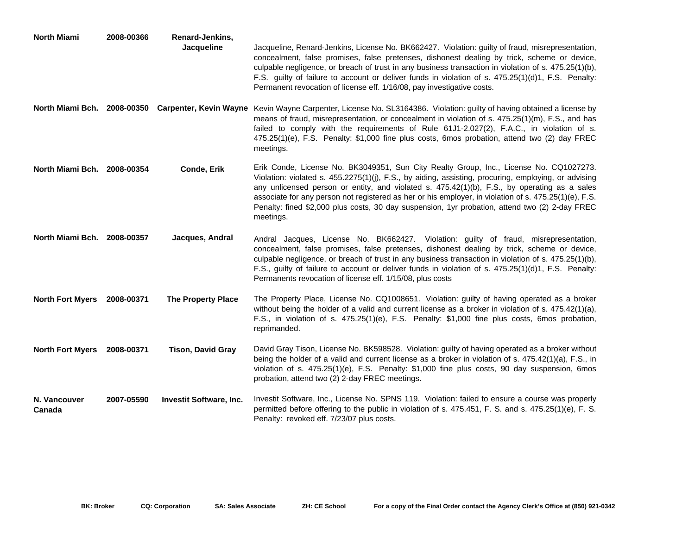| North Miami                 | 2008-00366 | Renard-Jenkins,<br>Jacqueline  | Jacqueline, Renard-Jenkins, License No. BK662427. Violation: guilty of fraud, misrepresentation,<br>concealment, false promises, false pretenses, dishonest dealing by trick, scheme or device,<br>culpable negligence, or breach of trust in any business transaction in violation of s. 475.25(1)(b),<br>F.S. guilty of failure to account or deliver funds in violation of s. 475.25(1)(d)1, F.S. Penalty:<br>Permanent revocation of license eff. 1/16/08, pay investigative costs.                                   |
|-----------------------------|------------|--------------------------------|---------------------------------------------------------------------------------------------------------------------------------------------------------------------------------------------------------------------------------------------------------------------------------------------------------------------------------------------------------------------------------------------------------------------------------------------------------------------------------------------------------------------------|
|                             |            |                                | North Miami Bch. 2008-00350 Carpenter, Kevin Wayne Kevin Wayne Carpenter, License No. SL3164386. Violation: guilty of having obtained a license by<br>means of fraud, misrepresentation, or concealment in violation of s. 475.25(1)(m), F.S., and has<br>failed to comply with the requirements of Rule 61J1-2.027(2), F.A.C., in violation of s.<br>475.25(1)(e), F.S. Penalty: \$1,000 fine plus costs, 6mos probation, attend two (2) day FREC<br>meetings.                                                           |
| North Miami Bch. 2008-00354 |            | <b>Conde, Erik</b>             | Erik Conde, License No. BK3049351, Sun City Realty Group, Inc., License No. CQ1027273.<br>Violation: violated s. 455.2275(1)(j), F.S., by aiding, assisting, procuring, employing, or advising<br>any unlicensed person or entity, and violated s. 475.42(1)(b), F.S., by operating as a sales<br>associate for any person not registered as her or his employer, in violation of s. $475.25(1)(e)$ , F.S.<br>Penalty: fined \$2,000 plus costs, 30 day suspension, 1yr probation, attend two (2) 2-day FREC<br>meetings. |
| North Miami Bch. 2008-00357 |            | Jacques, Andral                | Andral Jacques, License No. BK662427. Violation: guilty of fraud, misrepresentation,<br>concealment, false promises, false pretenses, dishonest dealing by trick, scheme or device,<br>culpable negligence, or breach of trust in any business transaction in violation of s. 475.25(1)(b),<br>F.S., guilty of failure to account or deliver funds in violation of s. 475.25(1)(d)1, F.S. Penalty:<br>Permanents revocation of license eff. 1/15/08, plus costs                                                           |
| <b>North Fort Myers</b>     | 2008-00371 | <b>The Property Place</b>      | The Property Place, License No. CQ1008651. Violation: guilty of having operated as a broker<br>without being the holder of a valid and current license as a broker in violation of s. 475.42(1)(a),<br>F.S., in violation of s. 475.25(1)(e), F.S. Penalty: \$1,000 fine plus costs, 6mos probation,<br>reprimanded.                                                                                                                                                                                                      |
| <b>North Fort Myers</b>     | 2008-00371 | <b>Tison, David Gray</b>       | David Gray Tison, License No. BK598528. Violation: guilty of having operated as a broker without<br>being the holder of a valid and current license as a broker in violation of s. 475.42(1)(a), F.S., in<br>violation of s. 475.25(1)(e), F.S. Penalty: \$1,000 fine plus costs, 90 day suspension, 6mos<br>probation, attend two (2) 2-day FREC meetings.                                                                                                                                                               |
| N. Vancouver<br>Canada      | 2007-05590 | <b>Investit Software, Inc.</b> | Investit Software, Inc., License No. SPNS 119. Violation: failed to ensure a course was properly<br>permitted before offering to the public in violation of s. 475.451, F. S. and s. 475.25(1)(e), F. S.<br>Penalty: revoked eff. 7/23/07 plus costs.                                                                                                                                                                                                                                                                     |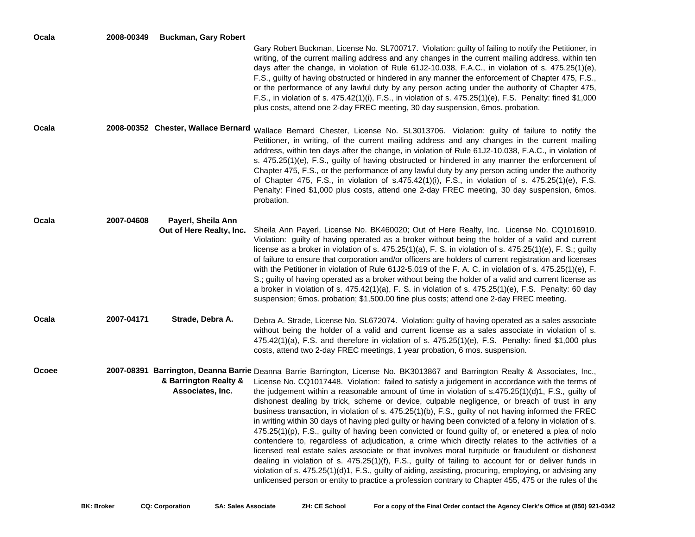| Ocala | 2008-00349 | <b>Buckman, Gary Robert</b>                    | Gary Robert Buckman, License No. SL700717. Violation: guilty of failing to notify the Petitioner, in<br>writing, of the current mailing address and any changes in the current mailing address, within ten<br>days after the change, in violation of Rule 61J2-10.038, F.A.C., in violation of s. 475.25(1)(e),<br>F.S., guilty of having obstructed or hindered in any manner the enforcement of Chapter 475, F.S.,<br>or the performance of any lawful duty by any person acting under the authority of Chapter 475,<br>F.S., in violation of s. 475.42(1)(i), F.S., in violation of s. 475.25(1)(e), F.S. Penalty: fined \$1,000<br>plus costs, attend one 2-day FREC meeting, 30 day suspension, 6 mos. probation.                                                                                                                                                                                                                                                                                                                                                                                                                                                                                                                                                                               |
|-------|------------|------------------------------------------------|------------------------------------------------------------------------------------------------------------------------------------------------------------------------------------------------------------------------------------------------------------------------------------------------------------------------------------------------------------------------------------------------------------------------------------------------------------------------------------------------------------------------------------------------------------------------------------------------------------------------------------------------------------------------------------------------------------------------------------------------------------------------------------------------------------------------------------------------------------------------------------------------------------------------------------------------------------------------------------------------------------------------------------------------------------------------------------------------------------------------------------------------------------------------------------------------------------------------------------------------------------------------------------------------------|
| Ocala |            | 2008-00352 Chester, Wallace Bernard            | Wallace Bernard Chester, License No. SL3013706. Violation: guilty of failure to notify the<br>Petitioner, in writing, of the current mailing address and any changes in the current mailing<br>address, within ten days after the change, in violation of Rule 61J2-10.038, F.A.C., in violation of<br>s. 475.25(1)(e), F.S., guilty of having obstructed or hindered in any manner the enforcement of<br>Chapter 475, F.S., or the performance of any lawful duty by any person acting under the authority<br>of Chapter 475, F.S., in violation of $s.475.42(1)(i)$ , F.S., in violation of s. $475.25(1)(e)$ , F.S.<br>Penalty: Fined \$1,000 plus costs, attend one 2-day FREC meeting, 30 day suspension, 6mos.<br>probation.                                                                                                                                                                                                                                                                                                                                                                                                                                                                                                                                                                   |
| Ocala | 2007-04608 | Payerl, Sheila Ann<br>Out of Here Realty, Inc. | Sheila Ann Payerl, License No. BK460020; Out of Here Realty, Inc. License No. CQ1016910.<br>Violation: guilty of having operated as a broker without being the holder of a valid and current<br>license as a broker in violation of s. $475.25(1)(a)$ , F. S. in violation of s. $475.25(1)(e)$ , F. S.; guilty<br>of failure to ensure that corporation and/or officers are holders of current registration and licenses<br>with the Petitioner in violation of Rule 61J2-5.019 of the F. A. C. in violation of s. 475.25(1)(e), F.<br>S.; guilty of having operated as a broker without being the holder of a valid and current license as<br>a broker in violation of s. $475.42(1)(a)$ , F. S. in violation of s. $475.25(1)(e)$ , F.S. Penalty: 60 day<br>suspension; 6mos. probation; \$1,500.00 fine plus costs; attend one 2-day FREC meeting.                                                                                                                                                                                                                                                                                                                                                                                                                                               |
| Ocala | 2007-04171 | Strade, Debra A.                               | Debra A. Strade, License No. SL672074. Violation: guilty of having operated as a sales associate<br>without being the holder of a valid and current license as a sales associate in violation of s.<br>$475.42(1)(a)$ , F.S. and therefore in violation of s. $475.25(1)(e)$ , F.S. Penalty: fined \$1,000 plus<br>costs, attend two 2-day FREC meetings, 1 year probation, 6 mos. suspension.                                                                                                                                                                                                                                                                                                                                                                                                                                                                                                                                                                                                                                                                                                                                                                                                                                                                                                       |
| Ocoee |            | & Barrington Realty &<br>Associates, Inc.      | 2007-08391 Barrington, Deanna Barrie Deanna Barrie Barrington, License No. BK3013867 and Barrington Realty & Associates, Inc.,<br>License No. CQ1017448. Violation: failed to satisfy a judgement in accordance with the terms of<br>the judgement within a reasonable amount of time in violation of s.475.25(1)(d)1, F.S., guilty of<br>dishonest dealing by trick, scheme or device, culpable negligence, or breach of trust in any<br>business transaction, in violation of s. 475.25(1)(b), F.S., guilty of not having informed the FREC<br>in writing within 30 days of having pled guilty or having been convicted of a felony in violation of s.<br>$475.25(1)(p)$ , F.S., guilty of having been convicted or found guilty of, or enetered a plea of nolo<br>contendere to, regardless of adjudication, a crime which directly relates to the activities of a<br>licensed real estate sales associate or that involves moral turpitude or fraudulent or dishonest<br>dealing in violation of s. 475.25(1)(f), F.S., guilty of failing to account for or deliver funds in<br>violation of s. 475.25(1)(d)1, F.S., guilty of aiding, assisting, procuring, employing, or advising any<br>unlicensed person or entity to practice a profession contrary to Chapter 455, 475 or the rules of the |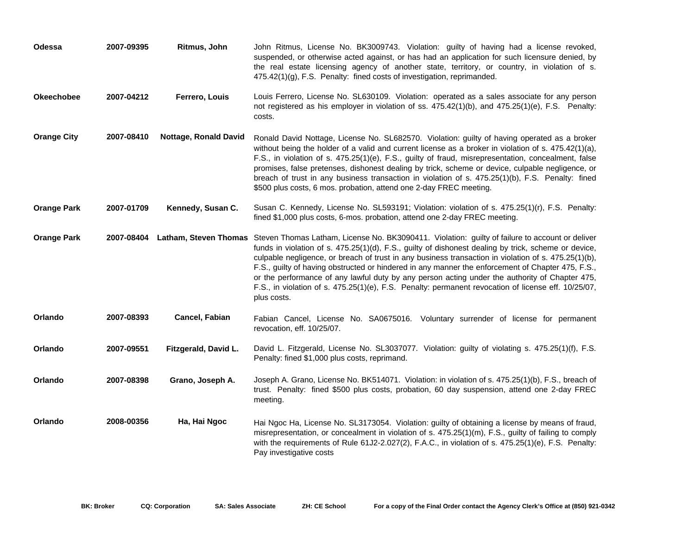| Odessa             | 2007-09395 | Ritmus, John          | John Ritmus, License No. BK3009743. Violation: guilty of having had a license revoked,<br>suspended, or otherwise acted against, or has had an application for such licensure denied, by<br>the real estate licensing agency of another state, territory, or country, in violation of s.<br>475.42(1)(g), F.S. Penalty: fined costs of investigation, reprimanded.                                                                                                                                                                                                                                                                                                 |
|--------------------|------------|-----------------------|--------------------------------------------------------------------------------------------------------------------------------------------------------------------------------------------------------------------------------------------------------------------------------------------------------------------------------------------------------------------------------------------------------------------------------------------------------------------------------------------------------------------------------------------------------------------------------------------------------------------------------------------------------------------|
| <b>Okeechobee</b>  | 2007-04212 | Ferrero, Louis        | Louis Ferrero, License No. SL630109. Violation: operated as a sales associate for any person<br>not registered as his employer in violation of ss. 475.42(1)(b), and 475.25(1)(e), F.S. Penalty:<br>costs.                                                                                                                                                                                                                                                                                                                                                                                                                                                         |
| <b>Orange City</b> | 2007-08410 | Nottage, Ronald David | Ronald David Nottage, License No. SL682570. Violation: guilty of having operated as a broker<br>without being the holder of a valid and current license as a broker in violation of s. 475.42(1)(a),<br>F.S., in violation of s. 475.25(1)(e), F.S., guilty of fraud, misrepresentation, concealment, false<br>promises, false pretenses, dishonest dealing by trick, scheme or device, culpable negligence, or<br>breach of trust in any business transaction in violation of s. 475.25(1)(b), F.S. Penalty: fined<br>\$500 plus costs, 6 mos. probation, attend one 2-day FREC meeting.                                                                          |
| <b>Orange Park</b> | 2007-01709 | Kennedy, Susan C.     | Susan C. Kennedy, License No. SL593191; Violation: violation of s. 475.25(1)(r), F.S. Penalty:<br>fined \$1,000 plus costs, 6-mos. probation, attend one 2-day FREC meeting.                                                                                                                                                                                                                                                                                                                                                                                                                                                                                       |
| <b>Orange Park</b> | 2007-08404 |                       | Latham, Steven Thomas Steven Thomas Latham, License No. BK3090411. Violation: guilty of failure to account or deliver<br>funds in violation of s. 475.25(1)(d), F.S., guilty of dishonest dealing by trick, scheme or device,<br>culpable negligence, or breach of trust in any business transaction in violation of s. 475.25(1)(b),<br>F.S., guilty of having obstructed or hindered in any manner the enforcement of Chapter 475, F.S.,<br>or the performance of any lawful duty by any person acting under the authority of Chapter 475,<br>F.S., in violation of s. 475.25(1)(e), F.S. Penalty: permanent revocation of license eff. 10/25/07,<br>plus costs. |
| Orlando            | 2007-08393 | Cancel, Fabian        | Fabian Cancel, License No. SA0675016. Voluntary surrender of license for permanent<br>revocation, eff. 10/25/07.                                                                                                                                                                                                                                                                                                                                                                                                                                                                                                                                                   |
| Orlando            | 2007-09551 | Fitzgerald, David L.  | David L. Fitzgerald, License No. SL3037077. Violation: guilty of violating s. 475.25(1)(f), F.S.<br>Penalty: fined \$1,000 plus costs, reprimand.                                                                                                                                                                                                                                                                                                                                                                                                                                                                                                                  |
| Orlando            | 2007-08398 | Grano, Joseph A.      | Joseph A. Grano, License No. BK514071. Violation: in violation of s. 475.25(1)(b), F.S., breach of<br>trust. Penalty: fined \$500 plus costs, probation, 60 day suspension, attend one 2-day FREC<br>meeting.                                                                                                                                                                                                                                                                                                                                                                                                                                                      |
| Orlando            | 2008-00356 | Ha, Hai Ngoc          | Hai Ngoc Ha, License No. SL3173054. Violation: guilty of obtaining a license by means of fraud,<br>misrepresentation, or concealment in violation of s. 475.25(1)(m), F.S., guilty of failing to comply<br>with the requirements of Rule 61J2-2.027(2), F.A.C., in violation of s. 475.25(1)(e), F.S. Penalty:<br>Pay investigative costs                                                                                                                                                                                                                                                                                                                          |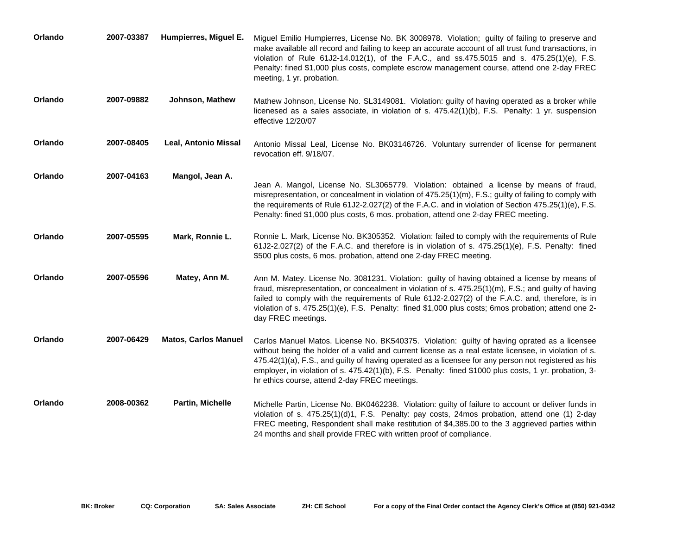| Orlando | 2007-03387 | Humpierres, Miguel E.       | Miguel Emilio Humpierres, License No. BK 3008978. Violation; guilty of failing to preserve and<br>make available all record and failing to keep an accurate account of all trust fund transactions, in<br>violation of Rule 61J2-14.012(1), of the F.A.C., and ss.475.5015 and s. 475.25(1)(e), F.S.<br>Penalty: fined \$1,000 plus costs, complete escrow management course, attend one 2-day FREC<br>meeting, 1 yr. probation.                                        |
|---------|------------|-----------------------------|-------------------------------------------------------------------------------------------------------------------------------------------------------------------------------------------------------------------------------------------------------------------------------------------------------------------------------------------------------------------------------------------------------------------------------------------------------------------------|
| Orlando | 2007-09882 | Johnson, Mathew             | Mathew Johnson, License No. SL3149081. Violation: guilty of having operated as a broker while<br>licenesed as a sales associate, in violation of s. 475.42(1)(b), F.S. Penalty: 1 yr. suspension<br>effective $12/20/07$                                                                                                                                                                                                                                                |
| Orlando | 2007-08405 | Leal, Antonio Missal        | Antonio Missal Leal, License No. BK03146726. Voluntary surrender of license for permanent<br>revocation eff. 9/18/07.                                                                                                                                                                                                                                                                                                                                                   |
| Orlando | 2007-04163 | Mangol, Jean A.             | Jean A. Mangol, License No. SL3065779. Violation: obtained a license by means of fraud,<br>misrepresentation, or concealment in violation of 475.25(1)(m), F.S.; guilty of failing to comply with<br>the requirements of Rule 61J2-2.027(2) of the F.A.C. and in violation of Section 475.25(1)(e), F.S.<br>Penalty: fined \$1,000 plus costs, 6 mos. probation, attend one 2-day FREC meeting.                                                                         |
| Orlando | 2007-05595 | Mark, Ronnie L.             | Ronnie L. Mark, License No. BK305352. Violation: failed to comply with the requirements of Rule<br>61J2-2.027(2) of the F.A.C. and therefore is in violation of s. $475.25(1)(e)$ , F.S. Penalty: fined<br>\$500 plus costs, 6 mos. probation, attend one 2-day FREC meeting.                                                                                                                                                                                           |
| Orlando | 2007-05596 | Matey, Ann M.               | Ann M. Matey. License No. 3081231. Violation: guilty of having obtained a license by means of<br>fraud, misrepresentation, or concealment in violation of s. 475.25(1)(m), F.S.; and guilty of having<br>failed to comply with the requirements of Rule 61J2-2.027(2) of the F.A.C. and, therefore, is in<br>violation of s. 475.25(1)(e), F.S. Penalty: fined \$1,000 plus costs; 6mos probation; attend one 2-<br>day FREC meetings.                                  |
| Orlando | 2007-06429 | <b>Matos, Carlos Manuel</b> | Carlos Manuel Matos. License No. BK540375. Violation: guilty of having oprated as a licensee<br>without being the holder of a valid and current license as a real estate licensee, in violation of s.<br>475.42(1)(a), F.S., and guilty of having operated as a licensee for any person not registered as his<br>employer, in violation of s. 475.42(1)(b), F.S. Penalty: fined \$1000 plus costs, 1 yr. probation, 3-<br>hr ethics course, attend 2-day FREC meetings. |
| Orlando | 2008-00362 | <b>Partin, Michelle</b>     | Michelle Partin, License No. BK0462238. Violation: guilty of failure to account or deliver funds in<br>violation of s. 475.25(1)(d)1, F.S. Penalty: pay costs, 24mos probation, attend one (1) 2-day<br>FREC meeting, Respondent shall make restitution of \$4,385.00 to the 3 aggrieved parties within<br>24 months and shall provide FREC with written proof of compliance.                                                                                           |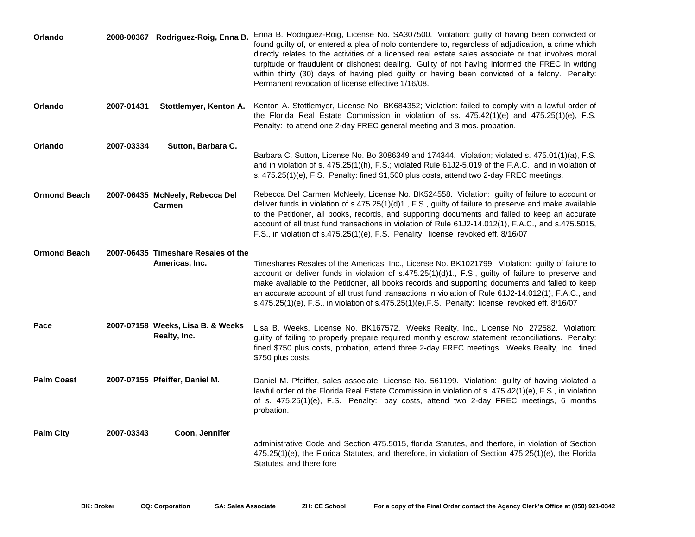| Orlando             |            | 2008-00367 Rodriguez-Roig, Enna B.                    | Enna B. Rodriguez-Roig, License No. SA307500. Violation: guilty of having been convicted or<br>found guilty of, or entered a plea of nolo contendere to, regardless of adjudication, a crime which<br>directly relates to the activities of a licensed real estate sales associate or that involves moral<br>turpitude or fraudulent or dishonest dealing. Guilty of not having informed the FREC in writing<br>within thirty (30) days of having pled guilty or having been convicted of a felony. Penalty:<br>Permanent revocation of license effective 1/16/08. |
|---------------------|------------|-------------------------------------------------------|--------------------------------------------------------------------------------------------------------------------------------------------------------------------------------------------------------------------------------------------------------------------------------------------------------------------------------------------------------------------------------------------------------------------------------------------------------------------------------------------------------------------------------------------------------------------|
| Orlando             | 2007-01431 | Stottlemyer, Kenton A.                                | Kenton A. Stottlemyer, License No. BK684352; Violation: failed to comply with a lawful order of<br>the Florida Real Estate Commission in violation of ss. 475.42(1)(e) and 475.25(1)(e), F.S.<br>Penalty: to attend one 2-day FREC general meeting and 3 mos. probation.                                                                                                                                                                                                                                                                                           |
| Orlando             | 2007-03334 | Sutton, Barbara C.                                    | Barbara C. Sutton, License No. Bo 3086349 and 174344. Violation; violated s. 475.01(1)(a), F.S.<br>and in violation of s. 475.25(1)(h), F.S.; violated Rule 61J2-5.019 of the F.A.C. and in violation of<br>s. 475.25(1)(e), F.S. Penalty: fined \$1,500 plus costs, attend two 2-day FREC meetings.                                                                                                                                                                                                                                                               |
| <b>Ormond Beach</b> |            | 2007-06435 McNeely, Rebecca Del<br>Carmen             | Rebecca Del Carmen McNeely, License No. BK524558. Violation: guilty of failure to account or<br>deliver funds in violation of s.475.25(1)(d)1., F.S., guilty of failure to preserve and make available<br>to the Petitioner, all books, records, and supporting documents and failed to keep an accurate<br>account of all trust fund transactions in violation of Rule 61J2-14.012(1), F.A.C., and s.475.5015,<br>F.S., in violation of s.475.25(1)(e), F.S. Penality: license revoked eff. 8/16/07                                                               |
| <b>Ormond Beach</b> |            | 2007-06435 Timeshare Resales of the<br>Americas, Inc. | Timeshares Resales of the Americas, Inc., License No. BK1021799. Violation: guilty of failure to<br>account or deliver funds in violation of s.475.25(1)(d)1., F.S., guilty of failure to preserve and<br>make available to the Petitioner, all books records and supporting documents and failed to keep<br>an accurate account of all trust fund transactions in violation of Rule 61J2-14.012(1), F.A.C., and<br>s.475.25(1)(e), F.S., in violation of s.475.25(1)(e), F.S. Penalty: license revoked eff. 8/16/07                                               |
| Pace                |            | 2007-07158 Weeks, Lisa B. & Weeks<br>Realty, Inc.     | Lisa B. Weeks, License No. BK167572. Weeks Realty, Inc., License No. 272582. Violation:<br>guilty of failing to properly prepare required monthly escrow statement reconciliations. Penalty:<br>fined \$750 plus costs, probation, attend three 2-day FREC meetings. Weeks Realty, Inc., fined<br>\$750 plus costs.                                                                                                                                                                                                                                                |
| <b>Palm Coast</b>   |            | 2007-07155 Pfeiffer, Daniel M.                        | Daniel M. Pfeiffer, sales associate, License No. 561199. Violation: guilty of having violated a<br>lawful order of the Florida Real Estate Commission in violation of s. 475.42(1)(e), F.S., in violation<br>of s. 475.25(1)(e), F.S. Penalty: pay costs, attend two 2-day FREC meetings, 6 months<br>probation.                                                                                                                                                                                                                                                   |
| <b>Palm City</b>    | 2007-03343 | Coon, Jennifer                                        | administrative Code and Section 475.5015, florida Statutes, and therfore, in violation of Section<br>475.25(1)(e), the Florida Statutes, and therefore, in violation of Section 475.25(1)(e), the Florida<br>Statutes, and there fore                                                                                                                                                                                                                                                                                                                              |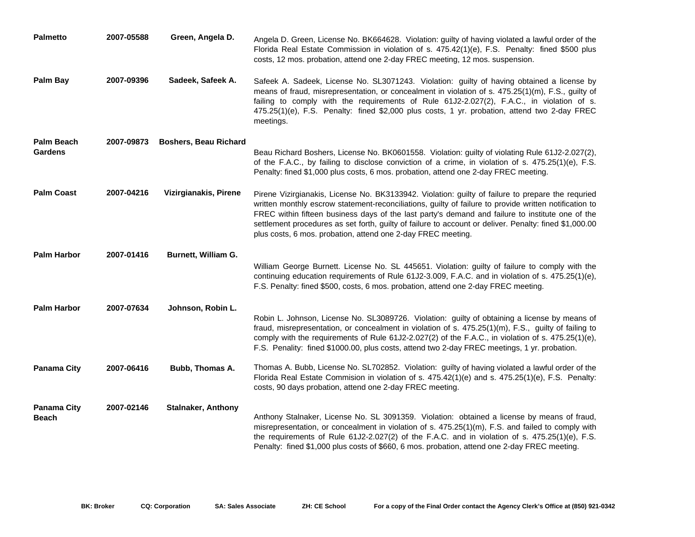| <b>Palmetto</b>                     | 2007-05588 | Green, Angela D.             | Angela D. Green, License No. BK664628. Violation: guilty of having violated a lawful order of the<br>Florida Real Estate Commission in violation of s. 475.42(1)(e), F.S. Penalty: fined \$500 plus<br>costs, 12 mos. probation, attend one 2-day FREC meeting, 12 mos. suspension.                                                                                                                                                                                                       |
|-------------------------------------|------------|------------------------------|-------------------------------------------------------------------------------------------------------------------------------------------------------------------------------------------------------------------------------------------------------------------------------------------------------------------------------------------------------------------------------------------------------------------------------------------------------------------------------------------|
| <b>Palm Bay</b>                     | 2007-09396 | Sadeek, Safeek A.            | Safeek A. Sadeek, License No. SL3071243. Violation: guilty of having obtained a license by<br>means of fraud, misrepresentation, or concealment in violation of s. 475.25(1)(m), F.S., guilty of<br>failing to comply with the requirements of Rule 61J2-2.027(2), F.A.C., in violation of s.<br>475.25(1)(e), F.S. Penalty: fined \$2,000 plus costs, 1 yr. probation, attend two 2-day FREC<br>meetings.                                                                                |
| <b>Palm Beach</b><br><b>Gardens</b> | 2007-09873 | <b>Boshers, Beau Richard</b> |                                                                                                                                                                                                                                                                                                                                                                                                                                                                                           |
|                                     |            |                              | Beau Richard Boshers, License No. BK0601558. Violation: guilty of violating Rule 61J2-2.027(2),<br>of the F.A.C., by failing to disclose conviction of a crime, in violation of s. 475.25(1)(e), F.S.<br>Penalty: fined \$1,000 plus costs, 6 mos. probation, attend one 2-day FREC meeting.                                                                                                                                                                                              |
| <b>Palm Coast</b>                   | 2007-04216 | Vizirgianakis, Pirene        | Pirene Vizirgianakis, License No. BK3133942. Violation: guilty of failure to prepare the requried<br>written monthly escrow statement-reconciliations, guilty of failure to provide written notification to<br>FREC within fifteen business days of the last party's demand and failure to institute one of the<br>settlement procedures as set forth, guilty of failure to account or deliver. Penalty: fined \$1,000.00<br>plus costs, 6 mos. probation, attend one 2-day FREC meeting. |
| <b>Palm Harbor</b>                  | 2007-01416 | Burnett, William G.          |                                                                                                                                                                                                                                                                                                                                                                                                                                                                                           |
|                                     |            |                              | William George Burnett. License No. SL 445651. Violation: guilty of failure to comply with the<br>continuing education requirements of Rule 61J2-3.009, F.A.C. and in violation of s. 475.25(1)(e),<br>F.S. Penalty: fined \$500, costs, 6 mos. probation, attend one 2-day FREC meeting.                                                                                                                                                                                                 |
| <b>Palm Harbor</b>                  | 2007-07634 | Johnson, Robin L.            |                                                                                                                                                                                                                                                                                                                                                                                                                                                                                           |
|                                     |            |                              | Robin L. Johnson, License No. SL3089726. Violation: guilty of obtaining a license by means of<br>fraud, misrepresentation, or concealment in violation of s. 475.25(1)(m), F.S., guilty of failing to<br>comply with the requirements of Rule 61J2-2.027(2) of the F.A.C., in violation of s. 475.25(1)(e),<br>F.S. Penality: fined \$1000.00, plus costs, attend two 2-day FREC meetings, 1 yr. probation.                                                                               |
| <b>Panama City</b>                  | 2007-06416 | Bubb, Thomas A.              | Thomas A. Bubb, License No. SL702852. Violation: guilty of having violated a lawful order of the<br>Florida Real Estate Commision in violation of s. 475.42(1)(e) and s. 475.25(1)(e), F.S. Penalty:<br>costs, 90 days probation, attend one 2-day FREC meeting.                                                                                                                                                                                                                          |
| <b>Panama City</b><br><b>Beach</b>  | 2007-02146 | <b>Stalnaker, Anthony</b>    | Anthony Stalnaker, License No. SL 3091359. Violation: obtained a license by means of fraud,<br>misrepresentation, or concealment in violation of s. 475.25(1)(m), F.S. and failed to comply with<br>the requirements of Rule 61J2-2.027(2) of the F.A.C. and in violation of s. 475.25(1)(e), F.S.<br>Penalty: fined \$1,000 plus costs of \$660, 6 mos. probation, attend one 2-day FREC meeting.                                                                                        |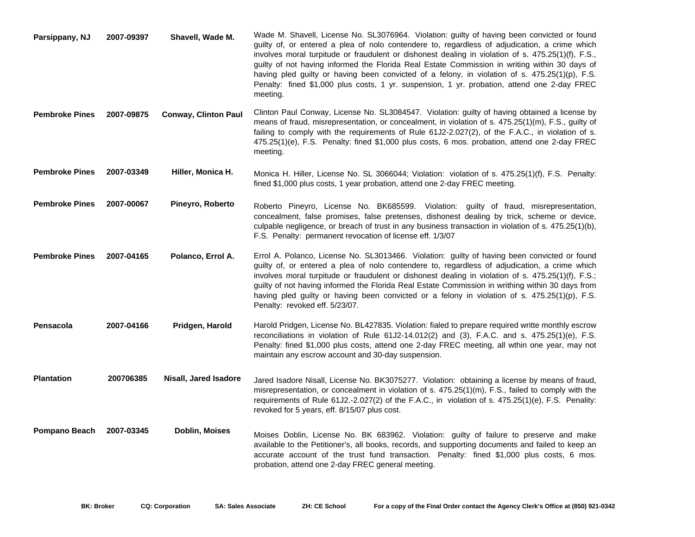| Parsippany, NJ        | 2007-09397 | Shavell, Wade M.            | Wade M. Shavell, License No. SL3076964. Violation: guilty of having been convicted or found<br>guilty of, or entered a plea of nolo contendere to, regardless of adjudication, a crime which<br>involves moral turpitude or fraudulent or dishonest dealing in violation of s. 475.25(1)(f), F.S.,<br>guilty of not having informed the Florida Real Estate Commission in writing within 30 days of<br>having pled guilty or having been convicted of a felony, in violation of s. 475.25(1)(p), F.S.<br>Penalty: fined \$1,000 plus costs, 1 yr. suspension, 1 yr. probation, attend one 2-day FREC<br>meeting. |
|-----------------------|------------|-----------------------------|------------------------------------------------------------------------------------------------------------------------------------------------------------------------------------------------------------------------------------------------------------------------------------------------------------------------------------------------------------------------------------------------------------------------------------------------------------------------------------------------------------------------------------------------------------------------------------------------------------------|
| <b>Pembroke Pines</b> | 2007-09875 | <b>Conway, Clinton Paul</b> | Clinton Paul Conway, License No. SL3084547. Violation: guilty of having obtained a license by<br>means of fraud, misrepresentation, or concealment, in violation of s. 475.25(1)(m), F.S., guilty of<br>failing to comply with the requirements of Rule 61J2-2.027(2), of the F.A.C., in violation of s.<br>475.25(1)(e), F.S. Penalty: fined \$1,000 plus costs, 6 mos. probation, attend one 2-day FREC<br>meeting.                                                                                                                                                                                            |
| <b>Pembroke Pines</b> | 2007-03349 | Hiller, Monica H.           | Monica H. Hiller, License No. SL 3066044; Violation: violation of s. 475.25(1)(f), F.S. Penalty:<br>fined \$1,000 plus costs, 1 year probation, attend one 2-day FREC meeting.                                                                                                                                                                                                                                                                                                                                                                                                                                   |
| <b>Pembroke Pines</b> | 2007-00067 | Pineyro, Roberto            | Roberto Pineyro, License No. BK685599. Violation: guilty of fraud, misrepresentation,<br>concealment, false promises, false pretenses, dishonest dealing by trick, scheme or device,<br>culpable negligence, or breach of trust in any business transaction in violation of s. 475.25(1)(b),<br>F.S. Penalty: permanent revocation of license eff. 1/3/07                                                                                                                                                                                                                                                        |
| <b>Pembroke Pines</b> | 2007-04165 | Polanco, Errol A.           | Errol A. Polanco, License No. SL3013466. Violation: guilty of having been convicted or found<br>guilty of, or entered a plea of nolo contendere to, regardless of adjudication, a crime which<br>involves moral turpitude or fraudulent or dishonest dealing in violation of s. 475.25(1)(f), F.S.;<br>guilty of not having informed the Florida Real Estate Commission in writhing within 30 days from<br>having pled guilty or having been convicted or a felony in violation of s. 475.25(1)(p), F.S.<br>Penalty: revoked eff. 5/23/07.                                                                       |
| Pensacola             | 2007-04166 | Pridgen, Harold             | Harold Pridgen, License No. BL427835. Violation: fialed to prepare required writte monthly escrow<br>reconciliations in violation of Rule $61J2-14.012(2)$ and $(3)$ , F.A.C. and s. $475.25(1)(e)$ , F.S.<br>Penalty: fined \$1,000 plus costs, attend one 2-day FREC meeting, all wthin one year, may not<br>maintain any escrow account and 30-day suspension.                                                                                                                                                                                                                                                |
| <b>Plantation</b>     | 200706385  | Nisall, Jared Isadore       | Jared Isadore Nisall, License No. BK3075277. Violation: obtaining a license by means of fraud,<br>misrepresentation, or concealment in violation of s. 475.25(1)(m), F.S., failed to comply with the<br>requirements of Rule 61J2.-2.027(2) of the F.A.C., in violation of s. 475.25(1)(e), F.S. Penality:<br>revoked for 5 years, eff. 8/15/07 plus cost.                                                                                                                                                                                                                                                       |
| Pompano Beach         | 2007-03345 | Doblin, Moises              | Moises Doblin, License No. BK 683962. Violation: guilty of failure to preserve and make<br>available to the Petitioner's, all books, records, and supporting documents and failed to keep an<br>accurate account of the trust fund transaction. Penalty: fined \$1,000 plus costs, 6 mos.<br>probation, attend one 2-day FREC general meeting.                                                                                                                                                                                                                                                                   |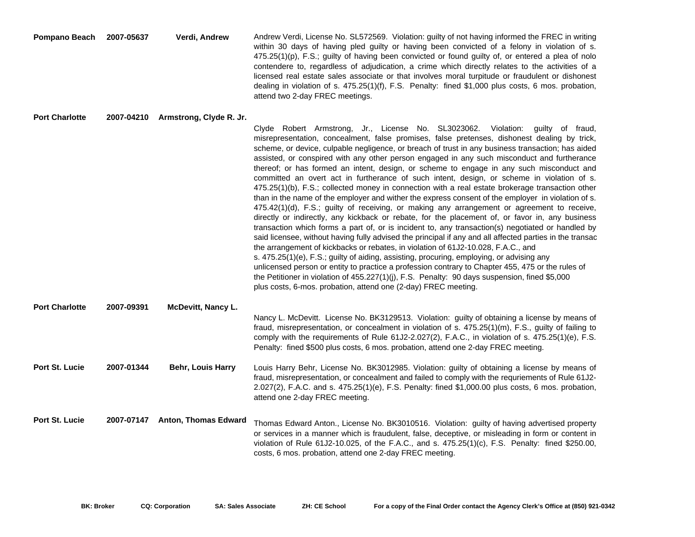| Pompano Beach 2007-05637 | Verdi. Andrew | Andrew Verdi, License No. SL572569. Violation: guilty of not having informed the FREC in writing      |
|--------------------------|---------------|-------------------------------------------------------------------------------------------------------|
|                          |               | within 30 days of having pled quilty or having been convicted of a felony in violation of s.          |
|                          |               | $475.25(1)(p)$ , F.S.; guilty of having been convicted or found guilty of, or entered a plea of nolo  |
|                          |               | contendere to, regardless of adjudication, a crime which directly relates to the activities of a      |
|                          |               | licensed real estate sales associate or that involves moral turpitude or fraudulent or dishonest      |
|                          |               | dealing in violation of s. $475.25(1)(f)$ , F.S. Penalty: fined \$1,000 plus costs, 6 mos. probation, |
|                          |               | attend two 2-day FREC meetings.                                                                       |

## **Port Charlotte 2007-04210 Armstrong, Clyde R. Jr.**

|                       |            |                             | Clyde Robert Armstrong, Jr., License No. SL3023062. Violation: guilty of fraud,<br>misrepresentation, concealment, false promises, false pretenses, dishonest dealing by trick,<br>scheme, or device, culpable negligence, or breach of trust in any business transaction; has aided<br>assisted, or conspired with any other person engaged in any such misconduct and furtherance<br>thereof; or has formed an intent, design, or scheme to engage in any such misconduct and<br>committed an overt act in furtherance of such intent, design, or scheme in violation of s.<br>475.25(1)(b), F.S.; collected money in connection with a real estate brokerage transaction other<br>than in the name of the employer and wither the express consent of the employer in violation of s.<br>$475.42(1)(d)$ , F.S.; guilty of receiving, or making any arrangement or agreement to receive,<br>directly or indirectly, any kickback or rebate, for the placement of, or favor in, any business<br>transaction which forms a part of, or is incident to, any transaction(s) negotiated or handled by<br>said licensee, without having fully advised the principal if any and all affected parties in the transac<br>the arrangement of kickbacks or rebates, in violation of 61J2-10.028, F.A.C., and<br>s. 475.25(1)(e), F.S.; guilty of aiding, assisting, procuring, employing, or advising any<br>unlicensed person or entity to practice a profession contrary to Chapter 455, 475 or the rules of<br>the Petitioner in violation of 455.227(1)(j), F.S. Penalty: 90 days suspension, fined \$5,000<br>plus costs, 6-mos. probation, attend one (2-day) FREC meeting. |
|-----------------------|------------|-----------------------------|-------------------------------------------------------------------------------------------------------------------------------------------------------------------------------------------------------------------------------------------------------------------------------------------------------------------------------------------------------------------------------------------------------------------------------------------------------------------------------------------------------------------------------------------------------------------------------------------------------------------------------------------------------------------------------------------------------------------------------------------------------------------------------------------------------------------------------------------------------------------------------------------------------------------------------------------------------------------------------------------------------------------------------------------------------------------------------------------------------------------------------------------------------------------------------------------------------------------------------------------------------------------------------------------------------------------------------------------------------------------------------------------------------------------------------------------------------------------------------------------------------------------------------------------------------------------------------------------------------------------------------------------------------------------------|
| <b>Port Charlotte</b> | 2007-09391 | <b>McDevitt, Nancy L.</b>   | Nancy L. McDevitt. License No. BK3129513. Violation: guilty of obtaining a license by means of<br>fraud, misrepresentation, or concealment in violation of s. 475.25(1)(m), F.S., guilty of failing to<br>comply with the requirements of Rule 61J2-2.027(2), F.A.C., in violation of s. 475.25(1)(e), F.S.                                                                                                                                                                                                                                                                                                                                                                                                                                                                                                                                                                                                                                                                                                                                                                                                                                                                                                                                                                                                                                                                                                                                                                                                                                                                                                                                                             |
|                       |            |                             | Penalty: fined \$500 plus costs, 6 mos. probation, attend one 2-day FREC meeting.                                                                                                                                                                                                                                                                                                                                                                                                                                                                                                                                                                                                                                                                                                                                                                                                                                                                                                                                                                                                                                                                                                                                                                                                                                                                                                                                                                                                                                                                                                                                                                                       |
| <b>Port St. Lucie</b> | 2007-01344 | <b>Behr, Louis Harry</b>    | Louis Harry Behr, License No. BK3012985. Violation: guilty of obtaining a license by means of<br>fraud, misrepresentation, or concealment and failed to comply with the requriements of Rule 61J2-<br>2.027(2), F.A.C. and s. 475.25(1)(e), F.S. Penalty: fined \$1,000.00 plus costs, 6 mos. probation,<br>attend one 2-day FREC meeting.                                                                                                                                                                                                                                                                                                                                                                                                                                                                                                                                                                                                                                                                                                                                                                                                                                                                                                                                                                                                                                                                                                                                                                                                                                                                                                                              |
| Port St. Lucie        | 2007-07147 | <b>Anton, Thomas Edward</b> | Thomas Edward Anton., License No. BK3010516. Violation: guilty of having advertised property<br>or services in a manner which is fraudulent, false, deceptive, or misleading in form or content in<br>violation of Rule 61J2-10.025, of the F.A.C., and s. 475.25(1)(c), F.S. Penalty: fined \$250.00,<br>costs, 6 mos. probation, attend one 2-day FREC meeting.                                                                                                                                                                                                                                                                                                                                                                                                                                                                                                                                                                                                                                                                                                                                                                                                                                                                                                                                                                                                                                                                                                                                                                                                                                                                                                       |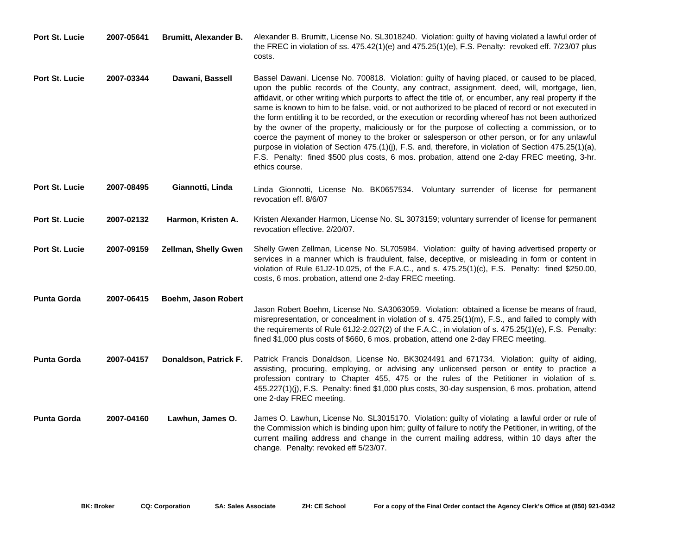| <b>Port St. Lucie</b> | 2007-05641 | <b>Brumitt, Alexander B.</b> | Alexander B. Brumitt, License No. SL3018240. Violation: guilty of having violated a lawful order of<br>the FREC in violation of ss. 475.42(1)(e) and 475.25(1)(e), F.S. Penalty: revoked eff. 7/23/07 plus<br>costs.                                                                                                                                                                                                                                                                                                                                                                                                                                                                                                                                                                                                                                                                                                                                    |
|-----------------------|------------|------------------------------|---------------------------------------------------------------------------------------------------------------------------------------------------------------------------------------------------------------------------------------------------------------------------------------------------------------------------------------------------------------------------------------------------------------------------------------------------------------------------------------------------------------------------------------------------------------------------------------------------------------------------------------------------------------------------------------------------------------------------------------------------------------------------------------------------------------------------------------------------------------------------------------------------------------------------------------------------------|
| <b>Port St. Lucie</b> | 2007-03344 | Dawani, Bassell              | Bassel Dawani. License No. 700818. Violation: guilty of having placed, or caused to be placed,<br>upon the public records of the County, any contract, assignment, deed, will, mortgage, lien,<br>affidavit, or other writing which purports to affect the title of, or encumber, any real property if the<br>same is known to him to be false, void, or not authorized to be placed of record or not executed in<br>the form entitling it to be recorded, or the execution or recording whereof has not been authorized<br>by the owner of the property, maliciously or for the purpose of collecting a commission, or to<br>coerce the payment of money to the broker or salesperson or other person, or for any unlawful<br>purpose in violation of Section 475.(1)(j), F.S. and, therefore, in violation of Section 475.25(1)(a),<br>F.S. Penalty: fined \$500 plus costs, 6 mos. probation, attend one 2-day FREC meeting, 3-hr.<br>ethics course. |
| <b>Port St. Lucie</b> | 2007-08495 | Giannotti, Linda             | Linda Gionnotti, License No. BK0657534. Voluntary surrender of license for permanent<br>revocation eff. 8/6/07                                                                                                                                                                                                                                                                                                                                                                                                                                                                                                                                                                                                                                                                                                                                                                                                                                          |
| <b>Port St. Lucie</b> | 2007-02132 | Harmon, Kristen A.           | Kristen Alexander Harmon, License No. SL 3073159; voluntary surrender of license for permanent<br>revocation effective. 2/20/07.                                                                                                                                                                                                                                                                                                                                                                                                                                                                                                                                                                                                                                                                                                                                                                                                                        |
| <b>Port St. Lucie</b> | 2007-09159 | <b>Zellman, Shelly Gwen</b>  | Shelly Gwen Zellman, License No. SL705984. Violation: guilty of having advertised property or<br>services in a manner which is fraudulent, false, deceptive, or misleading in form or content in<br>violation of Rule 61J2-10.025, of the F.A.C., and s. 475.25(1)(c), F.S. Penalty: fined \$250.00,<br>costs, 6 mos. probation, attend one 2-day FREC meeting.                                                                                                                                                                                                                                                                                                                                                                                                                                                                                                                                                                                         |
| <b>Punta Gorda</b>    | 2007-06415 | Boehm, Jason Robert          | Jason Robert Boehm, License No. SA3063059. Violation: obtained a license be means of fraud,<br>misrepresentation, or concealment in violation of s. 475.25(1)(m), F.S., and failed to comply with<br>the requirements of Rule 61J2-2.027(2) of the F.A.C., in violation of s. 475.25(1)(e), F.S. Penalty:<br>fined \$1,000 plus costs of \$660, 6 mos. probation, attend one 2-day FREC meeting.                                                                                                                                                                                                                                                                                                                                                                                                                                                                                                                                                        |
| <b>Punta Gorda</b>    | 2007-04157 | Donaldson, Patrick F.        | Patrick Francis Donaldson, License No. BK3024491 and 671734. Violation: guilty of aiding,<br>assisting, procuring, employing, or advising any unlicensed person or entity to practice a<br>profession contrary to Chapter 455, 475 or the rules of the Petitioner in violation of s.<br>455.227(1)(j), F.S. Penalty: fined \$1,000 plus costs, 30-day suspension, 6 mos. probation, attend<br>one 2-day FREC meeting.                                                                                                                                                                                                                                                                                                                                                                                                                                                                                                                                   |
| <b>Punta Gorda</b>    | 2007-04160 | Lawhun, James O.             | James O. Lawhun, License No. SL3015170. Violation: guilty of violating a lawful order or rule of<br>the Commission which is binding upon him; guilty of failure to notify the Petitioner, in writing, of the<br>current mailing address and change in the current mailing address, within 10 days after the<br>change. Penalty: revoked eff 5/23/07.                                                                                                                                                                                                                                                                                                                                                                                                                                                                                                                                                                                                    |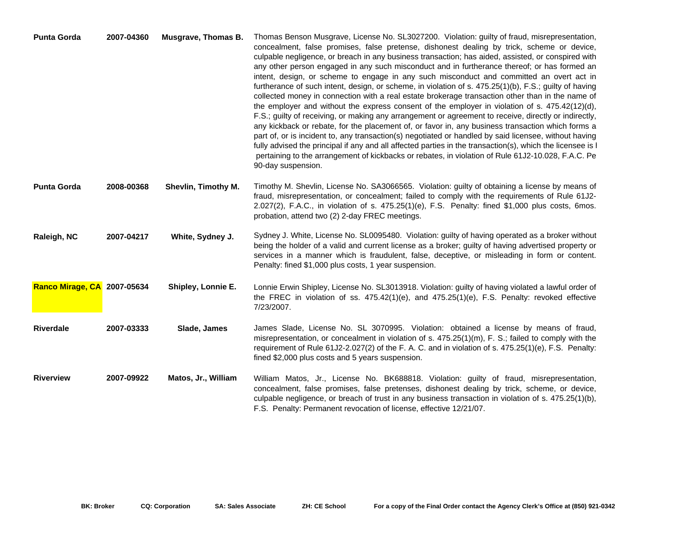| <b>Punta Gorda</b>          | 2007-04360 |                     | Musgrave, Thomas B. Thomas Benson Musgrave, License No. SL3027200. Violation: guilty of fraud, misrepresentation,<br>concealment, false promises, false pretense, dishonest dealing by trick, scheme or device,<br>culpable negligence, or breach in any business transaction; has aided, assisted, or conspired with<br>any other person engaged in any such misconduct and in furtherance thereof; or has formed an<br>intent, design, or scheme to engage in any such misconduct and committed an overt act in<br>furtherance of such intent, design, or scheme, in violation of s. 475.25(1)(b), F.S.; guilty of having<br>collected money in connection with a real estate brokerage transaction other than in the name of<br>the employer and without the express consent of the employer in violation of s. $475.42(12)(d)$ ,<br>F.S.; guilty of receiving, or making any arrangement or agreement to receive, directly or indirectly,<br>any kickback or rebate, for the placement of, or favor in, any business transaction which forms a<br>part of, or is incident to, any transaction(s) negotiated or handled by said licensee, without having<br>fully advised the principal if any and all affected parties in the transaction(s), which the licensee is I<br>pertaining to the arrangement of kickbacks or rebates, in violation of Rule 61J2-10.028, F.A.C. Pe<br>90-day suspension. |
|-----------------------------|------------|---------------------|-------------------------------------------------------------------------------------------------------------------------------------------------------------------------------------------------------------------------------------------------------------------------------------------------------------------------------------------------------------------------------------------------------------------------------------------------------------------------------------------------------------------------------------------------------------------------------------------------------------------------------------------------------------------------------------------------------------------------------------------------------------------------------------------------------------------------------------------------------------------------------------------------------------------------------------------------------------------------------------------------------------------------------------------------------------------------------------------------------------------------------------------------------------------------------------------------------------------------------------------------------------------------------------------------------------------------------------------------------------------------------------------------------|
| <b>Punta Gorda</b>          | 2008-00368 | Shevlin, Timothy M. | Timothy M. Shevlin, License No. SA3066565. Violation: guilty of obtaining a license by means of<br>fraud, misrepresentation, or concealment; failed to comply with the requirements of Rule 61J2-<br>2.027(2), F.A.C., in violation of s. 475.25(1)(e), F.S. Penalty: fined \$1,000 plus costs, 6mos.<br>probation, attend two (2) 2-day FREC meetings.                                                                                                                                                                                                                                                                                                                                                                                                                                                                                                                                                                                                                                                                                                                                                                                                                                                                                                                                                                                                                                               |
| Raleigh, NC                 | 2007-04217 | White, Sydney J.    | Sydney J. White, License No. SL0095480. Violation: guilty of having operated as a broker without<br>being the holder of a valid and current license as a broker; guilty of having advertised property or<br>services in a manner which is fraudulent, false, deceptive, or misleading in form or content.<br>Penalty: fined \$1,000 plus costs, 1 year suspension.                                                                                                                                                                                                                                                                                                                                                                                                                                                                                                                                                                                                                                                                                                                                                                                                                                                                                                                                                                                                                                    |
| Ranco Mirage, CA 2007-05634 |            | Shipley, Lonnie E.  | Lonnie Erwin Shipley, License No. SL3013918. Violation: guilty of having violated a lawful order of<br>the FREC in violation of ss. $475.42(1)(e)$ , and $475.25(1)(e)$ , F.S. Penalty: revoked effective<br>7/23/2007.                                                                                                                                                                                                                                                                                                                                                                                                                                                                                                                                                                                                                                                                                                                                                                                                                                                                                                                                                                                                                                                                                                                                                                               |
| <b>Riverdale</b>            | 2007-03333 | Slade, James        | James Slade, License No. SL 3070995. Violation: obtained a license by means of fraud,<br>misrepresentation, or concealment in violation of s. 475.25(1)(m), F. S.; failed to comply with the<br>requirement of Rule 61J2-2.027(2) of the F. A. C. and in violation of s. 475.25(1)(e), F.S. Penalty:<br>fined \$2,000 plus costs and 5 years suspension.                                                                                                                                                                                                                                                                                                                                                                                                                                                                                                                                                                                                                                                                                                                                                                                                                                                                                                                                                                                                                                              |
| <b>Riverview</b>            | 2007-09922 | Matos, Jr., William | William Matos, Jr., License No. BK688818. Violation: guilty of fraud, misrepresentation,<br>concealment, false promises, false pretenses, dishonest dealing by trick, scheme, or device,<br>culpable negligence, or breach of trust in any business transaction in violation of s. 475.25(1)(b),<br>F.S. Penalty: Permanent revocation of license, effective 12/21/07.                                                                                                                                                                                                                                                                                                                                                                                                                                                                                                                                                                                                                                                                                                                                                                                                                                                                                                                                                                                                                                |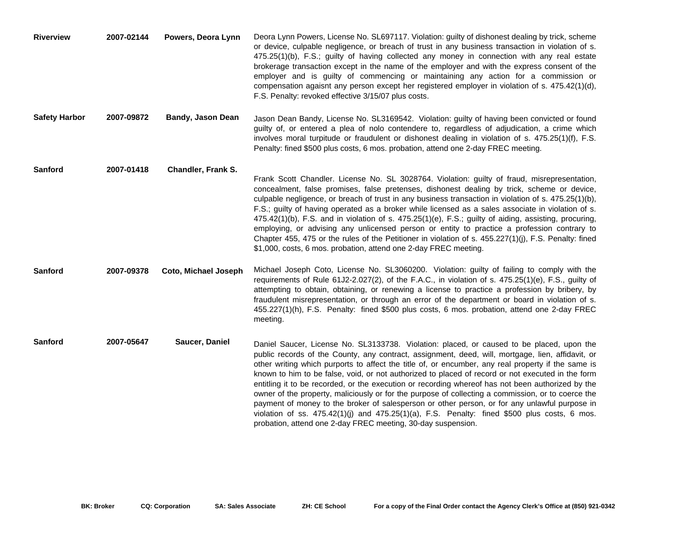| <b>Riverview</b>     | 2007-02144 | Powers, Deora Lynn       | Deora Lynn Powers, License No. SL697117. Violation: guilty of dishonest dealing by trick, scheme<br>or device, culpable negligence, or breach of trust in any business transaction in violation of s.<br>475.25(1)(b), F.S.; guilty of having collected any money in connection with any real estate<br>brokerage transaction except in the name of the employer and with the express consent of the<br>employer and is guilty of commencing or maintaining any action for a commission or<br>compensation agaisnt any person except her registered employer in violation of s. 475.42(1)(d),<br>F.S. Penalty: revoked effective 3/15/07 plus costs.                                                                                                                                                                                                                                       |
|----------------------|------------|--------------------------|--------------------------------------------------------------------------------------------------------------------------------------------------------------------------------------------------------------------------------------------------------------------------------------------------------------------------------------------------------------------------------------------------------------------------------------------------------------------------------------------------------------------------------------------------------------------------------------------------------------------------------------------------------------------------------------------------------------------------------------------------------------------------------------------------------------------------------------------------------------------------------------------|
| <b>Safety Harbor</b> | 2007-09872 | <b>Bandy, Jason Dean</b> | Jason Dean Bandy, License No. SL3169542. Violation: guilty of having been convicted or found<br>guilty of, or entered a plea of nolo contendere to, regardless of adjudication, a crime which<br>involves moral turpitude or fraudulent or dishonest dealing in violation of s. 475.25(1)(f), F.S.<br>Penalty: fined \$500 plus costs, 6 mos. probation, attend one 2-day FREC meeting.                                                                                                                                                                                                                                                                                                                                                                                                                                                                                                    |
| Sanford              | 2007-01418 | Chandler, Frank S.       | Frank Scott Chandler. License No. SL 3028764. Violation: guilty of fraud, misrepresentation,<br>concealment, false promises, false pretenses, dishonest dealing by trick, scheme or device,<br>culpable negligence, or breach of trust in any business transaction in violation of s. 475.25(1)(b),<br>F.S.; guilty of having operated as a broker while licensed as a sales associate in violation of s.<br>475.42(1)(b), F.S. and in violation of s. 475.25(1)(e), F.S.; guilty of aiding, assisting, procuring,<br>employing, or advising any unlicensed person or entity to practice a profession contrary to<br>Chapter 455, 475 or the rules of the Petitioner in violation of s. 455.227(1)(j), F.S. Penalty: fined<br>\$1,000, costs, 6 mos. probation, attend one 2-day FREC meeting.                                                                                             |
| Sanford              | 2007-09378 | Coto, Michael Joseph     | Michael Joseph Coto, License No. SL3060200. Violation: guilty of failing to comply with the<br>requirements of Rule 61J2-2.027(2), of the F.A.C., in violation of s. 475.25(1)(e), F.S., guilty of<br>attempting to obtain, obtaining, or renewing a license to practice a profession by bribery, by<br>fraudulent misrepresentation, or through an error of the department or board in violation of s.<br>455.227(1)(h), F.S. Penalty: fined \$500 plus costs, 6 mos. probation, attend one 2-day FREC<br>meeting.                                                                                                                                                                                                                                                                                                                                                                        |
| Sanford              | 2007-05647 | Saucer, Daniel           | Daniel Saucer, License No. SL3133738. Violation: placed, or caused to be placed, upon the<br>public records of the County, any contract, assignment, deed, will, mortgage, lien, affidavit, or<br>other writing which purports to affect the title of, or encumber, any real property if the same is<br>known to him to be false, void, or not authorized to placed of record or not executed in the form<br>entitling it to be recorded, or the execution or recording whereof has not been authorized by the<br>owner of the property, maliciously or for the purpose of collecting a commission, or to coerce the<br>payment of money to the broker of salesperson or other person, or for any unlawful purpose in<br>violation of ss. $475.42(1)(j)$ and $475.25(1)(a)$ , F.S. Penalty: fined \$500 plus costs, 6 mos.<br>probation, attend one 2-day FREC meeting, 30-day suspension. |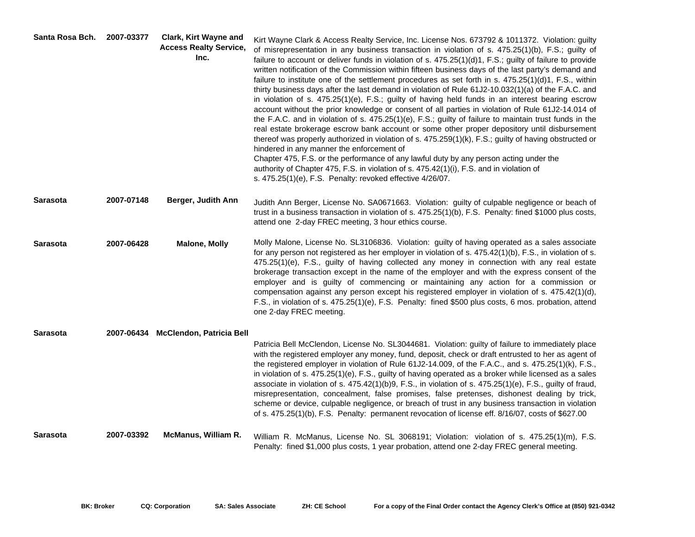| Santa Rosa Bch. | 2007-03377 | <b>Clark, Kirt Wayne and</b><br><b>Access Realty Service,</b><br>Inc. | Kirt Wayne Clark & Access Realty Service, Inc. License Nos. 673792 & 1011372. Violation: guilty<br>of misrepresentation in any business transaction in violation of s. 475.25(1)(b), F.S.; guilty of<br>failure to account or deliver funds in violation of s. 475.25(1)(d)1, F.S.; guilty of failure to provide<br>written notification of the Commission within fifteen business days of the last party's demand and<br>failure to institute one of the settlement procedures as set forth in s. $475.25(1)(d)1$ , F.S., within<br>thirty business days after the last demand in violation of Rule 61J2-10.032(1)(a) of the F.A.C. and<br>in violation of s. 475.25(1)(e), F.S.; guilty of having held funds in an interest bearing escrow<br>account without the prior knowledge or consent of all parties in violation of Rule 61J2-14.014 of<br>the F.A.C. and in violation of s. 475.25(1)(e), F.S.; guilty of failure to maintain trust funds in the<br>real estate brokerage escrow bank account or some other proper depository until disbursement<br>thereof was properly authorized in violation of s. 475.259(1)(k), F.S.; guilty of having obstructed or<br>hindered in any manner the enforcement of<br>Chapter 475, F.S. or the performance of any lawful duty by any person acting under the<br>authority of Chapter 475, F.S. in violation of s. 475.42(1)(i), F.S. and in violation of<br>s. 475.25(1)(e), F.S. Penalty: revoked effective 4/26/07. |
|-----------------|------------|-----------------------------------------------------------------------|-----------------------------------------------------------------------------------------------------------------------------------------------------------------------------------------------------------------------------------------------------------------------------------------------------------------------------------------------------------------------------------------------------------------------------------------------------------------------------------------------------------------------------------------------------------------------------------------------------------------------------------------------------------------------------------------------------------------------------------------------------------------------------------------------------------------------------------------------------------------------------------------------------------------------------------------------------------------------------------------------------------------------------------------------------------------------------------------------------------------------------------------------------------------------------------------------------------------------------------------------------------------------------------------------------------------------------------------------------------------------------------------------------------------------------------------------------------------------|
| <b>Sarasota</b> | 2007-07148 | Berger, Judith Ann                                                    | Judith Ann Berger, License No. SA0671663. Violation: guilty of culpable negligence or beach of<br>trust in a business transaction in violation of s. 475.25(1)(b), F.S. Penalty: fined \$1000 plus costs,<br>attend one 2-day FREC meeting, 3 hour ethics course.                                                                                                                                                                                                                                                                                                                                                                                                                                                                                                                                                                                                                                                                                                                                                                                                                                                                                                                                                                                                                                                                                                                                                                                                     |
| <b>Sarasota</b> | 2007-06428 | <b>Malone, Molly</b>                                                  | Molly Malone, License No. SL3106836. Violation: guilty of having operated as a sales associate<br>for any person not registered as her employer in violation of s. 475.42(1)(b), F.S., in violation of s.<br>475.25(1)(e), F.S., guilty of having collected any money in connection with any real estate<br>brokerage transaction except in the name of the employer and with the express consent of the<br>employer and is guilty of commencing or maintaining any action for a commission or<br>compensation against any person except his registered employer in violation of s. 475.42(1)(d),<br>F.S., in violation of s. 475.25(1)(e), F.S. Penalty: fined \$500 plus costs, 6 mos. probation, attend<br>one 2-day FREC meeting.                                                                                                                                                                                                                                                                                                                                                                                                                                                                                                                                                                                                                                                                                                                                 |
| <b>Sarasota</b> |            | 2007-06434 McClendon, Patricia Bell                                   |                                                                                                                                                                                                                                                                                                                                                                                                                                                                                                                                                                                                                                                                                                                                                                                                                                                                                                                                                                                                                                                                                                                                                                                                                                                                                                                                                                                                                                                                       |
|                 |            |                                                                       | Patricia Bell McClendon, License No. SL3044681. Violation: guilty of failure to immediately place<br>with the registered employer any money, fund, deposit, check or draft entrusted to her as agent of<br>the registered employer in violation of Rule 61J2-14.009, of the F.A.C., and s. 475.25(1)(k), F.S.,<br>in violation of s. 475.25(1)(e), F.S., guilty of having operated as a broker while licensed as a sales<br>associate in violation of s. $475.42(1)(b)9$ , F.S., in violation of s. $475.25(1)(e)$ , F.S., guilty of fraud,<br>misrepresentation, concealment, false promises, false pretenses, dishonest dealing by trick,<br>scheme or device, culpable negligence, or breach of trust in any business transaction in violation<br>of s. 475.25(1)(b), F.S. Penalty: permanent revocation of license eff. 8/16/07, costs of \$627.00                                                                                                                                                                                                                                                                                                                                                                                                                                                                                                                                                                                                                |
| <b>Sarasota</b> | 2007-03392 | <b>McManus, William R.</b>                                            | William R. McManus, License No. SL 3068191; Violation: violation of s. 475.25(1)(m), F.S.<br>Penalty: fined \$1,000 plus costs, 1 year probation, attend one 2-day FREC general meeting.                                                                                                                                                                                                                                                                                                                                                                                                                                                                                                                                                                                                                                                                                                                                                                                                                                                                                                                                                                                                                                                                                                                                                                                                                                                                              |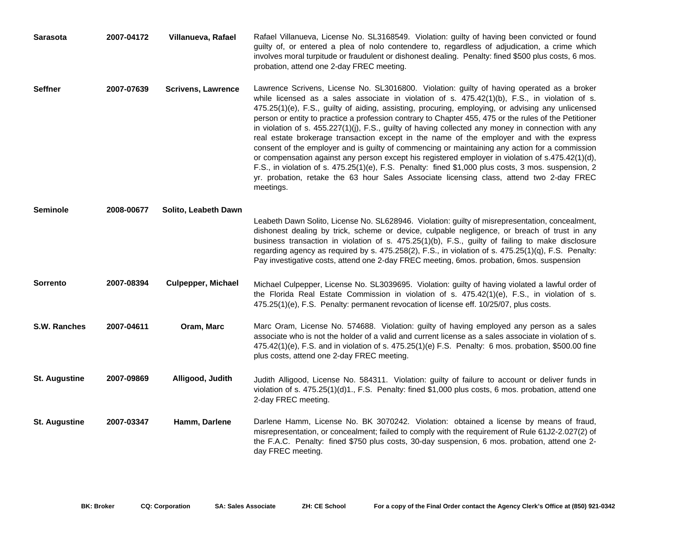| <b>Sarasota</b>      | 2007-04172 | Villanueva, Rafael        | Rafael Villanueva, License No. SL3168549. Violation: guilty of having been convicted or found<br>guilty of, or entered a plea of nolo contendere to, regardless of adjudication, a crime which<br>involves moral turpitude or fraudulent or dishonest dealing. Penalty: fined \$500 plus costs, 6 mos.<br>probation, attend one 2-day FREC meeting.                                                                                                                                                                                                                                                                                                                                                                                                                                                                                                                                                                                                                                                                                     |
|----------------------|------------|---------------------------|-----------------------------------------------------------------------------------------------------------------------------------------------------------------------------------------------------------------------------------------------------------------------------------------------------------------------------------------------------------------------------------------------------------------------------------------------------------------------------------------------------------------------------------------------------------------------------------------------------------------------------------------------------------------------------------------------------------------------------------------------------------------------------------------------------------------------------------------------------------------------------------------------------------------------------------------------------------------------------------------------------------------------------------------|
| <b>Seffner</b>       | 2007-07639 | <b>Scrivens, Lawrence</b> | Lawrence Scrivens, License No. SL3016800. Violation: guilty of having operated as a broker<br>while licensed as a sales associate in violation of s. $475.42(1)(b)$ , F.S., in violation of s.<br>475.25(1)(e), F.S., guilty of aiding, assisting, procuring, employing, or advising any unlicensed<br>person or entity to practice a profession contrary to Chapter 455, 475 or the rules of the Petitioner<br>in violation of s. 455.227(1)(j), F.S., guilty of having collected any money in connection with any<br>real estate brokerage transaction except in the name of the employer and with the express<br>consent of the employer and is guilty of commencing or maintaining any action for a commission<br>or compensation against any person except his registered employer in violation of s.475.42(1)(d),<br>F.S., in violation of s. 475.25(1)(e), F.S. Penalty: fined \$1,000 plus costs, 3 mos. suspension, 2<br>yr. probation, retake the 63 hour Sales Associate licensing class, attend two 2-day FREC<br>meetings. |
| <b>Seminole</b>      | 2008-00677 | Solito, Leabeth Dawn      |                                                                                                                                                                                                                                                                                                                                                                                                                                                                                                                                                                                                                                                                                                                                                                                                                                                                                                                                                                                                                                         |
|                      |            |                           | Leabeth Dawn Solito, License No. SL628946. Violation: guilty of misrepresentation, concealment,<br>dishonest dealing by trick, scheme or device, culpable negligence, or breach of trust in any<br>business transaction in violation of s. 475.25(1)(b), F.S., guilty of failing to make disclosure<br>regarding agency as required by s. 475.258(2), F.S., in violation of s. 475.25(1)(q), F.S. Penalty:<br>Pay investigative costs, attend one 2-day FREC meeting, 6mos. probation, 6mos. suspension                                                                                                                                                                                                                                                                                                                                                                                                                                                                                                                                 |
| <b>Sorrento</b>      | 2007-08394 | <b>Culpepper, Michael</b> | Michael Culpepper, License No. SL3039695. Violation: guilty of having violated a lawful order of<br>the Florida Real Estate Commission in violation of s. 475.42(1)(e), F.S., in violation of s.<br>475.25(1)(e), F.S. Penalty: permanent revocation of license eff. 10/25/07, plus costs.                                                                                                                                                                                                                                                                                                                                                                                                                                                                                                                                                                                                                                                                                                                                              |
| S.W. Ranches         | 2007-04611 | Oram, Marc                | Marc Oram, License No. 574688. Violation: guilty of having employed any person as a sales<br>associate who is not the holder of a valid and current license as a sales associate in violation of s.<br>475.42(1)(e), F.S. and in violation of s. 475.25(1)(e) F.S. Penalty: 6 mos. probation, \$500.00 fine<br>plus costs, attend one 2-day FREC meeting.                                                                                                                                                                                                                                                                                                                                                                                                                                                                                                                                                                                                                                                                               |
| <b>St. Augustine</b> | 2007-09869 | Alligood, Judith          | Judith Alligood, License No. 584311. Violation: guilty of failure to account or deliver funds in<br>violation of s. 475.25(1)(d)1., F.S. Penalty: fined \$1,000 plus costs, 6 mos. probation, attend one<br>2-day FREC meeting.                                                                                                                                                                                                                                                                                                                                                                                                                                                                                                                                                                                                                                                                                                                                                                                                         |
| <b>St. Augustine</b> | 2007-03347 | Hamm, Darlene             | Darlene Hamm, License No. BK 3070242. Violation: obtained a license by means of fraud,<br>misrepresentation, or concealment; failed to comply with the requirement of Rule 61J2-2.027(2) of<br>the F.A.C. Penalty: fined \$750 plus costs, 30-day suspension, 6 mos. probation, attend one 2-<br>day FREC meeting.                                                                                                                                                                                                                                                                                                                                                                                                                                                                                                                                                                                                                                                                                                                      |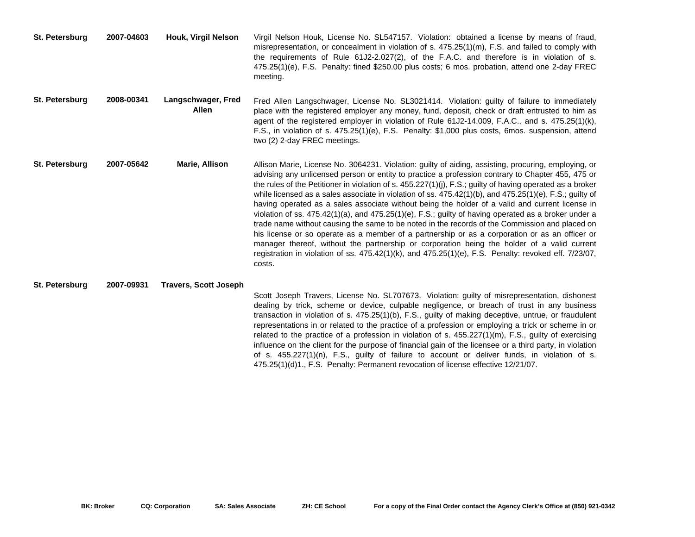| St. Petersburg | 2007-04603 | Houk, Virgil Nelson          | Virgil Nelson Houk, License No. SL547157. Violation: obtained a license by means of fraud,<br>misrepresentation, or concealment in violation of s. 475.25(1)(m), F.S. and failed to comply with<br>the requirements of Rule 61J2-2.027(2), of the F.A.C. and therefore is in violation of s.<br>475.25(1)(e), F.S. Penalty: fined \$250.00 plus costs; 6 mos. probation, attend one 2-day FREC<br>meeting.                                                                                                                                                                                                                                                                                                                                                                                                                                                                                                                                                                                                                                                                    |
|----------------|------------|------------------------------|-------------------------------------------------------------------------------------------------------------------------------------------------------------------------------------------------------------------------------------------------------------------------------------------------------------------------------------------------------------------------------------------------------------------------------------------------------------------------------------------------------------------------------------------------------------------------------------------------------------------------------------------------------------------------------------------------------------------------------------------------------------------------------------------------------------------------------------------------------------------------------------------------------------------------------------------------------------------------------------------------------------------------------------------------------------------------------|
| St. Petersburg | 2008-00341 | Langschwager, Fred<br>Allen  | Fred Allen Langschwager, License No. SL3021414. Violation: guilty of failure to immediately<br>place with the registered employer any money, fund, deposit, check or draft entrusted to him as<br>agent of the registered employer in violation of Rule 61J2-14.009, F.A.C., and s. 475.25(1)(k),<br>F.S., in violation of s. 475.25(1)(e), F.S. Penalty: \$1,000 plus costs, 6mos. suspension, attend<br>two (2) 2-day FREC meetings.                                                                                                                                                                                                                                                                                                                                                                                                                                                                                                                                                                                                                                        |
| St. Petersburg | 2007-05642 | Marie, Allison               | Allison Marie, License No. 3064231. Violation: guilty of aiding, assisting, procuring, employing, or<br>advising any unlicensed person or entity to practice a profession contrary to Chapter 455, 475 or<br>the rules of the Petitioner in violation of s. 455.227(1)(j), F.S.; guilty of having operated as a broker<br>while licensed as a sales associate in violation of ss. $475.42(1)(b)$ , and $475.25(1)(e)$ , F.S.; guilty of<br>having operated as a sales associate without being the holder of a valid and current license in<br>violation of ss. $475.42(1)(a)$ , and $475.25(1)(e)$ , F.S.; guilty of having operated as a broker under a<br>trade name without causing the same to be noted in the records of the Commission and placed on<br>his license or so operate as a member of a partnership or as a corporation or as an officer or<br>manager thereof, without the partnership or corporation being the holder of a valid current<br>registration in violation of ss. 475.42(1)(k), and 475.25(1)(e), F.S. Penalty: revoked eff. 7/23/07,<br>costs. |
| St. Petersburg | 2007-09931 | <b>Travers, Scott Joseph</b> | Scott Joseph Travers, License No. SL707673. Violation: guilty of misrepresentation, dishonest<br>dealing by trick, scheme or device, culpable negligence, or breach of trust in any business<br>transaction in violation of s. 475.25(1)(b), F.S., guilty of making deceptive, untrue, or fraudulent<br>representations in or related to the practice of a profession or employing a trick or scheme in or<br>related to the practice of a profession in violation of s. $455.227(1)(m)$ , F.S., guilty of exercising<br>influence on the client for the purpose of financial gain of the licensee or a third party, in violation<br>of s. 455.227(1)(n), F.S., guilty of failure to account or deliver funds, in violation of s.                                                                                                                                                                                                                                                                                                                                             |

475.25(1)(d)1., F.S. Penalty: Permanent revocation of license effective 12/21/07.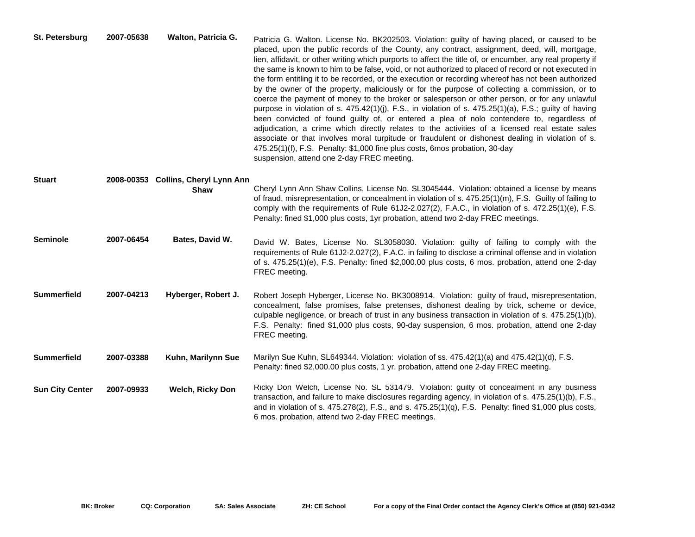| St. Petersburg         | 2007-05638 | Walton, Patricia G.                 | Patricia G. Walton. License No. BK202503. Violation: guilty of having placed, or caused to be<br>placed, upon the public records of the County, any contract, assignment, deed, will, mortgage,<br>lien, affidavit, or other writing which purports to affect the title of, or encumber, any real property if<br>the same is known to him to be false, void, or not authorized to placed of record or not executed in<br>the form entitling it to be recorded, or the execution or recording whereof has not been authorized<br>by the owner of the property, maliciously or for the purpose of collecting a commission, or to<br>coerce the payment of money to the broker or salesperson or other person, or for any unlawful<br>purpose in violation of s. 475.42(1)(j), F.S., in violation of s. 475.25(1)(a), F.S.; guilty of having<br>been convicted of found guilty of, or entered a plea of nolo contendere to, regardless of<br>adjudication, a crime which directly relates to the activities of a licensed real estate sales<br>associate or that involves moral turpitude or fraudulent or dishonest dealing in violation of s.<br>475.25(1)(f), F.S. Penalty: \$1,000 fine plus costs, 6mos probation, 30-day<br>suspension, attend one 2-day FREC meeting. |
|------------------------|------------|-------------------------------------|---------------------------------------------------------------------------------------------------------------------------------------------------------------------------------------------------------------------------------------------------------------------------------------------------------------------------------------------------------------------------------------------------------------------------------------------------------------------------------------------------------------------------------------------------------------------------------------------------------------------------------------------------------------------------------------------------------------------------------------------------------------------------------------------------------------------------------------------------------------------------------------------------------------------------------------------------------------------------------------------------------------------------------------------------------------------------------------------------------------------------------------------------------------------------------------------------------------------------------------------------------------------------|
| <b>Stuart</b>          |            | 2008-00353 Collins, Cheryl Lynn Ann |                                                                                                                                                                                                                                                                                                                                                                                                                                                                                                                                                                                                                                                                                                                                                                                                                                                                                                                                                                                                                                                                                                                                                                                                                                                                           |
|                        |            | Shaw                                | Cheryl Lynn Ann Shaw Collins, License No. SL3045444. Violation: obtained a license by means<br>of fraud, misrepresentation, or concealment in violation of s. 475.25(1)(m), F.S. Guilty of failing to<br>comply with the requirements of Rule 61J2-2.027(2), F.A.C., in violation of s. 472.25(1)(e), F.S.<br>Penalty: fined \$1,000 plus costs, 1yr probation, attend two 2-day FREC meetings.                                                                                                                                                                                                                                                                                                                                                                                                                                                                                                                                                                                                                                                                                                                                                                                                                                                                           |
| <b>Seminole</b>        | 2007-06454 | Bates, David W.                     | David W. Bates, License No. SL3058030. Violation: guilty of failing to comply with the<br>requirements of Rule 61J2-2.027(2), F.A.C. in failing to disclose a criminal offense and in violation<br>of s. 475.25(1)(e), F.S. Penalty: fined \$2,000.00 plus costs, 6 mos. probation, attend one 2-day<br>FREC meeting.                                                                                                                                                                                                                                                                                                                                                                                                                                                                                                                                                                                                                                                                                                                                                                                                                                                                                                                                                     |
| <b>Summerfield</b>     | 2007-04213 | Hyberger, Robert J.                 | Robert Joseph Hyberger, License No. BK3008914. Violation: guilty of fraud, misrepresentation,<br>concealment, false promises, false pretenses, dishonest dealing by trick, scheme or device,<br>culpable negligence, or breach of trust in any business transaction in violation of s. 475.25(1)(b),<br>F.S. Penalty: fined \$1,000 plus costs, 90-day suspension, 6 mos. probation, attend one 2-day<br>FREC meeting.                                                                                                                                                                                                                                                                                                                                                                                                                                                                                                                                                                                                                                                                                                                                                                                                                                                    |
| <b>Summerfield</b>     | 2007-03388 | Kuhn, Marilynn Sue                  | Marilyn Sue Kuhn, SL649344. Violation: violation of ss. 475.42(1)(a) and 475.42(1)(d), F.S.<br>Penalty: fined \$2,000.00 plus costs, 1 yr. probation, attend one 2-day FREC meeting.                                                                                                                                                                                                                                                                                                                                                                                                                                                                                                                                                                                                                                                                                                                                                                                                                                                                                                                                                                                                                                                                                      |
| <b>Sun City Center</b> | 2007-09933 | <b>Welch, Ricky Don</b>             | Ricky Don Welch, License No. SL 531479. Violation: guilty of concealment in any business<br>transaction, and failure to make disclosures regarding agency, in violation of s. 475.25(1)(b), F.S.,<br>and in violation of s. 475.278(2), F.S., and s. 475.25(1)(q), F.S. Penalty: fined \$1,000 plus costs,<br>6 mos. probation, attend two 2-day FREC meetings.                                                                                                                                                                                                                                                                                                                                                                                                                                                                                                                                                                                                                                                                                                                                                                                                                                                                                                           |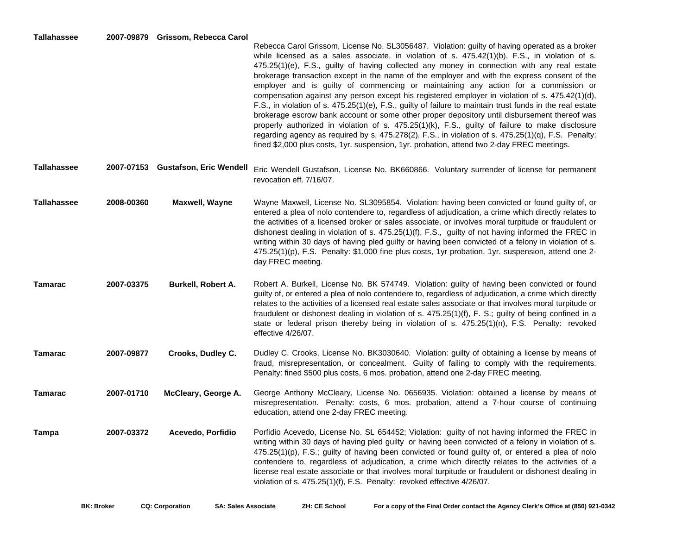## **Tallahassee 2007-09879 Grissom, Rebecca Carol**

| i alialiassee      |            | 2007-03073 GIBSOIII, REDECCA CAIOI | Rebecca Carol Grissom, License No. SL3056487. Violation: guilty of having operated as a broker<br>while licensed as a sales associate, in violation of s. $475.42(1)(b)$ , F.S., in violation of s.<br>$475.25(1)(e)$ , F.S., guilty of having collected any money in connection with any real estate<br>brokerage transaction except in the name of the employer and with the express consent of the<br>employer and is guilty of commencing or maintaining any action for a commission or<br>compensation against any person except his registered employer in violation of s. 475.42(1)(d),<br>F.S., in violation of s. 475.25(1)(e), F.S., guilty of failure to maintain trust funds in the real estate<br>brokerage escrow bank account or some other proper depository until disbursement thereof was<br>properly authorized in violation of s. 475.25(1)(k), F.S., guilty of failure to make disclosure<br>regarding agency as required by s. 475.278(2), F.S., in violation of s. 475.25(1)(q), F.S. Penalty: |
|--------------------|------------|------------------------------------|-----------------------------------------------------------------------------------------------------------------------------------------------------------------------------------------------------------------------------------------------------------------------------------------------------------------------------------------------------------------------------------------------------------------------------------------------------------------------------------------------------------------------------------------------------------------------------------------------------------------------------------------------------------------------------------------------------------------------------------------------------------------------------------------------------------------------------------------------------------------------------------------------------------------------------------------------------------------------------------------------------------------------|
| Tallahassee        |            | 2007-07153 Gustafson, Eric Wendell | fined \$2,000 plus costs, 1yr. suspension, 1yr. probation, attend two 2-day FREC meetings.<br>Eric Wendell Gustafson, License No. BK660866. Voluntary surrender of license for permanent                                                                                                                                                                                                                                                                                                                                                                                                                                                                                                                                                                                                                                                                                                                                                                                                                              |
|                    |            |                                    | revocation eff. 7/16/07.                                                                                                                                                                                                                                                                                                                                                                                                                                                                                                                                                                                                                                                                                                                                                                                                                                                                                                                                                                                              |
| <b>Tallahassee</b> | 2008-00360 | Maxwell, Wayne                     | Wayne Maxwell, License No. SL3095854. Violation: having been convicted or found guilty of, or<br>entered a plea of nolo contendere to, regardless of adjudication, a crime which directly relates to<br>the activities of a licensed broker or sales associate, or involves moral turpitude or fraudulent or<br>dishonest dealing in violation of s. 475.25(1)(f), F.S., guilty of not having informed the FREC in<br>writing within 30 days of having pled guilty or having been convicted of a felony in violation of s.<br>475.25(1)(p), F.S. Penalty: \$1,000 fine plus costs, 1yr probation, 1yr. suspension, attend one 2-<br>day FREC meeting.                                                                                                                                                                                                                                                                                                                                                                 |
| Tamarac            | 2007-03375 | <b>Burkell, Robert A.</b>          | Robert A. Burkell, License No. BK 574749. Violation: guilty of having been convicted or found<br>guilty of, or entered a plea of nolo contendere to, regardless of adjudication, a crime which directly<br>relates to the activities of a licensed real estate sales associate or that involves moral turpitude or<br>fraudulent or dishonest dealing in violation of s. 475.25(1)(f), F. S.; guilty of being confined in a<br>state or federal prison thereby being in violation of s. 475.25(1)(n), F.S. Penalty: revoked<br>effective 4/26/07.                                                                                                                                                                                                                                                                                                                                                                                                                                                                     |
| Tamarac            | 2007-09877 | Crooks, Dudley C.                  | Dudley C. Crooks, License No. BK3030640. Violation: guilty of obtaining a license by means of<br>fraud, misrepresentation, or concealment. Guilty of failing to comply with the requirements.<br>Penalty: fined \$500 plus costs, 6 mos. probation, attend one 2-day FREC meeting.                                                                                                                                                                                                                                                                                                                                                                                                                                                                                                                                                                                                                                                                                                                                    |
| Tamarac            | 2007-01710 | McCleary, George A.                | George Anthony McCleary, License No. 0656935. Violation: obtained a license by means of<br>misrepresentation. Penalty: costs, 6 mos. probation, attend a 7-hour course of continuing<br>education, attend one 2-day FREC meeting.                                                                                                                                                                                                                                                                                                                                                                                                                                                                                                                                                                                                                                                                                                                                                                                     |
|                    |            |                                    |                                                                                                                                                                                                                                                                                                                                                                                                                                                                                                                                                                                                                                                                                                                                                                                                                                                                                                                                                                                                                       |

**Tampa 2007-03372 Acevedo, Porfidio** Porfidio Acevedo, License No. SL 654452; Violation: guilty of not having informed the FREC in writing within 30 days of having pled guilty or having been convicted of <sup>a</sup> felony in violation of s. 475.25(1)(p), F.S.; guilty of having been convicted or found guilty of, or entered <sup>a</sup> plea of nolo contendere to, regardless of adjudication, <sup>a</sup> crime which directly relates to the activities of <sup>a</sup> license real estate associate or that involves moral turpitude or fraudulent or dishonest dealing in violation of s. 475.25(1)(f), F.S. Penalty: revoked effective 4/26/07.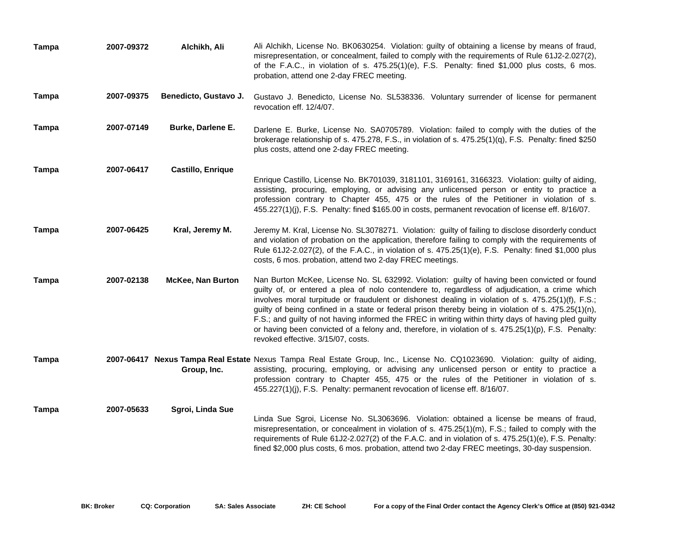| Tampa        | 2007-09372 | Alchikh, Ali             | Ali Alchikh, License No. BK0630254. Violation: guilty of obtaining a license by means of fraud,<br>misrepresentation, or concealment, failed to comply with the requirements of Rule 61J2-2.027(2),<br>of the F.A.C., in violation of s. 475.25(1)(e), F.S. Penalty: fined \$1,000 plus costs, 6 mos.<br>probation, attend one 2-day FREC meeting.                                                                                                                                                                                                                                                                                                                  |
|--------------|------------|--------------------------|---------------------------------------------------------------------------------------------------------------------------------------------------------------------------------------------------------------------------------------------------------------------------------------------------------------------------------------------------------------------------------------------------------------------------------------------------------------------------------------------------------------------------------------------------------------------------------------------------------------------------------------------------------------------|
| <b>Tampa</b> | 2007-09375 | Benedicto, Gustavo J.    | Gustavo J. Benedicto, License No. SL538336. Voluntary surrender of license for permanent<br>revocation eff. 12/4/07.                                                                                                                                                                                                                                                                                                                                                                                                                                                                                                                                                |
| Tampa        | 2007-07149 | Burke, Darlene E.        | Darlene E. Burke, License No. SA0705789. Violation: failed to comply with the duties of the<br>brokerage relationship of s. 475.278, F.S., in violation of s. 475.25(1)(q), F.S. Penalty: fined \$250<br>plus costs, attend one 2-day FREC meeting.                                                                                                                                                                                                                                                                                                                                                                                                                 |
| Tampa        | 2007-06417 | <b>Castillo, Enrique</b> | Enrique Castillo, License No. BK701039, 3181101, 3169161, 3166323. Violation: guilty of aiding,<br>assisting, procuring, employing, or advising any unlicensed person or entity to practice a<br>profession contrary to Chapter 455, 475 or the rules of the Petitioner in violation of s.<br>455.227(1)(j), F.S. Penalty: fined \$165.00 in costs, permanent revocation of license eff. 8/16/07.                                                                                                                                                                                                                                                                   |
| <b>Tampa</b> | 2007-06425 | Kral, Jeremy M.          | Jeremy M. Kral, License No. SL3078271. Violation: guilty of failing to disclose disorderly conduct<br>and violation of probation on the application, therefore failing to comply with the requirements of<br>Rule 61J2-2.027(2), of the F.A.C., in violation of s. 475.25(1)(e), F.S. Penalty: fined \$1,000 plus<br>costs, 6 mos. probation, attend two 2-day FREC meetings.                                                                                                                                                                                                                                                                                       |
| Tampa        | 2007-02138 | <b>McKee, Nan Burton</b> | Nan Burton McKee, License No. SL 632992. Violation: guilty of having been convicted or found<br>guilty of, or entered a plea of nolo contendere to, regardless of adjudication, a crime which<br>involves moral turpitude or fraudulent or dishonest dealing in violation of s. 475.25(1)(f), F.S.;<br>guilty of being confined in a state or federal prison thereby being in violation of s. 475.25(1)(n),<br>F.S.; and guilty of not having informed the FREC in writing within thirty days of having pled guilty<br>or having been convicted of a felony and, therefore, in violation of s. $475.25(1)(p)$ , F.S. Penalty:<br>revoked effective. 3/15/07, costs. |
| Tampa        |            | Group, Inc.              | 2007-06417 Nexus Tampa Real Estate Nexus Tampa Real Estate Group, Inc., License No. CQ1023690. Violation: guilty of aiding,<br>assisting, procuring, employing, or advising any unlicensed person or entity to practice a<br>profession contrary to Chapter 455, 475 or the rules of the Petitioner in violation of s.<br>455.227(1)(j), F.S. Penalty: permanent revocation of license eff. 8/16/07.                                                                                                                                                                                                                                                                |
| Tampa        | 2007-05633 | Sgroi, Linda Sue         | Linda Sue Sgroi, License No. SL3063696. Violation: obtained a license be means of fraud,<br>misrepresentation, or concealment in violation of s. 475.25(1)(m), F.S.; failed to comply with the<br>requirements of Rule 61J2-2.027(2) of the F.A.C. and in violation of s. 475.25(1)(e), F.S. Penalty:<br>fined \$2,000 plus costs, 6 mos. probation, attend two 2-day FREC meetings, 30-day suspension.                                                                                                                                                                                                                                                             |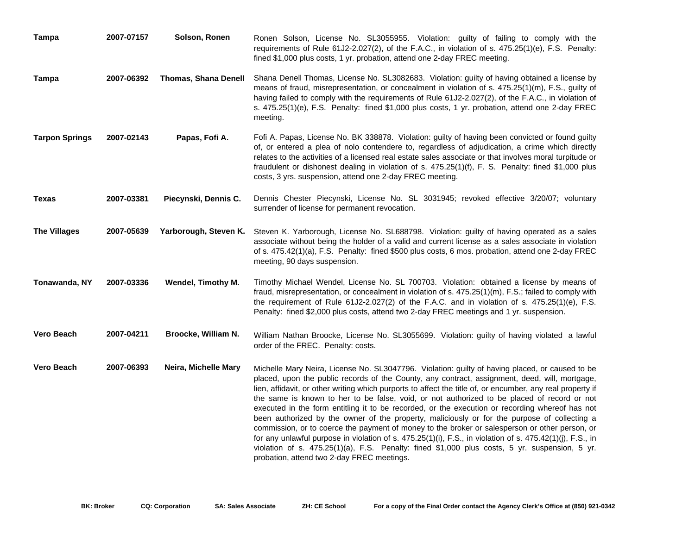| <b>Tampa</b>          | 2007-07157 | Solson, Ronen               | Ronen Solson, License No. SL3055955. Violation: guilty of failing to comply with the<br>requirements of Rule 61J2-2.027(2), of the F.A.C., in violation of s. 475.25(1)(e), F.S. Penalty:<br>fined \$1,000 plus costs, 1 yr. probation, attend one 2-day FREC meeting.                                                                                                                                                                                                                                                                                                                                                                                                                                                                                                                                                                                                                                                                                                                |
|-----------------------|------------|-----------------------------|---------------------------------------------------------------------------------------------------------------------------------------------------------------------------------------------------------------------------------------------------------------------------------------------------------------------------------------------------------------------------------------------------------------------------------------------------------------------------------------------------------------------------------------------------------------------------------------------------------------------------------------------------------------------------------------------------------------------------------------------------------------------------------------------------------------------------------------------------------------------------------------------------------------------------------------------------------------------------------------|
| <b>Tampa</b>          | 2007-06392 | <b>Thomas, Shana Denell</b> | Shana Denell Thomas, License No. SL3082683. Violation: guilty of having obtained a license by<br>means of fraud, misrepresentation, or concealment in violation of s. 475.25(1)(m), F.S., guilty of<br>having failed to comply with the requirements of Rule 61J2-2.027(2), of the F.A.C., in violation of<br>s. 475.25(1)(e), F.S. Penalty: fined \$1,000 plus costs, 1 yr. probation, attend one 2-day FREC<br>meeting.                                                                                                                                                                                                                                                                                                                                                                                                                                                                                                                                                             |
| <b>Tarpon Springs</b> | 2007-02143 | Papas, Fofi A.              | Fofi A. Papas, License No. BK 338878. Violation: guilty of having been convicted or found guilty<br>of, or entered a plea of nolo contendere to, regardless of adjudication, a crime which directly<br>relates to the activities of a licensed real estate sales associate or that involves moral turpitude or<br>fraudulent or dishonest dealing in violation of s. 475.25(1)(f), F. S. Penalty: fined \$1,000 plus<br>costs, 3 yrs. suspension, attend one 2-day FREC meeting.                                                                                                                                                                                                                                                                                                                                                                                                                                                                                                      |
| Texas                 | 2007-03381 | Piecynski, Dennis C.        | Dennis Chester Piecynski, License No. SL 3031945; revoked effective 3/20/07; voluntary<br>surrender of license for permanent revocation.                                                                                                                                                                                                                                                                                                                                                                                                                                                                                                                                                                                                                                                                                                                                                                                                                                              |
| <b>The Villages</b>   | 2007-05639 |                             | Yarborough, Steven K. Steven K. Yarborough, License No. SL688798. Violation: guilty of having operated as a sales<br>associate without being the holder of a valid and current license as a sales associate in violation<br>of s. 475.42(1)(a), F.S. Penalty: fined \$500 plus costs, 6 mos. probation, attend one 2-day FREC<br>meeting, 90 days suspension.                                                                                                                                                                                                                                                                                                                                                                                                                                                                                                                                                                                                                         |
| Tonawanda, NY         | 2007-03336 | Wendel, Timothy M.          | Timothy Michael Wendel, License No. SL 700703. Violation: obtained a license by means of<br>fraud, misrepresentation, or concealment in violation of s. 475.25(1)(m), F.S.; failed to comply with<br>the requirement of Rule $61J2-2.027(2)$ of the F.A.C. and in violation of s. $475.25(1)(e)$ , F.S.<br>Penalty: fined \$2,000 plus costs, attend two 2-day FREC meetings and 1 yr. suspension.                                                                                                                                                                                                                                                                                                                                                                                                                                                                                                                                                                                    |
| <b>Vero Beach</b>     | 2007-04211 | Broocke, William N.         | William Nathan Broocke, License No. SL3055699. Violation: guilty of having violated a lawful<br>order of the FREC. Penalty: costs.                                                                                                                                                                                                                                                                                                                                                                                                                                                                                                                                                                                                                                                                                                                                                                                                                                                    |
| <b>Vero Beach</b>     | 2007-06393 | Neira, Michelle Mary        | Michelle Mary Neira, License No. SL3047796. Violation: guilty of having placed, or caused to be<br>placed, upon the public records of the County, any contract, assignment, deed, will, mortgage,<br>lien, affidavit, or other writing which purports to affect the title of, or encumber, any real property if<br>the same is known to her to be false, void, or not authorized to be placed of record or not<br>executed in the form entitling it to be recorded, or the execution or recording whereof has not<br>been authorized by the owner of the property, maliciously or for the purpose of collecting a<br>commission, or to coerce the payment of money to the broker or salesperson or other person, or<br>for any unlawful purpose in violation of s. $475.25(1)(i)$ , F.S., in violation of s. $475.42(1)(j)$ , F.S., in<br>violation of s. 475.25(1)(a), F.S. Penalty: fined \$1,000 plus costs, 5 yr. suspension, 5 yr.<br>probation, attend two 2-day FREC meetings. |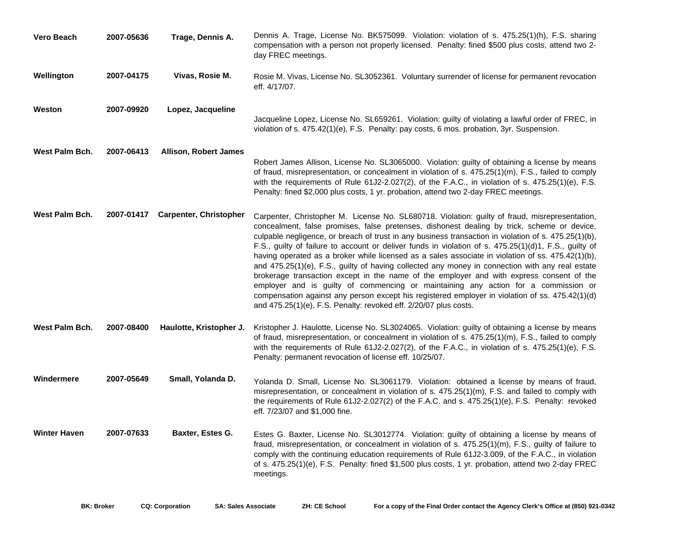| Vero Beach          | 2007-05636 | Trage, Dennis A.              | Dennis A. Trage, License No. BK575099. Violation: violation of s. 475.25(1)(h), F.S. sharing<br>compensation with a person not properly licensed. Penalty: fined \$500 plus costs, attend two 2-<br>day FREC meetings.                                                                                                                                                                                                                                                                                                                                                                                                                                                                                                                                                                                                                                                                                                                                                          |
|---------------------|------------|-------------------------------|---------------------------------------------------------------------------------------------------------------------------------------------------------------------------------------------------------------------------------------------------------------------------------------------------------------------------------------------------------------------------------------------------------------------------------------------------------------------------------------------------------------------------------------------------------------------------------------------------------------------------------------------------------------------------------------------------------------------------------------------------------------------------------------------------------------------------------------------------------------------------------------------------------------------------------------------------------------------------------|
| Wellington          | 2007-04175 | Vivas, Rosie M.               | Rosie M. Vivas, License No. SL3052361. Voluntary surrender of license for permanent revocation<br>eff. 4/17/07.                                                                                                                                                                                                                                                                                                                                                                                                                                                                                                                                                                                                                                                                                                                                                                                                                                                                 |
| Weston              | 2007-09920 | Lopez, Jacqueline             | Jacqueline Lopez, License No. SL659261. Violation: guilty of violating a lawful order of FREC, in<br>violation of s. 475.42(1)(e), F.S. Penalty: pay costs, 6 mos. probation, 3yr. Suspension.                                                                                                                                                                                                                                                                                                                                                                                                                                                                                                                                                                                                                                                                                                                                                                                  |
| West Palm Bch.      | 2007-06413 | <b>Allison, Robert James</b>  | Robert James Allison, License No. SL3065000. Violation: guilty of obtaining a license by means<br>of fraud, misrepresentation, or concealment in violation of s. 475.25(1)(m), F.S., failed to comply<br>with the requirements of Rule 61J2-2.027(2), of the F.A.C., in violation of s. 475.25(1)(e), F.S.<br>Penalty: fined \$2,000 plus costs, 1 yr. probation, attend two 2-day FREC meetings.                                                                                                                                                                                                                                                                                                                                                                                                                                                                                                                                                                               |
| West Palm Bch.      | 2007-01417 | <b>Carpenter, Christopher</b> | Carpenter, Christopher M. License No. SL680718. Violation: guilty of fraud, misrepresentation,<br>concealment, false promises, false pretenses, dishonest dealing by trick, scheme or device,<br>culpable negligence, or breach of trust in any business transaction in violation of s. 475.25(1)(b),<br>F.S., guilty of failure to account or deliver funds in violation of s. 475.25(1)(d)1, F.S., guilty of<br>having operated as a broker while licensed as a sales associate in violation of ss. 475.42(1)(b),<br>and 475.25(1)(e), F.S., guilty of having collected any money in connection with any real estate<br>brokerage transaction except in the name of the employer and with express consent of the<br>employer and is guilty of commencing or maintaining any action for a commission or<br>compensation against any person except his registered employer in violation of ss. 475.42(1)(d)<br>and 475.25(1)(e), F.S. Penalty: revoked eff. 2/20/07 plus costs. |
| West Palm Bch.      | 2007-08400 | Haulotte, Kristopher J.       | Kristopher J. Haulotte, License No. SL3024065. Violation: guilty of obtaining a license by means<br>of fraud, misrepresentation, or concealment in violation of s. 475.25(1)(m), F.S., failed to comply<br>with the requirements of Rule 61J2-2.027(2), of the F.A.C., in violation of s. $475.25(1)(e)$ , F.S.<br>Penalty: permanent revocation of license eff. 10/25/07.                                                                                                                                                                                                                                                                                                                                                                                                                                                                                                                                                                                                      |
| Windermere          | 2007-05649 | Small, Yolanda D.             | Yolanda D. Small, License No. SL3061179. Violation: obtained a license by means of fraud,<br>misrepresentation, or concealment in violation of s. 475.25(1)(m), F.S. and failed to comply with<br>the requirements of Rule 61J2-2.027(2) of the F.A.C. and s. 475.25(1)(e), F.S. Penalty: revoked<br>eff. 7/23/07 and \$1,000 fine.                                                                                                                                                                                                                                                                                                                                                                                                                                                                                                                                                                                                                                             |
| <b>Winter Haven</b> | 2007-07633 | Baxter, Estes G.              | Estes G. Baxter, License No. SL3012774. Violation: guilty of obtaining a license by means of<br>fraud, misrepresentation, or concealment in violation of s. 475.25(1)(m), F.S., guilty of failure to<br>comply with the continuing education requirements of Rule 61J2-3.009, of the F.A.C., in violation<br>of s. 475.25(1)(e), F.S. Penalty: fined \$1,500 plus costs, 1 yr. probation, attend two 2-day FREC<br>meetings.                                                                                                                                                                                                                                                                                                                                                                                                                                                                                                                                                    |